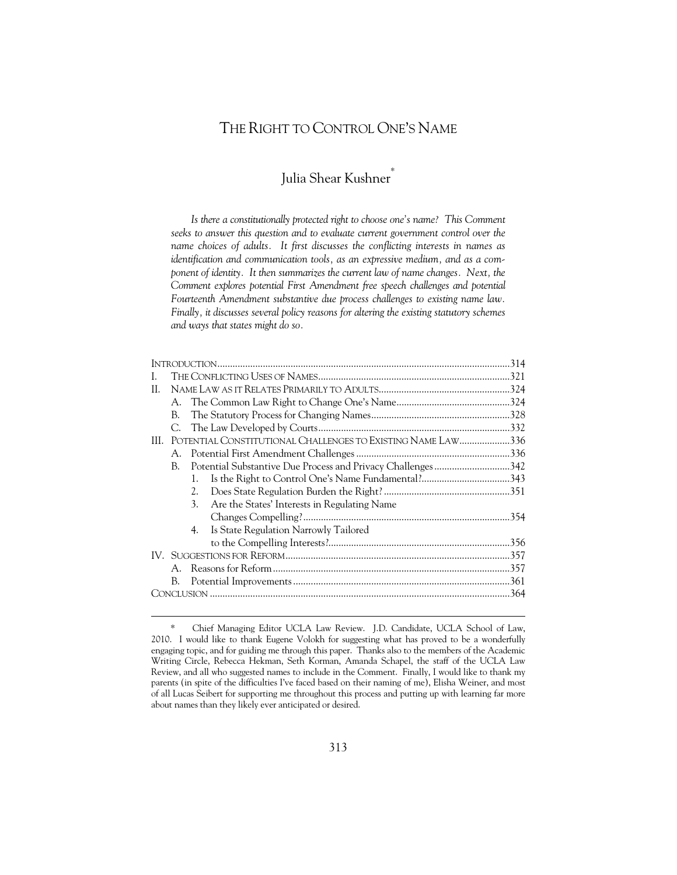# THE RIGHT TO CONTROL ONE'S NAME

# Julia Shear Kushner

*Is there a constitutionally protected right to choose one's name? This Comment seeks to answer this question and to evaluate current government control over the name choices of adults. It first discusses the conflicting interests in names as identification and communication tools, as an expressive medium, and as a com*ponent of identity. It then summarizes the current law of name changes. Next, the Comment explores potential First Amendment free speech challenges and potential *Fourteenth Amendment substantive due process challenges to existing name law. Finally, it discusses several policy reasons for altering the existing statutory schemes and ways that states might do so.* 

| L.  |                                                             |                                                              |                                              |  |
|-----|-------------------------------------------------------------|--------------------------------------------------------------|----------------------------------------------|--|
| H.  |                                                             |                                                              |                                              |  |
|     |                                                             |                                                              |                                              |  |
|     | В.                                                          |                                                              |                                              |  |
|     |                                                             |                                                              |                                              |  |
| HL. | POTENTIAL CONSTITUTIONAL CHALLENGES TO EXISTING NAME LAW336 |                                                              |                                              |  |
|     |                                                             |                                                              |                                              |  |
|     | B.                                                          | Potential Substantive Due Process and Privacy Challenges 342 |                                              |  |
|     |                                                             | 1.                                                           |                                              |  |
|     |                                                             | 2.                                                           |                                              |  |
|     |                                                             | 3 <sub>1</sub>                                               | Are the States' Interests in Regulating Name |  |
|     |                                                             |                                                              |                                              |  |
|     |                                                             | 4.                                                           | Is State Regulation Narrowly Tailored        |  |
|     |                                                             |                                                              |                                              |  |
|     |                                                             |                                                              |                                              |  |
|     |                                                             |                                                              |                                              |  |
|     | B.                                                          |                                                              |                                              |  |
|     |                                                             |                                                              |                                              |  |
|     |                                                             |                                                              |                                              |  |

 <sup>\*</sup> Chief Managing Editor UCLA Law Review. J.D. Candidate, UCLA School of Law, 2010. I would like to thank Eugene Volokh for suggesting what has proved to be a wonderfully engaging topic, and for guiding me through this paper. Thanks also to the members of the Academic Writing Circle, Rebecca Hekman, Seth Korman, Amanda Schapel, the staff of the UCLA Law Review, and all who suggested names to include in the Comment. Finally, I would like to thank my parents (in spite of the difficulties I've faced based on their naming of me), Elisha Weiner, and most of all Lucas Seibert for supporting me throughout this process and putting up with learning far more about names than they likely ever anticipated or desired.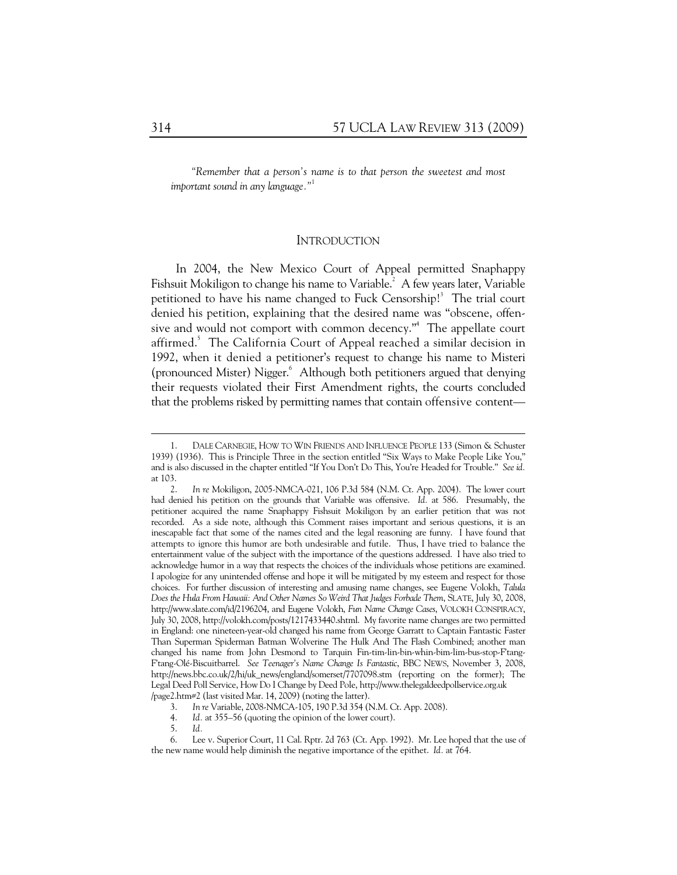*"Remember that a person's name is to that person the sweetest and most important sound in any language."*<sup>1</sup>

#### **INTRODUCTION**

In 2004, the New Mexico Court of Appeal permitted Snaphappy Fishsuit Mokiligon to change his name to Variable. $^2$  A few years later, Variable petitioned to have his name changed to Fuck Censorship!<sup>3</sup> The trial court denied his petition, explaining that the desired name was "obscene, offensive and would not comport with common decency."4 The appellate court affirmed.<sup>5</sup> The California Court of Appeal reached a similar decision in 1992, when it denied a petitioner's request to change his name to Misteri (pronounced Mister) Nigger.<sup>6</sup> Although both petitioners argued that denying their requests violated their First Amendment rights, the courts concluded that the problems risked by permitting names that contain offensive content—

 <sup>1.</sup> DALE CARNEGIE, HOW TO WIN FRIENDS AND INFLUENCE PEOPLE 133 (Simon & Schuster 1939) (1936). This is Principle Three in the section entitled "Six Ways to Make People Like You," and is also discussed in the chapter entitled "If You Don't Do This, You're Headed for Trouble." *See id.* at 103.

 <sup>2.</sup> *In re* Mokiligon, 2005-NMCA-021, 106 P.3d 584 (N.M. Ct. App. 2004). The lower court had denied his petition on the grounds that Variable was offensive. *Id.* at 586. Presumably, the petitioner acquired the name Snaphappy Fishsuit Mokiligon by an earlier petition that was not recorded. As a side note, although this Comment raises important and serious questions, it is an inescapable fact that some of the names cited and the legal reasoning are funny. I have found that attempts to ignore this humor are both undesirable and futile. Thus, I have tried to balance the entertainment value of the subject with the importance of the questions addressed. I have also tried to acknowledge humor in a way that respects the choices of the individuals whose petitions are examined. I apologize for any unintended offense and hope it will be mitigated by my esteem and respect for those choices. For further discussion of interesting and amusing name changes, see Eugene Volokh, *Talula Does the Hula From Hawaii: And Other Names So Weird That Judges Forbade Them*, SLATE, July 30, 2008, http://www.slate.com/id/2196204, and Eugene Volokh, *Fun Name Change Cases*, VOLOKH CONSPIRACY, July 30, 2008, http://volokh.com/posts/1217433440.shtml. My favorite name changes are two permitted in England: one nineteen-year-old changed his name from George Garratt to Captain Fantastic Faster Than Superman Spiderman Batman Wolverine The Hulk And The Flash Combined; another man changed his name from John Desmond to Tarquin Fin-tim-lin-bin-whin-bim-lim-bus-stop-F'tang-F'tang-Olé-Biscuitbarrel. *See Teenager's Name Change Is Fantastic*, BBC NEWS, November 3, 2008, http://news.bbc.co.uk/2/hi/uk\_news/england/somerset/7707098.stm (reporting on the former); The Legal Deed Poll Service, How Do I Change by Deed Pole, http://www.thelegaldeedpollservice.org.uk /page2.htm#2 (last visited Mar. 14, 2009) (noting the latter).

 <sup>3.</sup> *In re* Variable, 2008-NMCA-105, 190 P.3d 354 (N.M. Ct. App. 2008).

 <sup>4.</sup> *Id.* at 355–56 (quoting the opinion of the lower court).

 <sup>5.</sup> *Id.*

 <sup>6.</sup> Lee v. Superior Court, 11 Cal. Rptr. 2d 763 (Ct. App. 1992). Mr. Lee hoped that the use of the new name would help diminish the negative importance of the epithet. *Id.* at 764.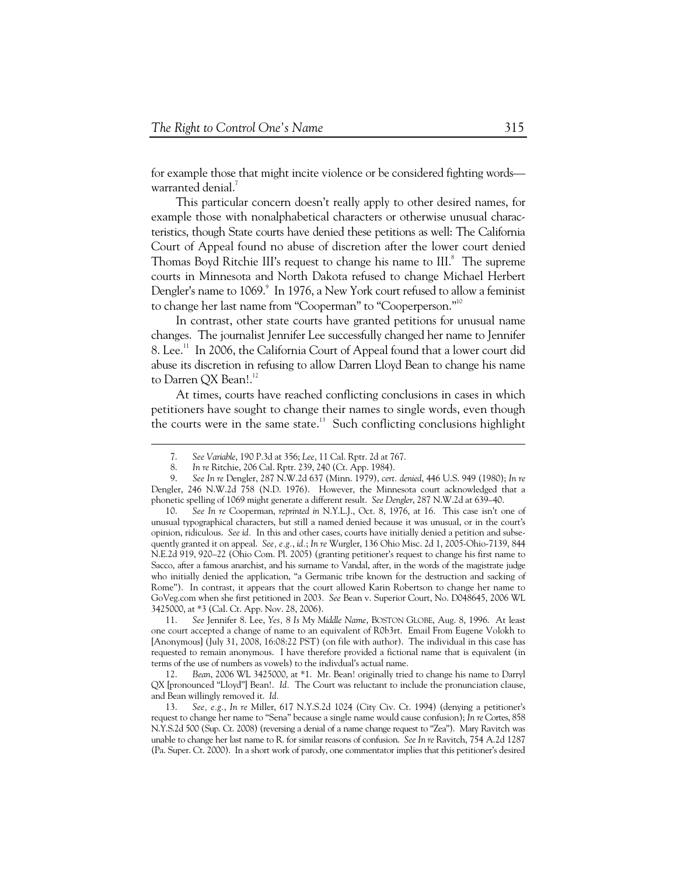for example those that might incite violence or be considered fighting words warranted denial.

This particular concern doesn't really apply to other desired names, for example those with nonalphabetical characters or otherwise unusual characteristics, though State courts have denied these petitions as well: The California Court of Appeal found no abuse of discretion after the lower court denied Thomas Boyd Ritchie III's request to change his name to III.<sup>8</sup> The supreme courts in Minnesota and North Dakota refused to change Michael Herbert Dengler's name to 1069.<sup>9</sup> In 1976, a New York court refused to allow a feminist to change her last name from "Cooperman" to "Cooperperson."10

In contrast, other state courts have granted petitions for unusual name changes. The journalist Jennifer Lee successfully changed her name to Jennifer 8. Lee.<sup>11</sup> In 2006, the California Court of Appeal found that a lower court did abuse its discretion in refusing to allow Darren Lloyd Bean to change his name to Darren QX Bean!.<sup>12</sup>

At times, courts have reached conflicting conclusions in cases in which petitioners have sought to change their names to single words, even though the courts were in the same state.<sup>13</sup> Such conflicting conclusions highlight

-

 11. *See* Jennifer 8. Lee, *Yes, 8 Is My Middle Name*, BOSTON GLOBE, Aug. 8, 1996. At least one court accepted a change of name to an equivalent of R0b3rt. Email From Eugene Volokh to [Anonymous] (July 31, 2008, 16:08:22 PST) (on file with author). The individual in this case has requested to remain anonymous. I have therefore provided a fictional name that is equivalent (in terms of the use of numbers as vowels) to the indivdual's actual name.

 12. *Bean*, 2006 WL 3425000, at \*1.Mr. Bean! originally tried to change his name to Darryl QX [pronounced "Lloyd"] Bean!. *Id.* The Court was reluctant to include the pronunciation clause, and Bean willingly removed it. *Id.*

 13. *See, e.g.*, *In re* Miller, 617 N.Y.S.2d 1024 (City Civ. Ct. 1994) (denying a petitioner's request to change her name to "Sena" because a single name would cause confusion); *In re* Cortes, 858 N.Y.S.2d 500 (Sup. Ct. 2008) (reversing a denial of a name change request to "Zea"). Mary Ravitch was unable to change her last name to R. for similar reasons of confusion. *See In re* Ravitch, 754 A.2d 1287 (Pa. Super. Ct. 2000). In a short work of parody, one commentator implies that this petitioner's desired

 <sup>7.</sup> *See Variable*, 190 P.3d at 356; *Lee*, 11 Cal. Rptr. 2d at 767.

 <sup>8.</sup> *In re* Ritchie, 206 Cal. Rptr. 239, 240 (Ct. App. 1984).

 <sup>9.</sup> *See In re* Dengler, 287 N.W.2d 637 (Minn. 1979), *cert. denied*, 446 U.S. 949 (1980); *In re* Dengler, 246 N.W.2d 758 (N.D. 1976). However, the Minnesota court acknowledged that a phonetic spelling of 1069 might generate a different result. *See Dengler*, 287 N.W.2d at 639–40.

 <sup>10.</sup> *See In re* Cooperman, *reprinted in* N.Y.L.J., Oct. 8, 1976, at 16. This case isn't one of unusual typographical characters, but still a named denied because it was unusual, or in the court's opinion, ridiculous. *See id.* In this and other cases, courts have initially denied a petition and subsequently granted it on appeal. *See, e.g.*, *id.*; *In re* Wurgler, 136 Ohio Misc. 2d 1, 2005-Ohio-7139, 844 N.E.2d 919, 920–22 (Ohio Com. Pl. 2005) (granting petitioner's request to change his first name to Sacco, after a famous anarchist, and his surname to Vandal, after, in the words of the magistrate judge who initially denied the application, "a Germanic tribe known for the destruction and sacking of Rome"). In contrast, it appears that the court allowed Karin Robertson to change her name to GoVeg.com when she first petitioned in 2003. *See* Bean v. Superior Court, No. D048645, 2006 WL 3425000, at \*3 (Cal. Ct. App. Nov. 28, 2006).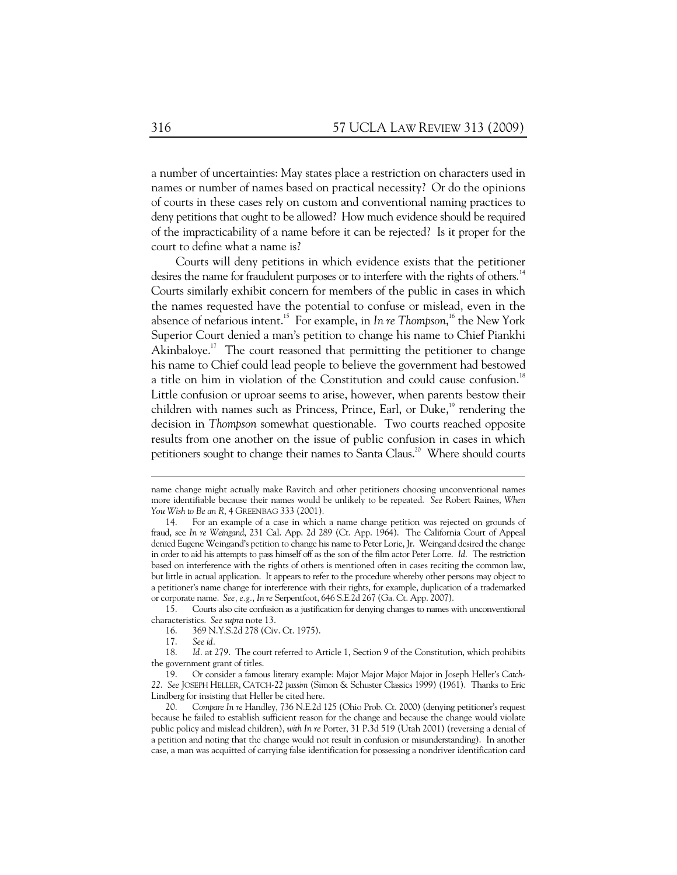a number of uncertainties: May states place a restriction on characters used in names or number of names based on practical necessity? Or do the opinions of courts in these cases rely on custom and conventional naming practices to deny petitions that ought to be allowed? How much evidence should be required of the impracticability of a name before it can be rejected? Is it proper for the court to define what a name is?

Courts will deny petitions in which evidence exists that the petitioner desires the name for fraudulent purposes or to interfere with the rights of others.<sup>14</sup> Courts similarly exhibit concern for members of the public in cases in which the names requested have the potential to confuse or mislead, even in the absence of nefarious intent.15 For example, in *In re Thompson*, 16 the New York Superior Court denied a man's petition to change his name to Chief Piankhi Akinbaloye.<sup>17</sup> The court reasoned that permitting the petitioner to change his name to Chief could lead people to believe the government had bestowed a title on him in violation of the Constitution and could cause confusion.<sup>18</sup> Little confusion or uproar seems to arise, however, when parents bestow their children with names such as Princess, Prince, Earl, or Duke, $^{19}$  rendering the decision in *Thompson* somewhat questionable. Two courts reached opposite results from one another on the issue of public confusion in cases in which petitioners sought to change their names to Santa Claus.<sup>20</sup> Where should courts

 15. Courts also cite confusion as a justification for denying changes to names with unconventional characteristics. *See supra* note 13.

17. *See id.*

name change might actually make Ravitch and other petitioners choosing unconventional names more identifiable because their names would be unlikely to be repeated. *See* Robert Raines, *When You Wish to Be an R*, 4 GREENBAG 333 (2001).

 <sup>14.</sup> For an example of a case in which a name change petition was rejected on grounds of fraud, see *In re Weingand*, 231 Cal. App. 2d 289 (Ct. App. 1964). The California Court of Appeal denied Eugene Weingand's petition to change his name to Peter Lorie, Jr. Weingand desired the change in order to aid his attempts to pass himself off as the son of the film actor Peter Lorre. *Id.* The restriction based on interference with the rights of others is mentioned often in cases reciting the common law, but little in actual application. It appears to refer to the procedure whereby other persons may object to a petitioner's name change for interference with their rights, for example, duplication of a trademarked or corporate name. *See, e.g.*, *In re* Serpentfoot, 646 S.E.2d 267 (Ga. Ct. App. 2007).

<sup>369</sup> N.Y.S.2d 278 (Civ. Ct. 1975).

 <sup>18.</sup> *Id.* at 279.The court referred to Article 1, Section 9 of the Constitution, which prohibits the government grant of titles.

 <sup>19.</sup> Or consider a famous literary example: Major Major Major Major in Joseph Heller's *Catch-22*. *See* JOSEPH HELLER, CATCH-22 *passim* (Simon & Schuster Classics 1999) (1961). Thanks to Eric Lindberg for insisting that Heller be cited here.

 <sup>20.</sup> *Compare In re* Handley, 736 N.E.2d 125 (Ohio Prob. Ct. 2000) (denying petitioner's request because he failed to establish sufficient reason for the change and because the change would violate public policy and mislead children), *with In re* Porter, 31 P.3d 519 (Utah 2001) (reversing a denial of a petition and noting that the change would not result in confusion or misunderstanding). In another case, a man was acquitted of carrying false identification for possessing a nondriver identification card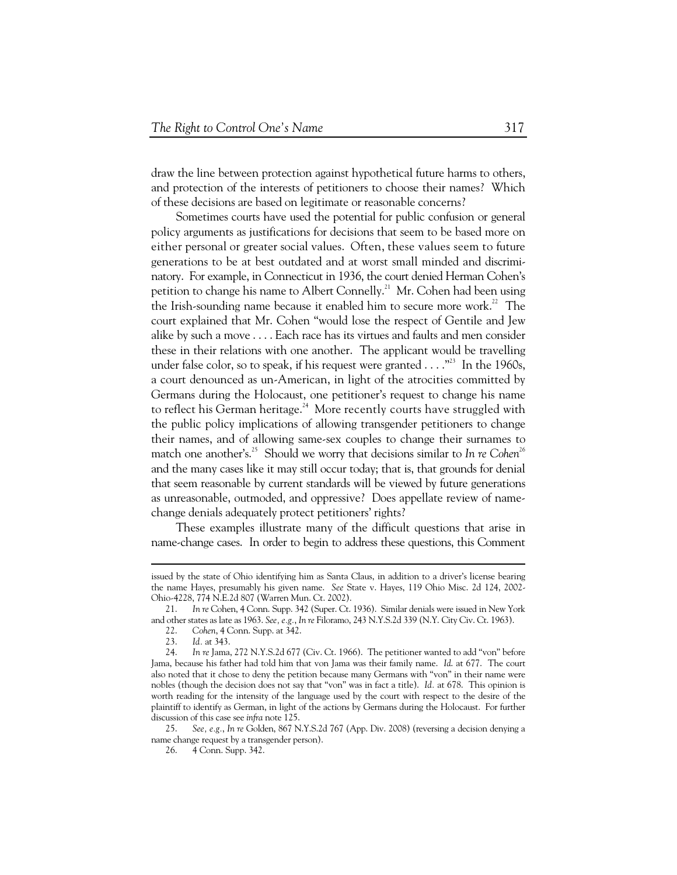draw the line between protection against hypothetical future harms to others, and protection of the interests of petitioners to choose their names? Which of these decisions are based on legitimate or reasonable concerns?

Sometimes courts have used the potential for public confusion or general policy arguments as justifications for decisions that seem to be based more on either personal or greater social values. Often, these values seem to future generations to be at best outdated and at worst small minded and discriminatory. For example, in Connecticut in 1936, the court denied Herman Cohen's petition to change his name to Albert Connelly.<sup>21</sup> Mr. Cohen had been using the Irish-sounding name because it enabled him to secure more work.<sup>22</sup> The court explained that Mr. Cohen "would lose the respect of Gentile and Jew alike by such a move . . . . Each race has its virtues and faults and men consider these in their relations with one another. The applicant would be travelling under false color, so to speak, if his request were granted  $\dots$ <sup>33</sup>. In the 1960s. a court denounced as un-American, in light of the atrocities committed by Germans during the Holocaust, one petitioner's request to change his name to reflect his German heritage.<sup>24</sup> More recently courts have struggled with the public policy implications of allowing transgender petitioners to change their names, and of allowing same-sex couples to change their surnames to match one another's.<sup>25</sup> Should we worry that decisions similar to *In re Cohen*<sup>26</sup> and the many cases like it may still occur today; that is, that grounds for denial that seem reasonable by current standards will be viewed by future generations as unreasonable, outmoded, and oppressive? Does appellate review of namechange denials adequately protect petitioners' rights?

These examples illustrate many of the difficult questions that arise in name-change cases. In order to begin to address these questions, this Comment

 $\ddot{\phantom{a}}$ 

issued by the state of Ohio identifying him as Santa Claus, in addition to a driver's license bearing the name Hayes, presumably his given name. *See* State v. Hayes, 119 Ohio Misc. 2d 124, 2002- Ohio-4228, 774 N.E.2d 807 (Warren Mun. Ct. 2002).

 <sup>21.</sup> *In re* Cohen, 4 Conn. Supp. 342 (Super. Ct. 1936). Similar denials were issued in New York and other states as late as 1963. *See, e.g.*, *In re* Filoramo, 243 N.Y.S.2d 339 (N.Y. City Civ. Ct. 1963).

 <sup>22.</sup> *Cohen*, 4 Conn. Supp. at 342.

 <sup>23.</sup> *Id.* at 343.

 <sup>24.</sup> *In re* Jama, 272 N.Y.S.2d 677 (Civ. Ct. 1966). The petitioner wanted to add "von" before Jama, because his father had told him that von Jama was their family name. *Id*. at 677. The court also noted that it chose to deny the petition because many Germans with "von" in their name were nobles (though the decision does not say that "von" was in fact a title). *Id.* at 678. This opinion is worth reading for the intensity of the language used by the court with respect to the desire of the plaintiff to identify as German, in light of the actions by Germans during the Holocaust. For further discussion of this case see *infra* note 125.

 <sup>25.</sup> *See, e.g.*, *In re* Golden, 867 N.Y.S.2d 767 (App. Div. 2008) (reversing a decision denying a name change request by a transgender person).

 <sup>26. 4</sup> Conn. Supp. 342.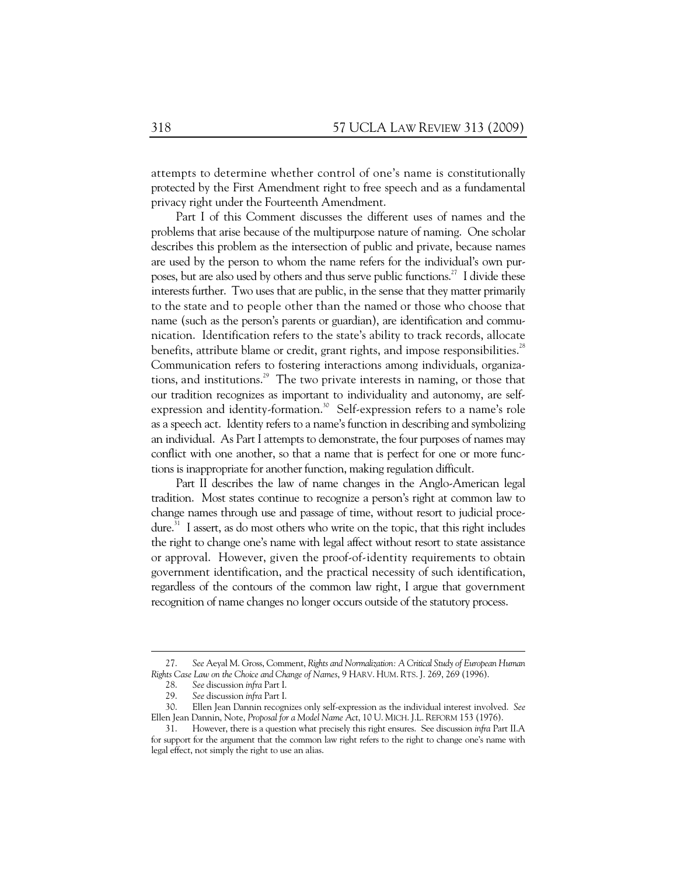attempts to determine whether control of one's name is constitutionally protected by the First Amendment right to free speech and as a fundamental privacy right under the Fourteenth Amendment.

Part I of this Comment discusses the different uses of names and the problems that arise because of the multipurpose nature of naming. One scholar describes this problem as the intersection of public and private, because names are used by the person to whom the name refers for the individual's own purposes, but are also used by others and thus serve public functions.<sup>27</sup> I divide these interests further. Two uses that are public, in the sense that they matter primarily to the state and to people other than the named or those who choose that name (such as the person's parents or guardian), are identification and communication. Identification refers to the state's ability to track records, allocate benefits, attribute blame or credit, grant rights, and impose responsibilities.<sup>28</sup> Communication refers to fostering interactions among individuals, organizations, and institutions.<sup>29</sup> The two private interests in naming, or those that our tradition recognizes as important to individuality and autonomy, are selfexpression and identity-formation.<sup>30</sup> Self-expression refers to a name's role as a speech act. Identity refers to a name's function in describing and symbolizing an individual. As Part I attempts to demonstrate, the four purposes of names may conflict with one another, so that a name that is perfect for one or more functions is inappropriate for another function, making regulation difficult.

Part II describes the law of name changes in the Anglo-American legal tradition. Most states continue to recognize a person's right at common law to change names through use and passage of time, without resort to judicial procedure.<sup>31</sup> I assert, as do most others who write on the topic, that this right includes the right to change one's name with legal affect without resort to state assistance or approval. However, given the proof-of-identity requirements to obtain government identification, and the practical necessity of such identification, regardless of the contours of the common law right, I argue that government recognition of name changes no longer occurs outside of the statutory process.

 <sup>27.</sup> *See* Aeyal M. Gross, Comment, *Rights and Normalization: A Critical Study of European Human Rights Case Law on the Choice and Change of Names*, 9 HARV. HUM. RTS. J. 269, 269 (1996).

 <sup>28.</sup> *See* discussion *infra* Part I.

 <sup>29.</sup> *See* discussion *infra* Part I.

 <sup>30.</sup> Ellen Jean Dannin recognizes only self-expression as the individual interest involved. *See*  Ellen Jean Dannin, Note, *Proposal for a Model Name Act*, 10 U. MICH. J.L. REFORM 153 (1976).

 <sup>31.</sup> However, there is a question what precisely this right ensures. See discussion *infra* Part II.A for support for the argument that the common law right refers to the right to change one's name with legal effect, not simply the right to use an alias.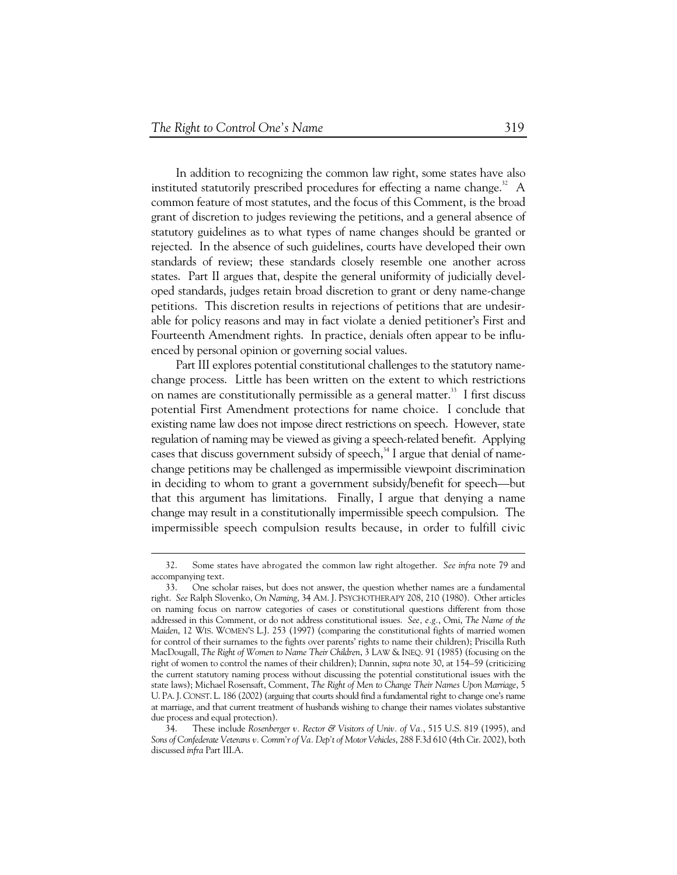In addition to recognizing the common law right, some states have also instituted statutorily prescribed procedures for effecting a name change.<sup>32</sup> A common feature of most statutes, and the focus of this Comment, is the broad grant of discretion to judges reviewing the petitions, and a general absence of statutory guidelines as to what types of name changes should be granted or rejected. In the absence of such guidelines, courts have developed their own standards of review; these standards closely resemble one another across states. Part II argues that, despite the general uniformity of judicially developed standards, judges retain broad discretion to grant or deny name-change petitions. This discretion results in rejections of petitions that are undesirable for policy reasons and may in fact violate a denied petitioner's First and Fourteenth Amendment rights. In practice, denials often appear to be influenced by personal opinion or governing social values.

Part III explores potential constitutional challenges to the statutory namechange process. Little has been written on the extent to which restrictions on names are constitutionally permissible as a general matter.<sup>33</sup> I first discuss potential First Amendment protections for name choice. I conclude that existing name law does not impose direct restrictions on speech. However, state regulation of naming may be viewed as giving a speech-related benefit. Applying cases that discuss government subsidy of speech,<sup>34</sup> I argue that denial of namechange petitions may be challenged as impermissible viewpoint discrimination in deciding to whom to grant a government subsidy/benefit for speech—but that this argument has limitations. Finally, I argue that denying a name change may result in a constitutionally impermissible speech compulsion. The impermissible speech compulsion results because, in order to fulfill civic

 <sup>32.</sup> Some states have abrogated the common law right altogether. *See infra* note 79 and accompanying text.

 <sup>33.</sup> One scholar raises, but does not answer, the question whether names are a fundamental right. *See* Ralph Slovenko, *On Naming*, 34 AM. J. PSYCHOTHERAPY 208, 210 (1980). Other articles on naming focus on narrow categories of cases or constitutional questions different from those addressed in this Comment, or do not address constitutional issues. *See, e.g.*, Omi, *The Name of the Maiden*, 12 WIS. WOMEN'S L.J. 253 (1997) (comparing the constitutional fights of married women for control of their surnames to the fights over parents' rights to name their children); Priscilla Ruth MacDougall, *The Right of Women to Name Their Children*, 3 LAW & INEQ. 91 (1985) (focusing on the right of women to control the names of their children); Dannin, *supra* note 30, at 154–59 (criticizing the current statutory naming process without discussing the potential constitutional issues with the state laws); Michael Rosensaft, Comment, *The Right of Men to Change Their Names Upon Marriage*, 5 U. PA.J. CONST. L. 186 (2002) (arguing that courts should find a fundamental right to change one's name at marriage, and that current treatment of husbands wishing to change their names violates substantive due process and equal protection).

 <sup>34.</sup> These include *Rosenberger v. Rector & Visitors of Univ. of Va.*, 515 U.S. 819 (1995), and *Sons of Confederate Veterans v. Comm'r of Va. Dep't of Motor Vehicles*, 288 F.3d 610 (4th Cir. 2002), both discussed *infra* Part III.A.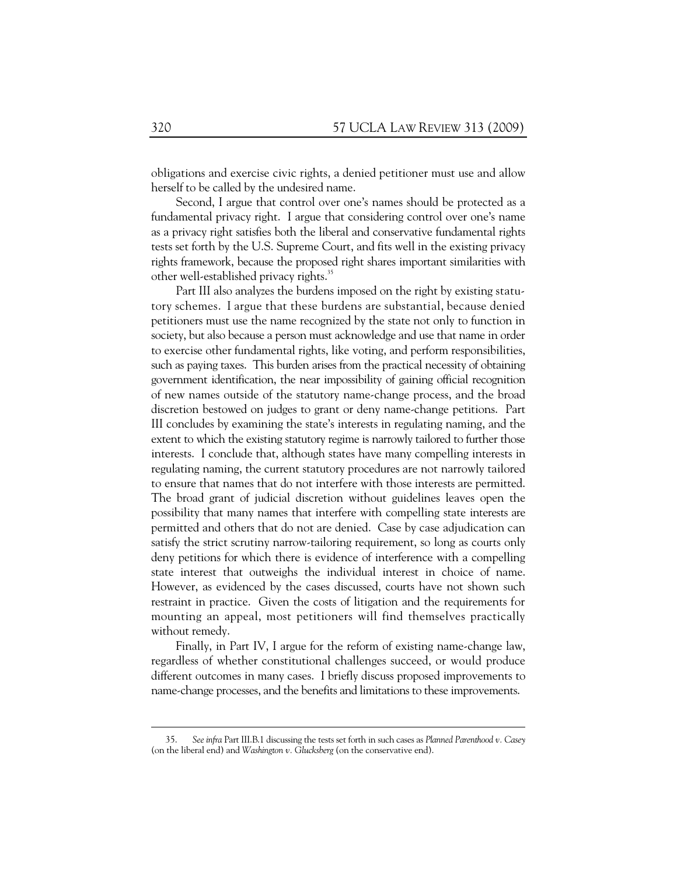obligations and exercise civic rights, a denied petitioner must use and allow herself to be called by the undesired name.

Second, I argue that control over one's names should be protected as a fundamental privacy right. I argue that considering control over one's name as a privacy right satisfies both the liberal and conservative fundamental rights tests set forth by the U.S. Supreme Court, and fits well in the existing privacy rights framework, because the proposed right shares important similarities with other well-established privacy rights.<sup>35</sup>

Part III also analyzes the burdens imposed on the right by existing statutory schemes. I argue that these burdens are substantial, because denied petitioners must use the name recognized by the state not only to function in society, but also because a person must acknowledge and use that name in order to exercise other fundamental rights, like voting, and perform responsibilities, such as paying taxes. This burden arises from the practical necessity of obtaining government identification, the near impossibility of gaining official recognition of new names outside of the statutory name-change process, and the broad discretion bestowed on judges to grant or deny name-change petitions. Part III concludes by examining the state's interests in regulating naming, and the extent to which the existing statutory regime is narrowly tailored to further those interests. I conclude that, although states have many compelling interests in regulating naming, the current statutory procedures are not narrowly tailored to ensure that names that do not interfere with those interests are permitted. The broad grant of judicial discretion without guidelines leaves open the possibility that many names that interfere with compelling state interests are permitted and others that do not are denied. Case by case adjudication can satisfy the strict scrutiny narrow-tailoring requirement, so long as courts only deny petitions for which there is evidence of interference with a compelling state interest that outweighs the individual interest in choice of name. However, as evidenced by the cases discussed, courts have not shown such restraint in practice. Given the costs of litigation and the requirements for mounting an appeal, most petitioners will find themselves practically without remedy.

Finally, in Part IV, I argue for the reform of existing name-change law, regardless of whether constitutional challenges succeed, or would produce different outcomes in many cases. I briefly discuss proposed improvements to name-change processes, and the benefits and limitations to these improvements.

 <sup>35.</sup> *See infra* Part III.B.1 discussing the tests set forth in such cases as *Planned Parenthood v. Casey* (on the liberal end) and *Washington v. Glucksberg* (on the conservative end).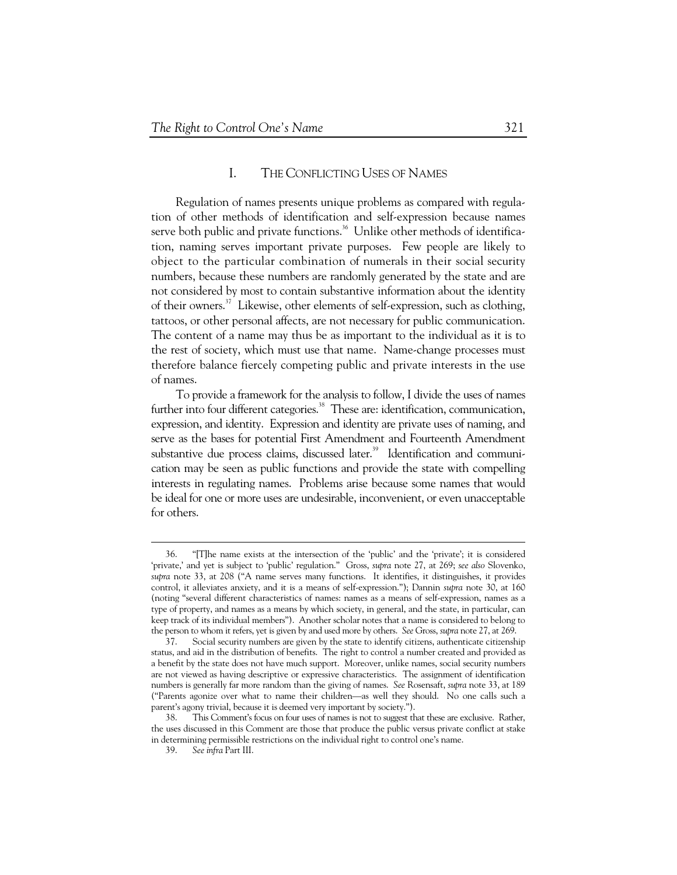## I. THE CONFLICTING USES OF NAMES

Regulation of names presents unique problems as compared with regulation of other methods of identification and self-expression because names serve both public and private functions.<sup>36</sup> Unlike other methods of identification, naming serves important private purposes. Few people are likely to object to the particular combination of numerals in their social security numbers, because these numbers are randomly generated by the state and are not considered by most to contain substantive information about the identity of their owners.<sup>37</sup> Likewise, other elements of self-expression, such as clothing, tattoos, or other personal affects, are not necessary for public communication. The content of a name may thus be as important to the individual as it is to the rest of society, which must use that name. Name-change processes must therefore balance fiercely competing public and private interests in the use of names.

To provide a framework for the analysis to follow, I divide the uses of names further into four different categories.<sup>38</sup> These are: identification, communication, expression, and identity. Expression and identity are private uses of naming, and serve as the bases for potential First Amendment and Fourteenth Amendment substantive due process claims, discussed later.<sup>39</sup> Identification and communication may be seen as public functions and provide the state with compelling interests in regulating names. Problems arise because some names that would be ideal for one or more uses are undesirable, inconvenient, or even unacceptable for others.

 <sup>36. &</sup>quot;[T]he name exists at the intersection of the 'public' and the 'private'; it is considered 'private,' and yet is subject to 'public' regulation." Gross, *supra* note 27, at 269; *see also* Slovenko, *supra* note 33, at 208 ("A name serves many functions. It identifies, it distinguishes, it provides control, it alleviates anxiety, and it is a means of self-expression."); Dannin *supra* note 30, at 160 (noting "several different characteristics of names: names as a means of self-expression, names as a type of property, and names as a means by which society, in general, and the state, in particular, can keep track of its individual members"). Another scholar notes that a name is considered to belong to the person to whom it refers, yet is given by and used more by others. *See* Gross, *supra* note 27, at 269.

 <sup>37.</sup> Social security numbers are given by the state to identify citizens, authenticate citizenship status, and aid in the distribution of benefits. The right to control a number created and provided as a benefit by the state does not have much support. Moreover, unlike names, social security numbers are not viewed as having descriptive or expressive characteristics. The assignment of identification numbers is generally far more random than the giving of names. *See* Rosensaft, *supra* note 33, at 189 ("Parents agonize over what to name their children—as well they should. No one calls such a parent's agony trivial, because it is deemed very important by society.").

 <sup>38.</sup> This Comment's focus on four uses of names is not to suggest that these are exclusive. Rather, the uses discussed in this Comment are those that produce the public versus private conflict at stake in determining permissible restrictions on the individual right to control one's name.

 <sup>39.</sup> *See infra* Part III.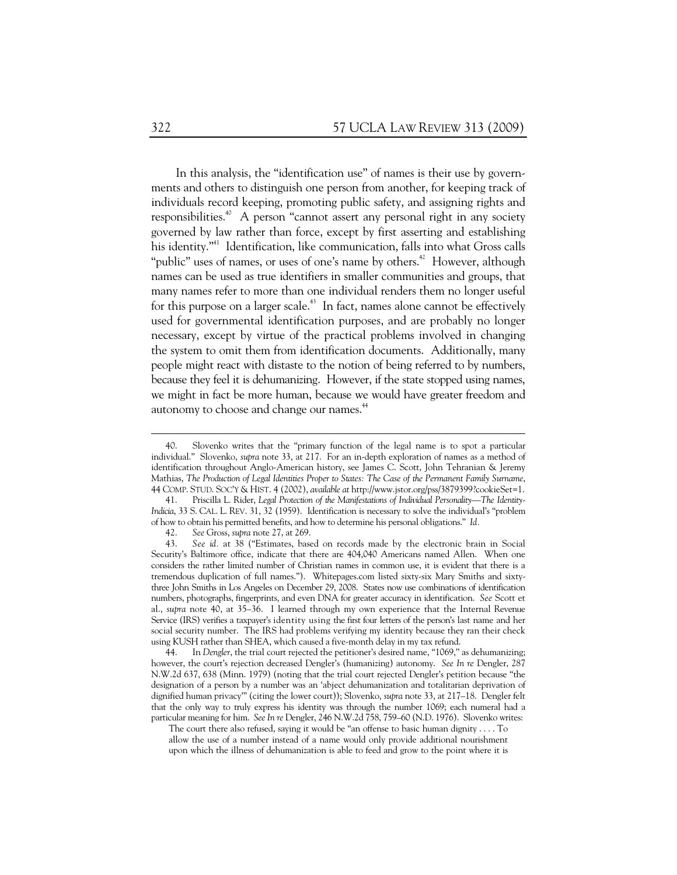In this analysis, the "identification use" of names is their use by governments and others to distinguish one person from another, for keeping track of individuals record keeping, promoting public safety, and assigning rights and responsibilities.<sup> $40$ </sup> A person "cannot assert any personal right in any society governed by law rather than force, except by first asserting and establishing his identity."<sup>41</sup> Identification, like communication, falls into what Gross calls "public" uses of names, or uses of one's name by others.<sup>42</sup> However, although names can be used as true identifiers in smaller communities and groups, that many names refer to more than one individual renders them no longer useful for this purpose on a larger scale.<sup> $43$ </sup> In fact, names alone cannot be effectively used for governmental identification purposes, and are probably no longer necessary, except by virtue of the practical problems involved in changing the system to omit them from identification documents. Additionally, many people might react with distaste to the notion of being referred to by numbers, because they feel it is dehumanizing. However, if the state stopped using names, we might in fact be more human, because we would have greater freedom and autonomy to choose and change our names.<sup>44</sup>

 44. In *Dengler*, the trial court rejected the petitioner's desired name, "1069," as dehumanizing; however, the court's rejection decreased Dengler's (humanizing) autonomy. *See In re* Dengler, 287 N.W.2d 637, 638 (Minn. 1979) (noting that the trial court rejected Dengler's petition because "the designation of a person by a number was an 'abject dehumanization and totalitarian deprivation of dignified human privacy'" (citing the lower court)); Slovenko, *supra* note 33, at 217–18. Dengler felt that the only way to truly express his identity was through the number 1069; each numeral had a particular meaning for him. *See In re* Dengler, 246 N.W.2d 758, 759–60 (N.D. 1976). Slovenko writes:

The court there also refused, saying it would be "an offense to basic human dignity . . . . To allow the use of a number instead of a name would only provide additional nourishment upon which the illness of dehumanization is able to feed and grow to the point where it is

 <sup>40.</sup> Slovenko writes that the "primary function of the legal name is to spot a particular individual." Slovenko, *supra* note 33, at 217. For an in-depth exploration of names as a method of identification throughout Anglo-American history, see James C. Scott, John Tehranian & Jeremy Mathias, *The Production of Legal Identities Proper to States: The Case of the Permanent Family Surname*, 44 COMP. STUD. SOC'Y & HIST. 4 (2002), *available at* http://www.jstor.org/pss/3879399?cookieSet=1.

 <sup>41.</sup> Priscilla L. Rider, *Legal Protection of the Manifestations of Individual Personality—The Identity-Indicia*, 33 S. CAL. L. REV. 31, 32 (1959). Identification is necessary to solve the individual's "problem of how to obtain his permitted benefits, and how to determine his personal obligations." *Id.* 

 <sup>42.</sup> *See* Gross, *supra* note 27, at 269.

 <sup>43.</sup> *See id.* at 38 ("Estimates, based on records made by the electronic brain in Social Security's Baltimore office, indicate that there are 404,040 Americans named Allen. When one considers the rather limited number of Christian names in common use, it is evident that there is a tremendous duplication of full names."). Whitepages.com listed sixty-six Mary Smiths and sixtythree John Smiths in Los Angeles on December 29, 2008. States now use combinations of identification numbers, photographs, fingerprints, and even DNA for greater accuracy in identification. *See* Scott et al., *supra* note 40, at 35–36. I learned through my own experience that the Internal Revenue Service (IRS) verifies a taxpayer's identity using the first four letters of the person's last name and her social security number. The IRS had problems verifying my identity because they ran their check using KUSH rather than SHEA, which caused a five-month delay in my tax refund.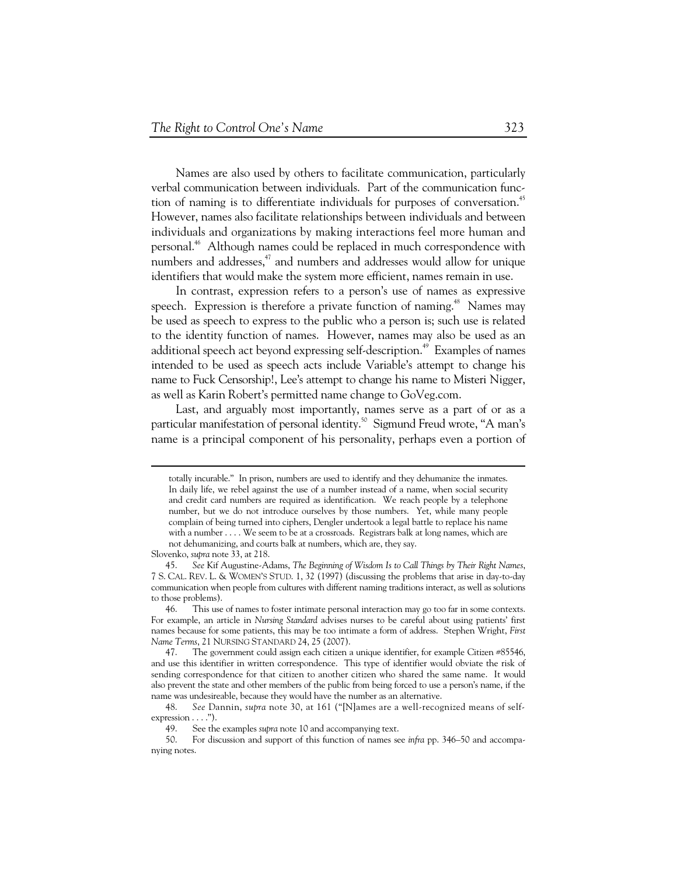Names are also used by others to facilitate communication, particularly verbal communication between individuals. Part of the communication function of naming is to differentiate individuals for purposes of conversation.<sup>45</sup> However, names also facilitate relationships between individuals and between individuals and organizations by making interactions feel more human and personal.<sup>46</sup> Although names could be replaced in much correspondence with numbers and addresses,<sup>47</sup> and numbers and addresses would allow for unique identifiers that would make the system more efficient, names remain in use.

In contrast, expression refers to a person's use of names as expressive speech. Expression is therefore a private function of naming.<sup>48</sup> Names may be used as speech to express to the public who a person is; such use is related to the identity function of names. However, names may also be used as an additional speech act beyond expressing self-description.<sup>49</sup> Examples of names intended to be used as speech acts include Variable's attempt to change his name to Fuck Censorship!, Lee's attempt to change his name to Misteri Nigger, as well as Karin Robert's permitted name change to GoVeg.com.

Last, and arguably most importantly, names serve as a part of or as a particular manifestation of personal identity.<sup>50</sup> Sigmund Freud wrote, "A man's name is a principal component of his personality, perhaps even a portion of

totally incurable." In prison, numbers are used to identify and they dehumanize the inmates. In daily life, we rebel against the use of a number instead of a name, when social security and credit card numbers are required as identification. We reach people by a telephone number, but we do not introduce ourselves by those numbers. Yet, while many people complain of being turned into ciphers, Dengler undertook a legal battle to replace his name with a number . . . . We seem to be at a crossroads. Registrars balk at long names, which are not dehumanizing, and courts balk at numbers, which are, they say.

Slovenko, *supra* note 33, at 218.

 <sup>45.</sup> *See* Kif Augustine-Adams, *The Beginning of Wisdom Is to Call Things by Their Right Names*, 7 S. CAL. REV. L. & WOMEN'S STUD. 1, 32 (1997) (discussing the problems that arise in day-to-day communication when people from cultures with different naming traditions interact, as well as solutions to those problems).

 <sup>46.</sup> This use of names to foster intimate personal interaction may go too far in some contexts. For example, an article in *Nursing Standard* advises nurses to be careful about using patients' first names because for some patients, this may be too intimate a form of address. Stephen Wright, *First Name Terms*, 21 NURSING STANDARD 24, 25 (2007).

 <sup>47.</sup> The government could assign each citizen a unique identifier, for example Citizen #85546, and use this identifier in written correspondence. This type of identifier would obviate the risk of sending correspondence for that citizen to another citizen who shared the same name. It would also prevent the state and other members of the public from being forced to use a person's name, if the name was undesireable, because they would have the number as an alternative.

 <sup>48.</sup> *See* Dannin, *supra* note 30, at 161 ("[N]ames are a well-recognized means of selfexpression  $\dots$ .").

 <sup>49.</sup> See the examples *supra* note 10 and accompanying text.

 <sup>50.</sup> For discussion and support of this function of names see *infra* pp. 346–50 and accompanying notes.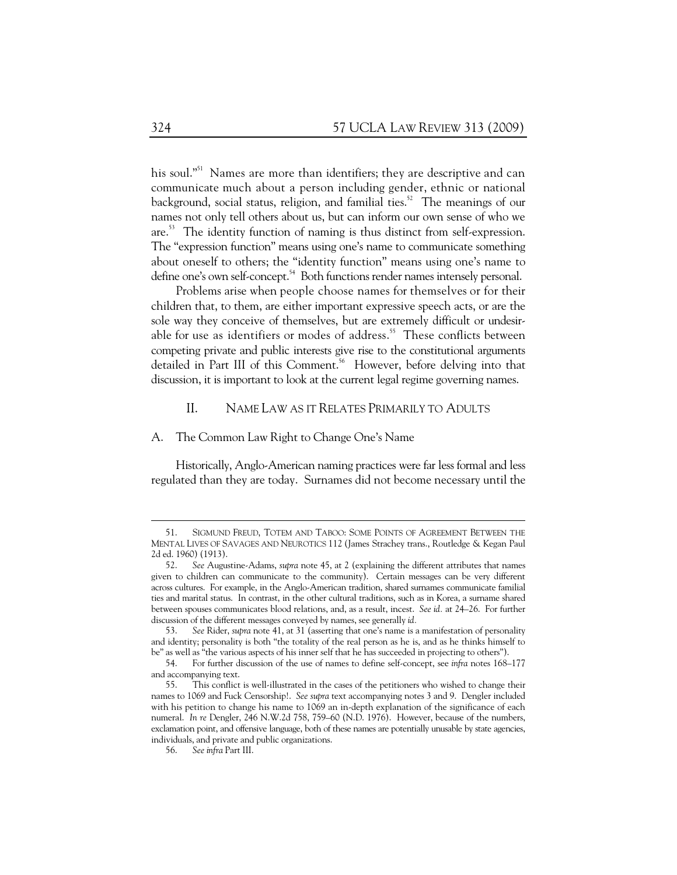his soul."<sup>51</sup> Names are more than identifiers; they are descriptive and can communicate much about a person including gender, ethnic or national background, social status, religion, and familial ties.<sup>52</sup> The meanings of our names not only tell others about us, but can inform our own sense of who we are.53 The identity function of naming is thus distinct from self-expression. The "expression function" means using one's name to communicate something about oneself to others; the "identity function" means using one's name to define one's own self-concept.<sup>54</sup> Both functions render names intensely personal.

Problems arise when people choose names for themselves or for their children that, to them, are either important expressive speech acts, or are the sole way they conceive of themselves, but are extremely difficult or undesirable for use as identifiers or modes of address.<sup>55</sup> These conflicts between competing private and public interests give rise to the constitutional arguments detailed in Part III of this Comment.<sup>56</sup> However, before delving into that discussion, it is important to look at the current legal regime governing names.

### II. NAME LAW AS IT RELATES PRIMARILY TO ADULTS

#### A. The Common Law Right to Change One's Name

Historically, Anglo-American naming practices were far less formal and less regulated than they are today. Surnames did not become necessary until the

 <sup>51.</sup> SIGMUND FREUD, TOTEM AND TABOO: SOME POINTS OF AGREEMENT BETWEEN THE MENTAL LIVES OF SAVAGES AND NEUROTICS 112 (James Strachey trans., Routledge & Kegan Paul 2d ed. 1960) (1913).

 <sup>52.</sup> *See* Augustine-Adams, *supra* note 45, at 2 (explaining the different attributes that names given to children can communicate to the community). Certain messages can be very different across cultures. For example, in the Anglo-American tradition, shared surnames communicate familial ties and marital status. In contrast, in the other cultural traditions, such as in Korea, a surname shared between spouses communicates blood relations, and, as a result, incest. *See id.* at 24–26. For further discussion of the different messages conveyed by names, see generally *id.*

 <sup>53.</sup> *See* Rider, *supra* note 41, at 31 (asserting that one's name is a manifestation of personality and identity; personality is both "the totality of the real person as he is, and as he thinks himself to be" as well as "the various aspects of his inner self that he has succeeded in projecting to others").

 <sup>54.</sup> For further discussion of the use of names to define self-concept, see *infra* notes 168–177 and accompanying text.

 <sup>55.</sup> This conflict is well-illustrated in the cases of the petitioners who wished to change their names to 1069 and Fuck Censorship!. *See supra* text accompanying notes 3 and 9. Dengler included with his petition to change his name to 1069 an in-depth explanation of the significance of each numeral. *In re* Dengler, 246 N.W.2d 758, 759–60 (N.D. 1976). However, because of the numbers, exclamation point, and offensive language, both of these names are potentially unusable by state agencies, individuals, and private and public organizations.

 <sup>56.</sup> *See infra* Part III.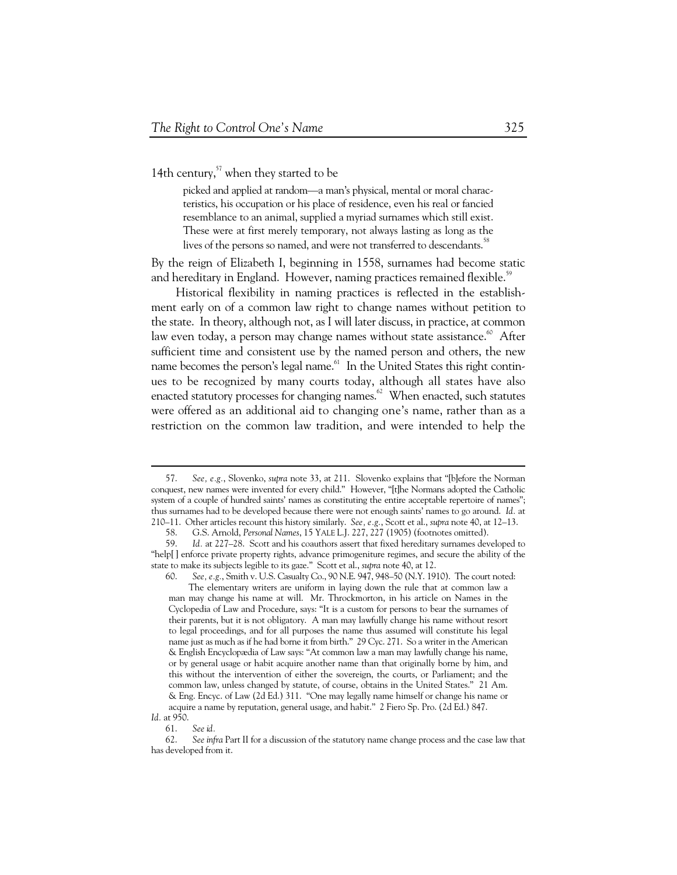14th century, $57$  when they started to be

picked and applied at random—a man's physical, mental or moral characteristics, his occupation or his place of residence, even his real or fancied resemblance to an animal, supplied a myriad surnames which still exist. These were at first merely temporary, not always lasting as long as the lives of the persons so named, and were not transferred to descendants.<sup>58</sup>

By the reign of Elizabeth I, beginning in 1558, surnames had become static and hereditary in England. However, naming practices remained flexible.<sup>55</sup>

Historical flexibility in naming practices is reflected in the establishment early on of a common law right to change names without petition to the state. In theory, although not, as I will later discuss, in practice, at common law even today, a person may change names without state assistance.<sup>60</sup> After sufficient time and consistent use by the named person and others, the new name becomes the person's legal name.<sup>61</sup> In the United States this right continues to be recognized by many courts today, although all states have also enacted statutory processes for changing names.<sup>62</sup> When enacted, such statutes were offered as an additional aid to changing one's name, rather than as a restriction on the common law tradition, and were intended to help the

 <sup>57.</sup> *See, e.g.*, Slovenko, *supra* note 33, at 211. Slovenko explains that "[b]efore the Norman conquest, new names were invented for every child." However, "[t]he Normans adopted the Catholic system of a couple of hundred saints' names as constituting the entire acceptable repertoire of names"; thus surnames had to be developed because there were not enough saints' names to go around. *Id.* at 210–11. Other articles recount this history similarly. *See, e.g.*, Scott et al., *supra* note 40, at 12–13.

 <sup>58.</sup> G.S. Arnold, *Personal Names*, 15 YALE L.J. 227, 227 (1905) (footnotes omitted).

Id. at 227-28. Scott and his coauthors assert that fixed hereditary surnames developed to "help[ ] enforce private property rights, advance primogeniture regimes, and secure the ability of the state to make its subjects legible to its gaze." Scott et al., *supra* note 40, at 12.

 <sup>60.</sup> *See, e.g.*, Smith v. U.S. Casualty Co., 90 N.E. 947, 948–50 (N.Y. 1910). The court noted: The elementary writers are uniform in laying down the rule that at common law a man may change his name at will. Mr. Throckmorton, in his article on Names in the Cyclopedia of Law and Procedure, says: "It is a custom for persons to bear the surnames of their parents, but it is not obligatory. A man may lawfully change his name without resort to legal proceedings, and for all purposes the name thus assumed will constitute his legal name just as much as if he had borne it from birth." 29 Cyc. 271. So a writer in the American & English Encyclopædia of Law says: "At common law a man may lawfully change his name, or by general usage or habit acquire another name than that originally borne by him, and this without the intervention of either the sovereign, the courts, or Parliament; and the common law, unless changed by statute, of course, obtains in the United States." 21 Am. & Eng. Encyc. of Law (2d Ed.) 311. "One may legally name himself or change his name or acquire a name by reputation, general usage, and habit." 2 Fiero Sp. Pro. (2d Ed.) 847.

*Id.* at 950.

 <sup>61.</sup> *See id.* 

 <sup>62.</sup> *See infra* Part II for a discussion of the statutory name change process and the case law that has developed from it.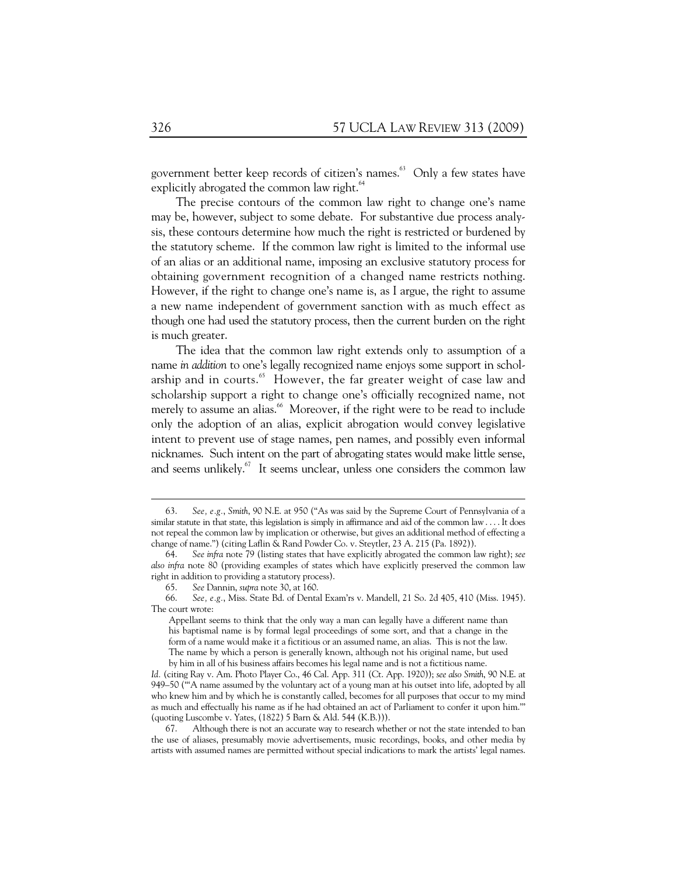government better keep records of citizen's names.<sup>63</sup> Only a few states have explicitly abrogated the common law right.<sup>64</sup>

The precise contours of the common law right to change one's name may be, however, subject to some debate. For substantive due process analysis, these contours determine how much the right is restricted or burdened by the statutory scheme. If the common law right is limited to the informal use of an alias or an additional name, imposing an exclusive statutory process for obtaining government recognition of a changed name restricts nothing. However, if the right to change one's name is, as I argue, the right to assume a new name independent of government sanction with as much effect as though one had used the statutory process, then the current burden on the right is much greater.

The idea that the common law right extends only to assumption of a name *in addition* to one's legally recognized name enjoys some support in scholarship and in courts.<sup>65</sup> However, the far greater weight of case law and scholarship support a right to change one's officially recognized name, not merely to assume an alias.<sup>66</sup> Moreover, if the right were to be read to include only the adoption of an alias, explicit abrogation would convey legislative intent to prevent use of stage names, pen names, and possibly even informal nicknames. Such intent on the part of abrogating states would make little sense, and seems unlikely. $67$  It seems unclear, unless one considers the common law

 <sup>63.</sup> *See, e.g.*, *Smith*, 90 N.E. at 950 ("As was said by the Supreme Court of Pennsylvania of a similar statute in that state, this legislation is simply in affirmance and aid of the common law . . . . It does not repeal the common law by implication or otherwise, but gives an additional method of effecting a change of name.") (citing Laflin & Rand Powder Co. v. Steytler, 23 A. 215 (Pa. 1892)).

 <sup>64.</sup> *See infra* note 79 (listing states that have explicitly abrogated the common law right); *see also infra* note 80 (providing examples of states which have explicitly preserved the common law right in addition to providing a statutory process).

 <sup>65.</sup> *See* Dannin, *supra* note 30, at 160.

 <sup>66.</sup> *See, e.g.*, Miss. State Bd. of Dental Exam'rs v. Mandell, 21 So. 2d 405, 410 (Miss. 1945). The court wrote:

Appellant seems to think that the only way a man can legally have a different name than his baptismal name is by formal legal proceedings of some sort, and that a change in the form of a name would make it a fictitious or an assumed name, an alias. This is not the law. The name by which a person is generally known, although not his original name, but used by him in all of his business affairs becomes his legal name and is not a fictitious name.

*Id.* (citing Ray v. Am. Photo Player Co., 46 Cal. App. 311 (Ct. App. 1920)); *see also Smith*, 90 N.E. at 949–50 ("'A name assumed by the voluntary act of a young man at his outset into life, adopted by all who knew him and by which he is constantly called, becomes for all purposes that occur to my mind as much and effectually his name as if he had obtained an act of Parliament to confer it upon him.'" (quoting Luscombe v. Yates, (1822) 5 Barn & Ald. 544 (K.B.))).

 <sup>67.</sup> Although there is not an accurate way to research whether or not the state intended to ban the use of aliases, presumably movie advertisements, music recordings, books, and other media by artists with assumed names are permitted without special indications to mark the artists' legal names.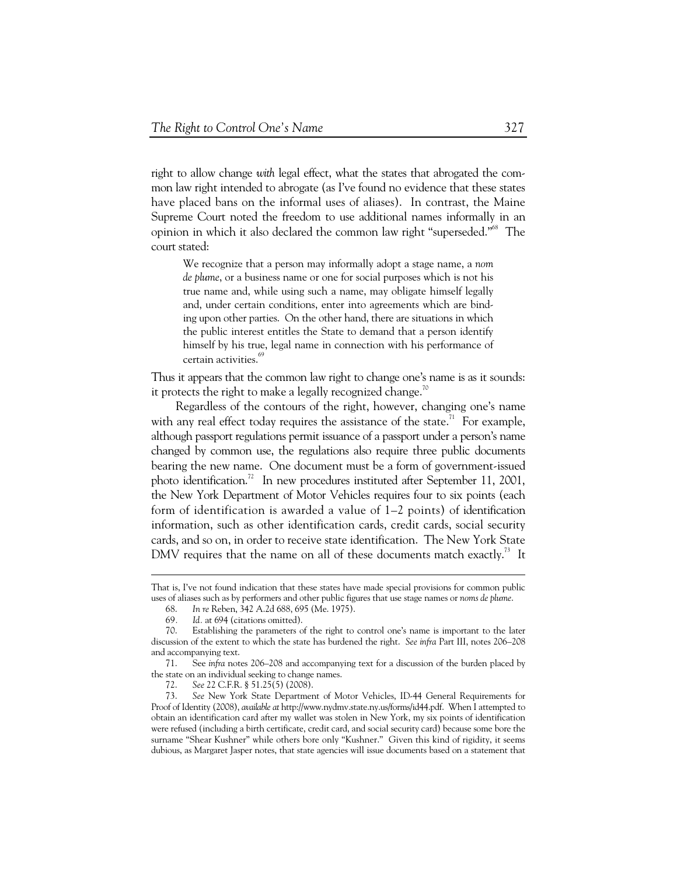right to allow change *with* legal effect, what the states that abrogated the common law right intended to abrogate (as I've found no evidence that these states have placed bans on the informal uses of aliases). In contrast, the Maine Supreme Court noted the freedom to use additional names informally in an opinion in which it also declared the common law right "superseded."68 The court stated:

We recognize that a person may informally adopt a stage name, a *nom de plume*, or a business name or one for social purposes which is not his true name and, while using such a name, may obligate himself legally and, under certain conditions, enter into agreements which are binding upon other parties. On the other hand, there are situations in which the public interest entitles the State to demand that a person identify himself by his true, legal name in connection with his performance of certain activities.<sup>69</sup>

Thus it appears that the common law right to change one's name is as it sounds: it protects the right to make a legally recognized change.<sup>70</sup>

Regardless of the contours of the right, however, changing one's name with any real effect today requires the assistance of the state.<sup>71</sup> For example, although passport regulations permit issuance of a passport under a person's name changed by common use, the regulations also require three public documents bearing the new name. One document must be a form of government-issued photo identification.<sup>72</sup> In new procedures instituted after September 11, 2001, the New York Department of Motor Vehicles requires four to six points (each form of identification is awarded a value of 1–2 points) of identification information, such as other identification cards, credit cards, social security cards, and so on, in order to receive state identification. The New York State DMV requires that the name on all of these documents match exactly.<sup>73</sup> It

That is, I've not found indication that these states have made special provisions for common public uses of aliases such as by performers and other public figures that use stage names or *noms de plume*.

 <sup>68.</sup> *In re* Reben, 342 A.2d 688, 695 (Me. 1975).

<sup>69.</sup> *Id.* at 694 (citations omitted).<br>70. Establishing the parameters o

Establishing the parameters of the right to control one's name is important to the later discussion of the extent to which the state has burdened the right. *See infra* Part III, notes 206–208 and accompanying text.

 <sup>71.</sup> See *infra* notes 206–208 and accompanying text for a discussion of the burden placed by the state on an individual seeking to change names.

 <sup>72.</sup> *See* 22 C.F.R. § 51.25(5) (2008).

 <sup>73.</sup> *See* New York State Department of Motor Vehicles, ID-44 General Requirements for Proof of Identity (2008), *available at* http://www.nydmv.state.ny.us/forms/id44.pdf. When I attempted to obtain an identification card after my wallet was stolen in New York, my six points of identification were refused (including a birth certificate, credit card, and social security card) because some bore the surname "Shear Kushner" while others bore only "Kushner." Given this kind of rigidity, it seems dubious, as Margaret Jasper notes, that state agencies will issue documents based on a statement that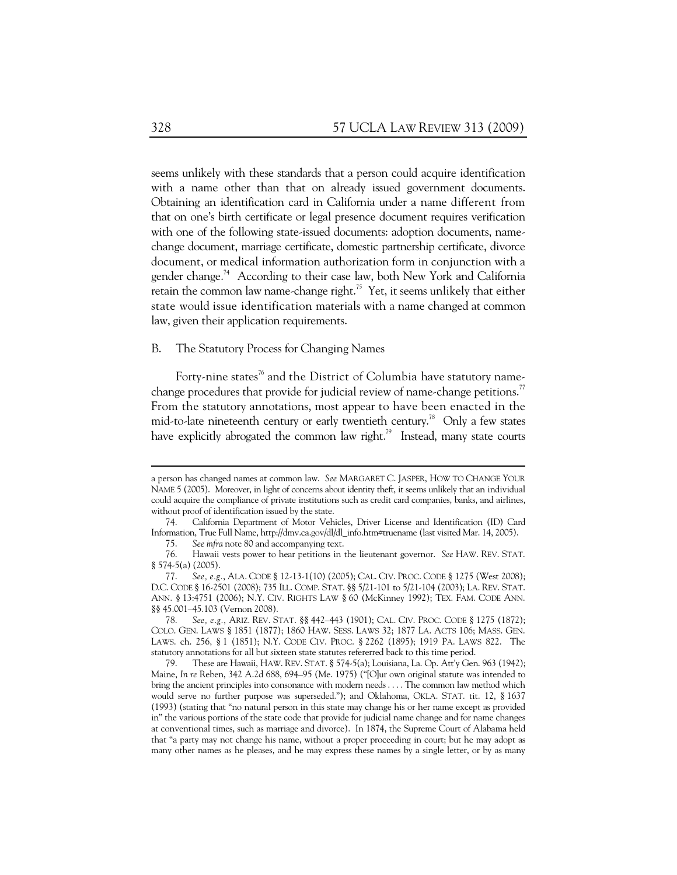seems unlikely with these standards that a person could acquire identification with a name other than that on already issued government documents. Obtaining an identification card in California under a name different from that on one's birth certificate or legal presence document requires verification with one of the following state-issued documents: adoption documents, namechange document, marriage certificate, domestic partnership certificate, divorce document, or medical information authorization form in conjunction with a gender change.<sup>74</sup> According to their case law, both New York and California retain the common law name-change right.<sup>75</sup> Yet, it seems unlikely that either state would issue identification materials with a name changed at common law, given their application requirements.

#### B. The Statutory Process for Changing Names

Forty-nine states<sup>76</sup> and the District of Columbia have statutory namechange procedures that provide for judicial review of name-change petitions.<sup>77</sup> From the statutory annotations, most appear to have been enacted in the mid-to-late nineteenth century or early twentieth century.<sup>78</sup> Only a few states have explicitly abrogated the common law right.<sup>79</sup> Instead, many state courts

a person has changed names at common law. *See* MARGARET C. JASPER, HOW TO CHANGE YOUR NAME 5 (2005). Moreover, in light of concerns about identity theft, it seems unlikely that an individual could acquire the compliance of private institutions such as credit card companies, banks, and airlines, without proof of identification issued by the state.

 <sup>74.</sup> California Department of Motor Vehicles, Driver License and Identification (ID) Card Information, True Full Name, http://dmv.ca.gov/dl/dl\_info.htm#truename (last visited Mar. 14, 2005).

 <sup>75.</sup> *See infra* note 80 and accompanying text.

 <sup>76.</sup> Hawaii vests power to hear petitions in the lieutenant governor. *See* HAW. REV. STAT. § 574-5(a) (2005).

 <sup>77.</sup> *See, e.g.*, ALA. CODE § 12-13-1(10) (2005); CAL. CIV. PROC. CODE § 1275 (West 2008); D.C. CODE § 16-2501 (2008); 735 ILL. COMP. STAT. §§ 5/21-101 to 5/21-104 (2003); LA. REV. STAT. ANN. § 13:4751 (2006); N.Y. CIV. RIGHTS LAW § 60 (McKinney 1992); TEX. FAM. CODE ANN. §§ 45.001–45.103 (Vernon 2008).

 <sup>78.</sup> *See, e.g.*, ARIZ. REV. STAT. §§ 442–443 (1901); CAL. CIV. PROC. CODE § 1275 (1872); COLO. GEN. LAWS § 1851 (1877); 1860 HAW. SESS. LAWS 32; 1877 LA. ACTS 106; MASS. GEN. LAWS. ch. 256, § 1 (1851); N.Y. CODE CIV. PROC. § 2262 (1895); 1919 PA. LAWS 822. The statutory annotations for all but sixteen state statutes refererred back to this time period.<br>
79. These are Hawaii, HAW. REV. STAT. § 574-5(a): Louisiana. La. On. Att'v Ger

These are Hawaii, HAW. REV. STAT. § 574-5(a); Louisiana, La. Op. Att'y Gen. 963 (1942); Maine, *In re* Reben, 342 A.2d 688, 694–95 (Me. 1975) ("[O]ur own original statute was intended to bring the ancient principles into consonance with modern needs . . . . The common law method which would serve no further purpose was superseded."); and Oklahoma, OKLA. STAT. tit. 12, § 1637 (1993) (stating that "no natural person in this state may change his or her name except as provided in" the various portions of the state code that provide for judicial name change and for name changes at conventional times, such as marriage and divorce). In 1874, the Supreme Court of Alabama held that "a party may not change his name, without a proper proceeding in court; but he may adopt as many other names as he pleases, and he may express these names by a single letter, or by as many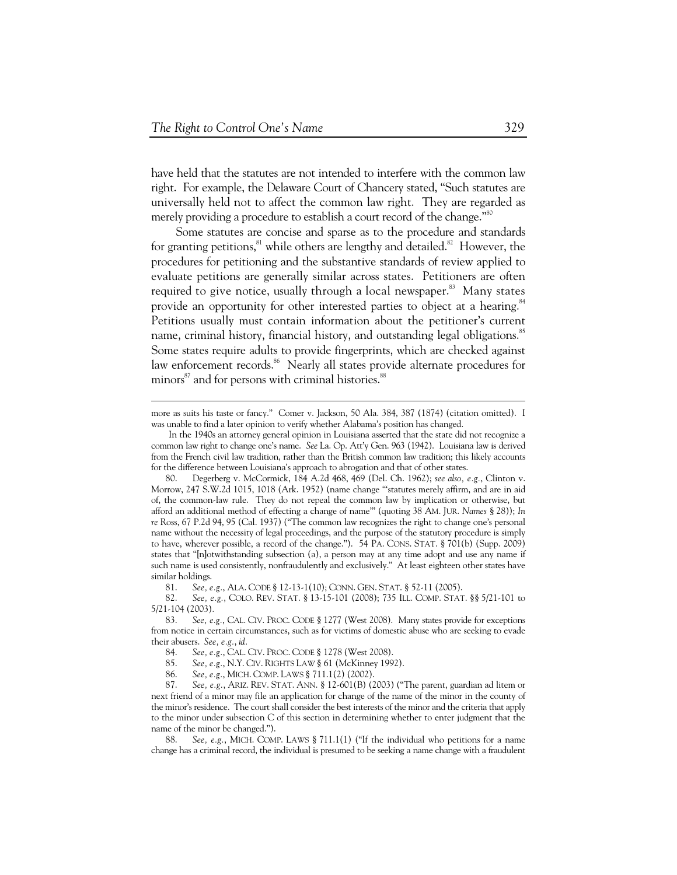-

have held that the statutes are not intended to interfere with the common law right. For example, the Delaware Court of Chancery stated, "Such statutes are universally held not to affect the common law right. They are regarded as merely providing a procedure to establish a court record of the change."<sup>80</sup>

Some statutes are concise and sparse as to the procedure and standards for granting petitions, <sup>81</sup> while others are lengthy and detailed.<sup>82</sup> However, the procedures for petitioning and the substantive standards of review applied to evaluate petitions are generally similar across states. Petitioners are often required to give notice, usually through a local newspaper.<sup>83</sup> Many states provide an opportunity for other interested parties to object at a hearing.<sup>84</sup> Petitions usually must contain information about the petitioner's current name, criminal history, financial history, and outstanding legal obligations.<sup>85</sup> Some states require adults to provide fingerprints, which are checked against law enforcement records.<sup>86</sup> Nearly all states provide alternate procedures for minors<sup>87</sup> and for persons with criminal histories.<sup>88</sup>

more as suits his taste or fancy." Comer v. Jackson, 50 Ala. 384, 387 (1874) (citation omitted). I was unable to find a later opinion to verify whether Alabama's position has changed.

In the 1940s an attorney general opinion in Louisiana asserted that the state did not recognize a common law right to change one's name. *See* La. Op. Att'y Gen. 963 (1942). Louisiana law is derived from the French civil law tradition, rather than the British common law tradition; this likely accounts for the difference between Louisiana's approach to abrogation and that of other states.

 <sup>80.</sup> Degerberg v. McCormick, 184 A.2d 468, 469 (Del. Ch. 1962); *see also, e.g.*, Clinton v. Morrow, 247 S.W.2d 1015, 1018 (Ark. 1952) (name change "'statutes merely affirm, and are in aid of, the common-law rule. They do not repeal the common law by implication or otherwise, but afford an additional method of effecting a change of name'" (quoting 38 AM. JUR. *Names* § 28)); *In re* Ross, 67 P.2d 94, 95 (Cal. 1937) ("The common law recognizes the right to change one's personal name without the necessity of legal proceedings, and the purpose of the statutory procedure is simply to have, wherever possible, a record of the change."). 54 PA. CONS. STAT. § 701(b) (Supp. 2009) states that "[n]otwithstanding subsection (a), a person may at any time adopt and use any name if such name is used consistently, nonfraudulently and exclusively." At least eighteen other states have similar holdings.

 <sup>81.</sup> *See, e.g.*, ALA. CODE § 12-13-1(10); CONN. GEN. STAT. § 52-11 (2005).

 <sup>82.</sup> *See, e.g.*, COLO. REV. STAT. § 13-15-101 (2008); 735 ILL. COMP. STAT. §§ 5/21-101 to 5/21-104 (2003).

 <sup>83.</sup> *See, e.g.*, CAL. CIV. PROC. CODE § 1277 (West 2008). Many states provide for exceptions from notice in certain circumstances, such as for victims of domestic abuse who are seeking to evade their abusers. *See, e.g.*, *id.* 

 <sup>84.</sup> *See, e.g.*, CAL. CIV. PROC. CODE § 1278 (West 2008).

 <sup>85.</sup> *See, e.g.*, N.Y. CIV. RIGHTS LAW § 61 (McKinney 1992).

 <sup>86.</sup> *See, e.g.*, MICH. COMP. LAWS § 711.1(2) (2002).

 <sup>87.</sup> *See, e.g.*, ARIZ. REV. STAT. ANN. § 12-601(B) (2003) ("The parent, guardian ad litem or next friend of a minor may file an application for change of the name of the minor in the county of the minor's residence. The court shall consider the best interests of the minor and the criteria that apply to the minor under subsection C of this section in determining whether to enter judgment that the name of the minor be changed.").

 <sup>88.</sup> *See, e.g.*, MICH. COMP. LAWS § 711.1(1) ("If the individual who petitions for a name change has a criminal record, the individual is presumed to be seeking a name change with a fraudulent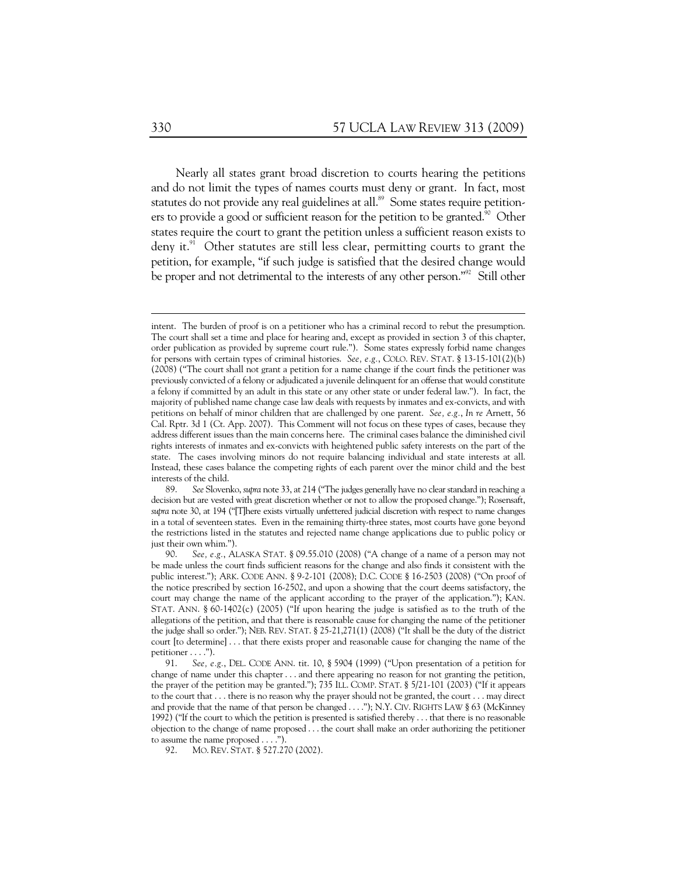Nearly all states grant broad discretion to courts hearing the petitions and do not limit the types of names courts must deny or grant. In fact, most statutes do not provide any real guidelines at all.<sup>89</sup> Some states require petitioners to provide a good or sufficient reason for the petition to be granted.<sup>90</sup> Other states require the court to grant the petition unless a sufficient reason exists to deny it. $91$  Other statutes are still less clear, permitting courts to grant the petition, for example, "if such judge is satisfied that the desired change would be proper and not detrimental to the interests of any other person."<sup>92</sup> Still other

intent. The burden of proof is on a petitioner who has a criminal record to rebut the presumption. The court shall set a time and place for hearing and, except as provided in section 3 of this chapter, order publication as provided by supreme court rule."). Some states expressly forbid name changes for persons with certain types of criminal histories. *See, e.g.*, COLO. REV. STAT. § 13-15-101(2)(b) (2008) ("The court shall not grant a petition for a name change if the court finds the petitioner was previously convicted of a felony or adjudicated a juvenile delinquent for an offense that would constitute a felony if committed by an adult in this state or any other state or under federal law."). In fact, the majority of published name change case law deals with requests by inmates and ex-convicts, and with petitions on behalf of minor children that are challenged by one parent. *See, e.g.*, *In re* Arnett, 56 Cal. Rptr. 3d 1 (Ct. App. 2007). This Comment will not focus on these types of cases, because they address different issues than the main concerns here. The criminal cases balance the diminished civil rights interests of inmates and ex-convicts with heightened public safety interests on the part of the state. The cases involving minors do not require balancing individual and state interests at all. Instead, these cases balance the competing rights of each parent over the minor child and the best interests of the child.

 <sup>89.</sup> *See* Slovenko, *supra* note 33, at 214 ("The judges generally have no clear standard in reaching a decision but are vested with great discretion whether or not to allow the proposed change."); Rosensaft, *supra* note 30, at 194 ("[T]here exists virtually unfettered judicial discretion with respect to name changes in a total of seventeen states. Even in the remaining thirty-three states, most courts have gone beyond the restrictions listed in the statutes and rejected name change applications due to public policy or just their own whim.").

 <sup>90.</sup> *See, e.g.*, ALASKA STAT. § 09.55.010 (2008) ("A change of a name of a person may not be made unless the court finds sufficient reasons for the change and also finds it consistent with the public interest."); ARK. CODE ANN. § 9-2-101 (2008); D.C. CODE § 16-2503 (2008) ("On proof of the notice prescribed by section 16-2502, and upon a showing that the court deems satisfactory, the court may change the name of the applicant according to the prayer of the application."); KAN. STAT. ANN. § 60-1402(c) (2005) ("If upon hearing the judge is satisfied as to the truth of the allegations of the petition, and that there is reasonable cause for changing the name of the petitioner the judge shall so order."); NEB. REV. STAT. § 25-21,271(1) (2008) ("It shall be the duty of the district court [to determine] . . . that there exists proper and reasonable cause for changing the name of the petitioner . . . .").

 <sup>91.</sup> *See, e.g.*, DEL. CODE ANN. tit. 10, § 5904 (1999) ("Upon presentation of a petition for change of name under this chapter  $\dots$  and there appearing no reason for not granting the petition, the prayer of the petition may be granted."); 735 ILL. COMP. STAT. § 5/21-101 (2003) ("If it appears to the court that . . . there is no reason why the prayer should not be granted, the court . . . may direct and provide that the name of that person be changed . . . ."); N.Y. CIV. RIGHTS LAW § 63 (McKinney 1992) ("If the court to which the petition is presented is satisfied thereby . . . that there is no reasonable objection to the change of name proposed . . . the court shall make an order authorizing the petitioner to assume the name proposed . . . .").

 <sup>92.</sup> MO. REV. STAT. § 527.270 (2002).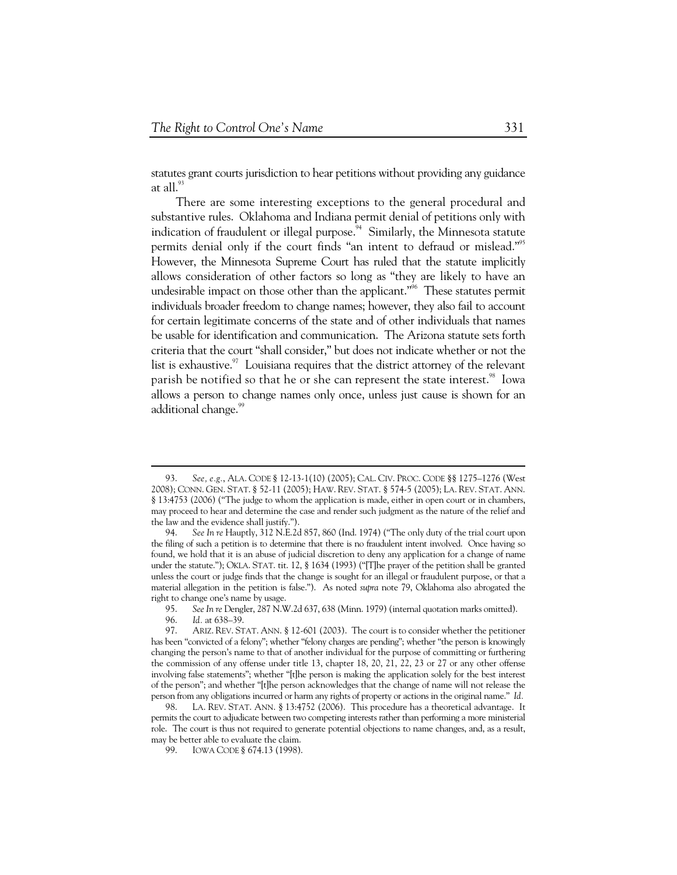statutes grant courts jurisdiction to hear petitions without providing any guidance at all. $^{93}$ 

There are some interesting exceptions to the general procedural and substantive rules. Oklahoma and Indiana permit denial of petitions only with indication of fraudulent or illegal purpose. $94$  Similarly, the Minnesota statute permits denial only if the court finds "an intent to defraud or mislead."<sup>95</sup> However, the Minnesota Supreme Court has ruled that the statute implicitly allows consideration of other factors so long as "they are likely to have an undesirable impact on those other than the applicant."<sup>96</sup> These statutes permit individuals broader freedom to change names; however, they also fail to account for certain legitimate concerns of the state and of other individuals that names be usable for identification and communication. The Arizona statute sets forth criteria that the court "shall consider," but does not indicate whether or not the list is exhaustive. $97$  Louisiana requires that the district attorney of the relevant parish be notified so that he or she can represent the state interest.<sup>98</sup> Iowa allows a person to change names only once, unless just cause is shown for an additional change.<sup>99</sup>

 <sup>93.</sup> *See, e.g.*, ALA. CODE § 12-13-1(10) (2005); CAL. CIV. PROC. CODE §§ 1275–1276 (West 2008); CONN. GEN. STAT. § 52-11 (2005); HAW. REV. STAT. § 574-5 (2005); LA. REV. STAT. ANN. § 13:4753 (2006) ("The judge to whom the application is made, either in open court or in chambers, may proceed to hear and determine the case and render such judgment as the nature of the relief and the law and the evidence shall justify.").

 <sup>94.</sup> *See In re* Hauptly, 312 N.E.2d 857, 860 (Ind. 1974) ("The only duty of the trial court upon the filing of such a petition is to determine that there is no fraudulent intent involved. Once having so found, we hold that it is an abuse of judicial discretion to deny any application for a change of name under the statute."); OKLA. STAT. tit. 12, § 1634 (1993) ("[T]he prayer of the petition shall be granted unless the court or judge finds that the change is sought for an illegal or fraudulent purpose, or that a material allegation in the petition is false."). As noted *supra* note 79, Oklahoma also abrogated the right to change one's name by usage.

 <sup>95.</sup> *See In re* Dengler, 287 N.W.2d 637, 638 (Minn. 1979) (internal quotation marks omitted).

<sup>96.</sup> *Id.* at 638–39.<br>97. ARIZ. REV. ST

ARIZ. REV. STAT. ANN. § 12-601 (2003). The court is to consider whether the petitioner has been "convicted of a felony"; whether "felony charges are pending"; whether "the person is knowingly changing the person's name to that of another individual for the purpose of committing or furthering the commission of any offense under title 13, chapter 18, 20, 21, 22, 23 or 27 or any other offense involving false statements"; whether "[t]he person is making the application solely for the best interest of the person"; and whether "[t]he person acknowledges that the change of name will not release the person from any obligations incurred or harm any rights of property or actions in the original name." *Id.* 

 <sup>98.</sup> LA. REV. STAT. ANN. § 13:4752 (2006). This procedure has a theoretical advantage. It permits the court to adjudicate between two competing interests rather than performing a more ministerial role. The court is thus not required to generate potential objections to name changes, and, as a result, may be better able to evaluate the claim.

 <sup>99.</sup> IOWA CODE § 674.13 (1998).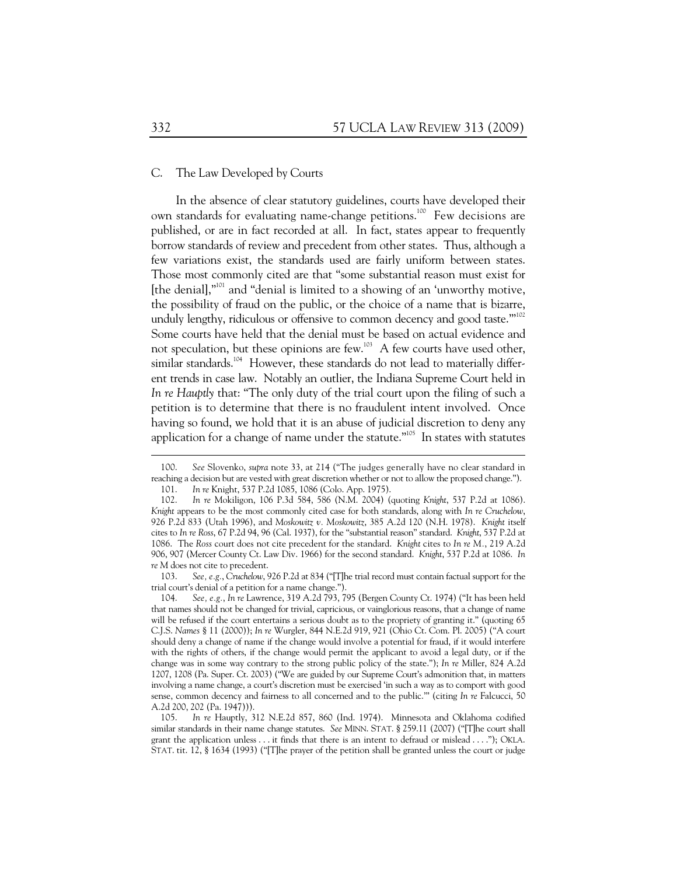#### C. The Law Developed by Courts

In the absence of clear statutory guidelines, courts have developed their own standards for evaluating name-change petitions.<sup>100</sup> Few decisions are published, or are in fact recorded at all. In fact, states appear to frequently borrow standards of review and precedent from other states. Thus, although a few variations exist, the standards used are fairly uniform between states. Those most commonly cited are that "some substantial reason must exist for [the denial],"101 and "denial is limited to a showing of an 'unworthy motive, the possibility of fraud on the public, or the choice of a name that is bizarre, unduly lengthy, ridiculous or offensive to common decency and good taste."<sup>102</sup> Some courts have held that the denial must be based on actual evidence and not speculation, but these opinions are few.<sup>103</sup> A few courts have used other, similar standards.<sup>104</sup> However, these standards do not lead to materially different trends in case law. Notably an outlier, the Indiana Supreme Court held in *In re Hauptly* that: "The only duty of the trial court upon the filing of such a petition is to determine that there is no fraudulent intent involved. Once having so found, we hold that it is an abuse of judicial discretion to deny any application for a change of name under the statute."<sup>105</sup> In states with statutes

 103. *See, e.g.*, *Cruchelow*, 926 P.2d at 834 ("[T]he trial record must contain factual support for the trial court's denial of a petition for a name change.").

 <sup>100.</sup> *See* Slovenko, *supra* note 33, at 214 ("The judges generally have no clear standard in reaching a decision but are vested with great discretion whether or not to allow the proposed change.").

 <sup>101.</sup> *In re* Knight, 537 P.2d 1085, 1086 (Colo. App. 1975).

 <sup>102.</sup> *In re* Mokiligon, 106 P.3d 584, 586 (N.M. 2004) (quoting *Knight*, 537 P.2d at 1086). *Knight* appears to be the most commonly cited case for both standards, along with *In re Cruchelow*, 926 P.2d 833 (Utah 1996), and *Moskowitz v. Moskowitz*, 385 A.2d 120 (N.H. 1978). *Knight* itself cites to *In re Ross*, 67 P.2d 94, 96 (Cal. 1937), for the "substantial reason" standard. *Knight*, 537 P.2d at 1086. The *Ross* court does not cite precedent for the standard. *Knight* cites to *In re M.*, 219 A.2d 906, 907 (Mercer County Ct. Law Div. 1966) for the second standard. *Knight*, 537 P.2d at 1086. *In re M* does not cite to precedent.

 <sup>104.</sup> *See, e.g.*, *In re* Lawrence, 319 A.2d 793, 795 (Bergen County Ct. 1974) ("It has been held that names should not be changed for trivial, capricious, or vainglorious reasons, that a change of name will be refused if the court entertains a serious doubt as to the propriety of granting it." (quoting 65 C.J.S. *Names* § 11 (2000)); *In re* Wurgler, 844 N.E.2d 919, 921 (Ohio Ct. Com. Pl. 2005) ("A court should deny a change of name if the change would involve a potential for fraud, if it would interfere with the rights of others, if the change would permit the applicant to avoid a legal duty, or if the change was in some way contrary to the strong public policy of the state."); *In re* Miller, 824 A.2d 1207, 1208 (Pa. Super. Ct. 2003) ("We are guided by our Supreme Court's admonition that, in matters involving a name change, a court's discretion must be exercised 'in such a way as to comport with good sense, common decency and fairness to all concerned and to the public.'" (citing *In re* Falcucci, 50 A.2d 200, 202 (Pa. 1947))).

In re Hauptly, 312 N.E.2d 857, 860 (Ind. 1974). Minnesota and Oklahoma codified similar standards in their name change statutes. *See* MINN. STAT. § 259.11 (2007) ("[T]he court shall grant the application unless . . . it finds that there is an intent to defraud or mislead . . . ."); OKLA. STAT. tit. 12, § 1634 (1993) ("[T]he prayer of the petition shall be granted unless the court or judge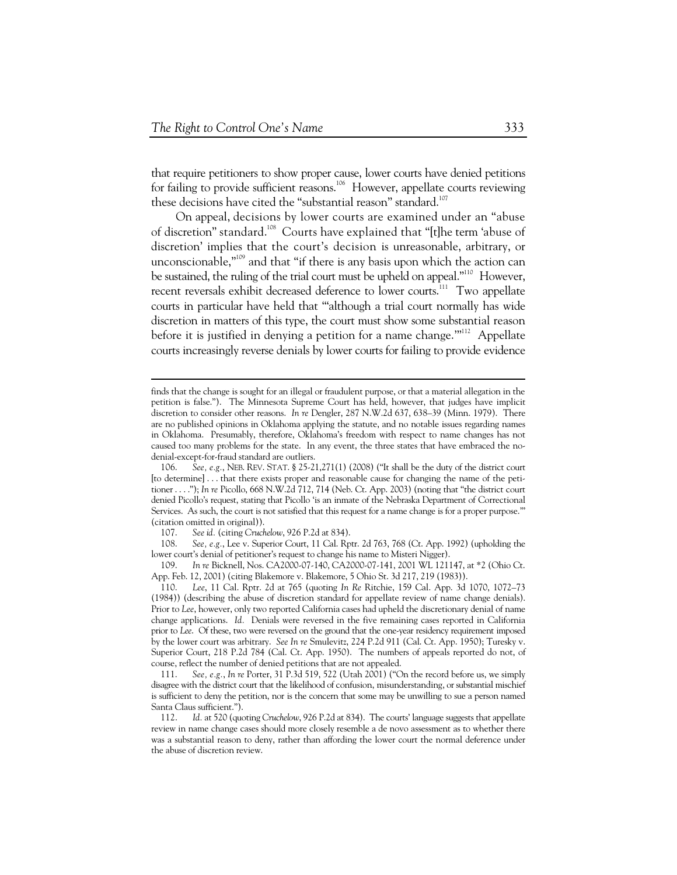that require petitioners to show proper cause, lower courts have denied petitions for failing to provide sufficient reasons.<sup>106</sup> However, appellate courts reviewing these decisions have cited the "substantial reason" standard.<sup>107</sup>

On appeal, decisions by lower courts are examined under an "abuse of discretion" standard.<sup>108</sup> Courts have explained that "[t]he term 'abuse of discretion' implies that the court's decision is unreasonable, arbitrary, or unconscionable," $109$  and that "if there is any basis upon which the action can be sustained, the ruling of the trial court must be upheld on appeal."<sup>110</sup> However, recent reversals exhibit decreased deference to lower courts.<sup>111</sup> Two appellate courts in particular have held that '"although a trial court normally has wide discretion in matters of this type, the court must show some substantial reason before it is justified in denying a petition for a name change."<sup>112</sup> Appellate courts increasingly reverse denials by lower courts for failing to provide evidence

finds that the change is sought for an illegal or fraudulent purpose, or that a material allegation in the petition is false."). The Minnesota Supreme Court has held, however, that judges have implicit discretion to consider other reasons. *In re* Dengler, 287 N.W.2d 637, 638–39 (Minn. 1979). There are no published opinions in Oklahoma applying the statute, and no notable issues regarding names in Oklahoma. Presumably, therefore, Oklahoma's freedom with respect to name changes has not caused too many problems for the state. In any event, the three states that have embraced the nodenial-except-for-fraud standard are outliers.

 <sup>106.</sup> *See, e.g.*, NEB. REV. STAT. § 25-21,271(1) (2008) ("It shall be the duty of the district court [to determine] . . . that there exists proper and reasonable cause for changing the name of the petitioner . . . ."); *In re* Picollo, 668 N.W.2d 712, 714 (Neb. Ct. App. 2003) (noting that "the district court denied Picollo's request, stating that Picollo 'is an inmate of the Nebraska Department of Correctional Services. As such, the court is not satisfied that this request for a name change is for a proper purpose.'" (citation omitted in original)).

 <sup>107.</sup> *See id.* (citing *Cruchelow*, 926 P.2d at 834).

 <sup>108.</sup> *See, e.g.*, Lee v. Superior Court, 11 Cal. Rptr. 2d 763, 768 (Ct. App. 1992) (upholding the lower court's denial of petitioner's request to change his name to Misteri Nigger).

 <sup>109.</sup> *In re* Bicknell, Nos. CA2000-07-140, CA2000-07-141, 2001 WL 121147, at \*2 (Ohio Ct. App. Feb. 12, 2001) (citing Blakemore v. Blakemore, 5 Ohio St. 3d 217, 219 (1983)).

 <sup>110.</sup> *Lee*, 11 Cal. Rptr. 2d at 765 (quoting *In Re* Ritchie, 159 Cal. App. 3d 1070, 1072–73 (1984)) (describing the abuse of discretion standard for appellate review of name change denials). Prior to *Lee*, however, only two reported California cases had upheld the discretionary denial of name change applications. *Id.* Denials were reversed in the five remaining cases reported in California prior to *Lee*. Of these, two were reversed on the ground that the one-year residency requirement imposed by the lower court was arbitrary. *See In re* Smulevitz, 224 P.2d 911 (Cal. Ct. App. 1950); Turesky v. Superior Court, 218 P.2d 784 (Cal. Ct. App. 1950). The numbers of appeals reported do not, of course, reflect the number of denied petitions that are not appealed.

 <sup>111.</sup> *See, e.g.*, *In re* Porter, 31 P.3d 519, 522 (Utah 2001) ("On the record before us, we simply disagree with the district court that the likelihood of confusion, misunderstanding, or substantial mischief is sufficient to deny the petition, nor is the concern that some may be unwilling to sue a person named Santa Claus sufficient.").

 <sup>112.</sup> *Id.* at 520 (quoting *Cruchelow*, 926 P.2d at 834). The courts' language suggests that appellate review in name change cases should more closely resemble a de novo assessment as to whether there was a substantial reason to deny, rather than affording the lower court the normal deference under the abuse of discretion review.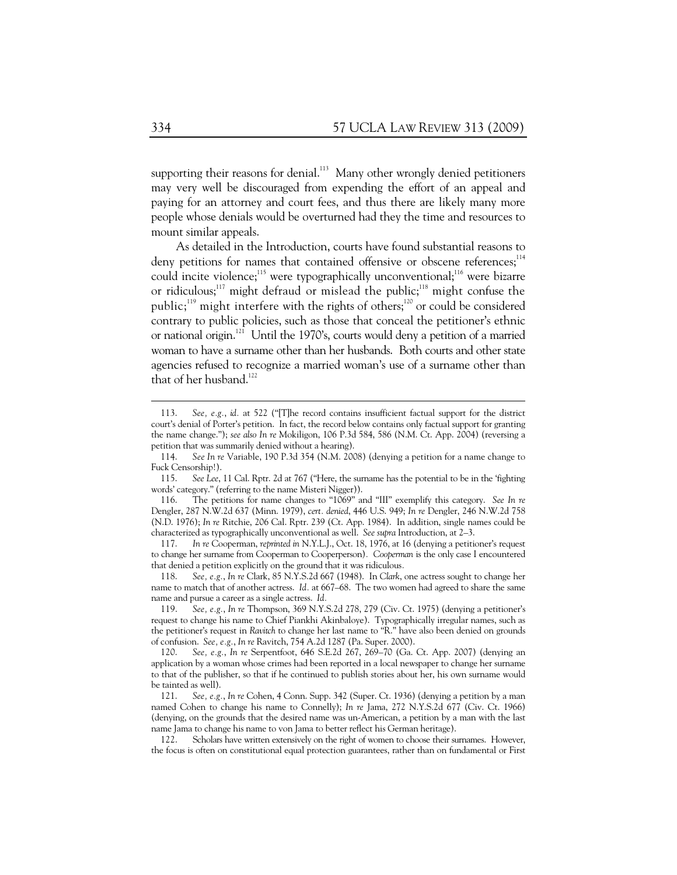supporting their reasons for denial.<sup>113</sup> Many other wrongly denied petitioners may very well be discouraged from expending the effort of an appeal and paying for an attorney and court fees, and thus there are likely many more people whose denials would be overturned had they the time and resources to mount similar appeals.

As detailed in the Introduction, courts have found substantial reasons to deny petitions for names that contained offensive or obscene references;<sup>114</sup> could incite violence;<sup>115</sup> were typographically unconventional;<sup>116</sup> were bizarre or ridiculous;<sup>117</sup> might defraud or mislead the public;<sup>118</sup> might confuse the public;<sup>119</sup> might interfere with the rights of others;<sup>120</sup> or could be considered contrary to public policies, such as those that conceal the petitioner's ethnic or national origin.<sup>121</sup> Until the 1970's, courts would deny a petition of a married woman to have a surname other than her husbands. Both courts and other state agencies refused to recognize a married woman's use of a surname other than that of her husband. $122$ 

 117. *In re* Cooperman, *reprinted in* N.Y.L.J., Oct. 18, 1976, at 16 (denying a petitioner's request to change her surname from Cooperman to Cooperperson)*. Cooperman* is the only case I encountered that denied a petition explicitly on the ground that it was ridiculous*.* 

 118. *See, e.g.*, *In re* Clark, 85 N.Y.S.2d 667 (1948). In *Clark*, one actress sought to change her name to match that of another actress. *Id.* at 667–68. The two women had agreed to share the same name and pursue a career as a single actress. *Id.* 

 120. *See, e.g.*, *In re* Serpentfoot, 646 S.E.2d 267, 269–70 (Ga. Ct. App. 2007) (denying an application by a woman whose crimes had been reported in a local newspaper to change her surname to that of the publisher, so that if he continued to publish stories about her, his own surname would be tainted as well).

 122. Scholars have written extensively on the right of women to choose their surnames. However, the focus is often on constitutional equal protection guarantees, rather than on fundamental or First

 <sup>113.</sup> *See, e.g.*, *id.* at 522 ("[T]he record contains insufficient factual support for the district court's denial of Porter's petition. In fact, the record below contains only factual support for granting the name change."); *see also In re* Mokiligon, 106 P.3d 584, 586 (N.M. Ct. App. 2004) (reversing a petition that was summarily denied without a hearing).

 <sup>114.</sup> *See In re* Variable, 190 P.3d 354 (N.M. 2008) (denying a petition for a name change to Fuck Censorship!).

 <sup>115.</sup> *See Lee*, 11 Cal. Rptr. 2d at 767 ("Here, the surname has the potential to be in the 'fighting words' category." (referring to the name Misteri Nigger)).

 <sup>116.</sup> The petitions for name changes to "1069" and "III" exemplify this category. *See In re* Dengler, 287 N.W.2d 637 (Minn. 1979), *cert. denied*, 446 U.S. 949; *In re* Dengler, 246 N.W.2d 758 (N.D. 1976); *In re* Ritchie, 206 Cal. Rptr. 239 (Ct. App. 1984). In addition, single names could be characterized as typographically unconventional as well. *See supra* Introduction, at 2–3.

 <sup>119.</sup> *See, e.g.*, *In re* Thompson, 369 N.Y.S.2d 278, 279 (Civ. Ct. 1975) (denying a petitioner's request to change his name to Chief Piankhi Akinbaloye). Typographically irregular names, such as the petitioner's request in *Ravitch* to change her last name to "R." have also been denied on grounds of confusion. *See, e.g.*, *In re* Ravitch, 754 A.2d 1287 (Pa. Super. 2000).

 <sup>121.</sup> *See, e.g.*, *In re* Cohen, 4 Conn. Supp. 342 (Super. Ct. 1936) (denying a petition by a man named Cohen to change his name to Connelly); *In re* Jama, 272 N.Y.S.2d 677 (Civ. Ct. 1966) (denying, on the grounds that the desired name was un-American, a petition by a man with the last name Jama to change his name to von Jama to better reflect his German heritage).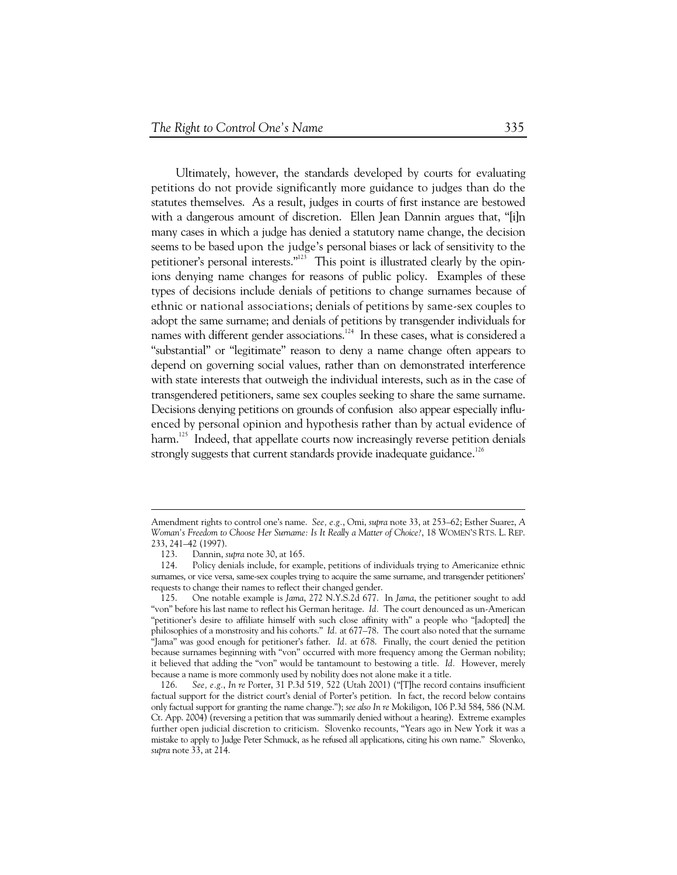Ultimately, however, the standards developed by courts for evaluating petitions do not provide significantly more guidance to judges than do the statutes themselves. As a result, judges in courts of first instance are bestowed with a dangerous amount of discretion. Ellen Jean Dannin argues that, "[i]n many cases in which a judge has denied a statutory name change, the decision seems to be based upon the judge's personal biases or lack of sensitivity to the petitioner's personal interests."<sup>123</sup> This point is illustrated clearly by the opinions denying name changes for reasons of public policy. Examples of these types of decisions include denials of petitions to change surnames because of ethnic or national associations; denials of petitions by same-sex couples to adopt the same surname; and denials of petitions by transgender individuals for names with different gender associations.<sup>124</sup> In these cases, what is considered a "substantial" or "legitimate" reason to deny a name change often appears to depend on governing social values, rather than on demonstrated interference with state interests that outweigh the individual interests, such as in the case of transgendered petitioners, same sex couples seeking to share the same surname. Decisions denying petitions on grounds of confusion also appear especially influenced by personal opinion and hypothesis rather than by actual evidence of harm.<sup>125</sup> Indeed, that appellate courts now increasingly reverse petition denials strongly suggests that current standards provide inadequate guidance.<sup>126</sup>

Amendment rights to control one's name. *See, e.g.*, Omi, *supra* note 33, at 253–62; Esther Suarez, *A Woman's Freedom to Choose Her Surname: Is It Really a Matter of Choice?*, 18 WOMEN'S RTS. L. REP. 233, 241–42 (1997).

 <sup>123.</sup> Dannin, *supra* note 30, at 165.

 <sup>124.</sup> Policy denials include, for example, petitions of individuals trying to Americanize ethnic surnames, or vice versa, same-sex couples trying to acquire the same surname, and transgender petitioners' requests to change their names to reflect their changed gender.

 <sup>125.</sup> One notable example is *Jama*, 272 N.Y.S.2d 677. In *Jama*, the petitioner sought to add "von" before his last name to reflect his German heritage. *Id.* The court denounced as un-American "petitioner's desire to affiliate himself with such close affinity with" a people who "[adopted] the philosophies of a monstrosity and his cohorts." *Id.* at 677–78. The court also noted that the surname "Jama" was good enough for petitioner's father. *Id.* at 678. Finally, the court denied the petition because surnames beginning with "von" occurred with more frequency among the German nobility; it believed that adding the "von" would be tantamount to bestowing a title. *Id.* However, merely because a name is more commonly used by nobility does not alone make it a title.

 <sup>126.</sup> *See, e.g.*, *In re* Porter, 31 P.3d 519*,* 522 (Utah 2001) ("[T]he record contains insufficient factual support for the district court's denial of Porter's petition. In fact, the record below contains only factual support for granting the name change."); *see also In re* Mokiligon, 106 P.3d 584, 586 (N.M. Ct. App. 2004) (reversing a petition that was summarily denied without a hearing). Extreme examples further open judicial discretion to criticism. Slovenko recounts, "Years ago in New York it was a mistake to apply to Judge Peter Schmuck, as he refused all applications, citing his own name." Slovenko, *supra* note 33, at 214.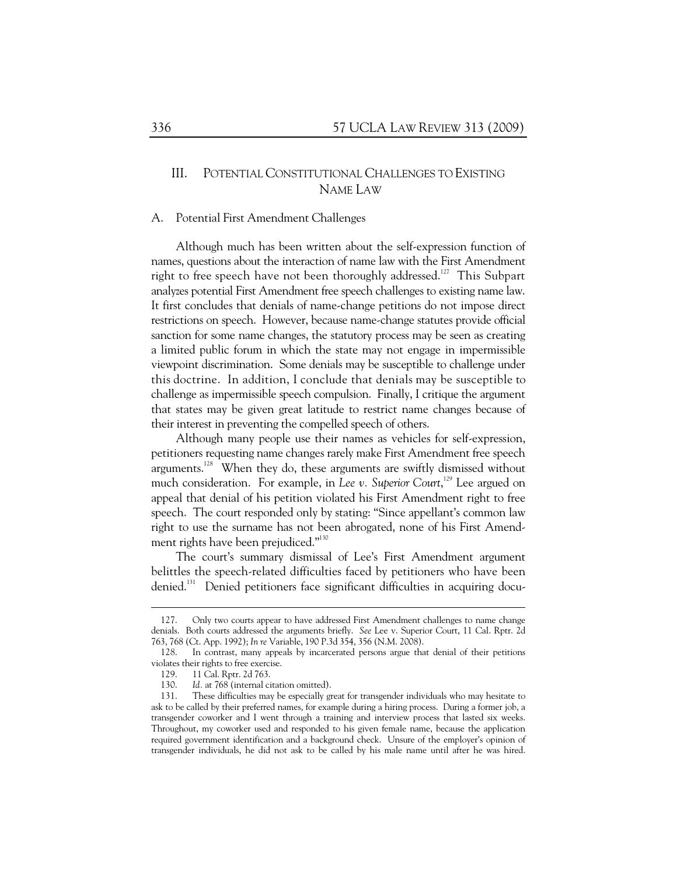# III. POTENTIAL CONSTITUTIONAL CHALLENGES TO EXISTING NAME LAW

#### A. Potential First Amendment Challenges

Although much has been written about the self-expression function of names, questions about the interaction of name law with the First Amendment right to free speech have not been thoroughly addressed.<sup>127</sup> This Subpart analyzes potential First Amendment free speech challenges to existing name law. It first concludes that denials of name-change petitions do not impose direct restrictions on speech. However, because name-change statutes provide official sanction for some name changes, the statutory process may be seen as creating a limited public forum in which the state may not engage in impermissible viewpoint discrimination. Some denials may be susceptible to challenge under this doctrine. In addition, I conclude that denials may be susceptible to challenge as impermissible speech compulsion. Finally, I critique the argument that states may be given great latitude to restrict name changes because of their interest in preventing the compelled speech of others.

Although many people use their names as vehicles for self-expression, petitioners requesting name changes rarely make First Amendment free speech arguments.<sup>128</sup> When they do, these arguments are swiftly dismissed without much consideration. For example, in *Lee v. Superior Court*, 129 Lee argued on appeal that denial of his petition violated his First Amendment right to free speech. The court responded only by stating: "Since appellant's common law right to use the surname has not been abrogated, none of his First Amendment rights have been prejudiced."<sup>130</sup>

The court's summary dismissal of Lee's First Amendment argument belittles the speech-related difficulties faced by petitioners who have been denied.<sup>131</sup> Denied petitioners face significant difficulties in acquiring docu-

 $\ddot{\phantom{a}}$ 

 <sup>127.</sup> Only two courts appear to have addressed First Amendment challenges to name change denials. Both courts addressed the arguments briefly. *See* Lee v. Superior Court, 11 Cal. Rptr. 2d 763, 768 (Ct. App. 1992); *In re* Variable, 190 P.3d 354, 356 (N.M. 2008).

 <sup>128.</sup> In contrast, many appeals by incarcerated persons argue that denial of their petitions violates their rights to free exercise.

 <sup>129. 11</sup> Cal. Rptr. 2d 763.

 <sup>130.</sup> *Id.* at 768 (internal citation omitted).

 <sup>131.</sup> These difficulties may be especially great for transgender individuals who may hesitate to ask to be called by their preferred names, for example during a hiring process. During a former job, a transgender coworker and I went through a training and interview process that lasted six weeks. Throughout, my coworker used and responded to his given female name, because the application required government identification and a background check. Unsure of the employer's opinion of transgender individuals, he did not ask to be called by his male name until after he was hired.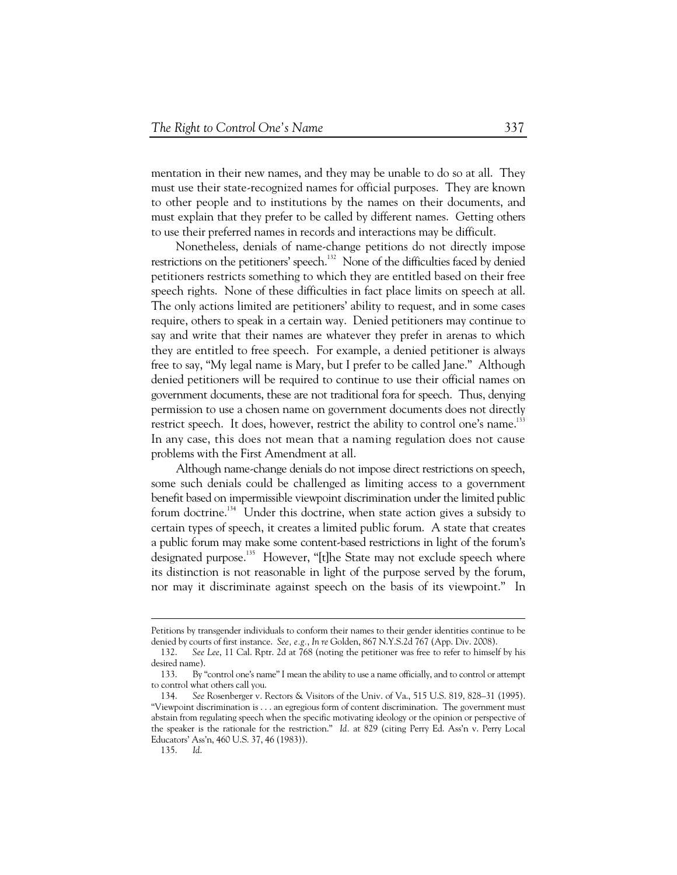mentation in their new names, and they may be unable to do so at all. They must use their state-recognized names for official purposes. They are known to other people and to institutions by the names on their documents, and must explain that they prefer to be called by different names. Getting others to use their preferred names in records and interactions may be difficult.

Nonetheless, denials of name-change petitions do not directly impose restrictions on the petitioners' speech. $132$  None of the difficulties faced by denied petitioners restricts something to which they are entitled based on their free speech rights. None of these difficulties in fact place limits on speech at all. The only actions limited are petitioners' ability to request, and in some cases require, others to speak in a certain way. Denied petitioners may continue to say and write that their names are whatever they prefer in arenas to which they are entitled to free speech. For example, a denied petitioner is always free to say, "My legal name is Mary, but I prefer to be called Jane." Although denied petitioners will be required to continue to use their official names on government documents, these are not traditional fora for speech. Thus, denying permission to use a chosen name on government documents does not directly restrict speech. It does, however, restrict the ability to control one's name.<sup>133</sup> In any case, this does not mean that a naming regulation does not cause problems with the First Amendment at all.

Although name-change denials do not impose direct restrictions on speech, some such denials could be challenged as limiting access to a government benefit based on impermissible viewpoint discrimination under the limited public forum doctrine.<sup>134</sup> Under this doctrine, when state action gives a subsidy to certain types of speech, it creates a limited public forum. A state that creates a public forum may make some content-based restrictions in light of the forum's designated purpose.<sup>135</sup> However, "[t]he State may not exclude speech where its distinction is not reasonable in light of the purpose served by the forum, nor may it discriminate against speech on the basis of its viewpoint." In

Petitions by transgender individuals to conform their names to their gender identities continue to be denied by courts of first instance. *See, e.g.*, *In re* Golden, 867 N.Y.S.2d 767 (App. Div. 2008).

 <sup>132.</sup> *See Lee*, 11 Cal. Rptr. 2d at 768 (noting the petitioner was free to refer to himself by his desired name).

 <sup>133.</sup> By "control one's name" I mean the ability to use a name officially, and to control or attempt to control what others call you.

 <sup>134.</sup> *See* Rosenberger v. Rectors & Visitors of the Univ. of Va., 515 U.S. 819, 828–31 (1995). "Viewpoint discrimination is . . . an egregious form of content discrimination. The government must abstain from regulating speech when the specific motivating ideology or the opinion or perspective of the speaker is the rationale for the restriction." *Id.* at 829 (citing Perry Ed. Ass'n v. Perry Local Educators' Ass'n, 460 U.S. 37, 46 (1983)).

 <sup>135.</sup> *Id*.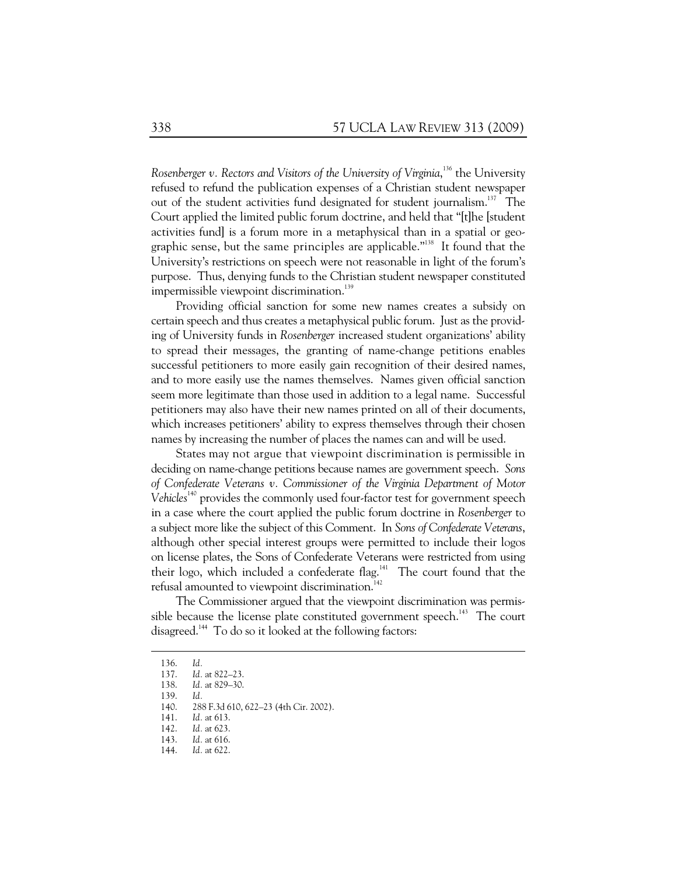Rosenberger v. Rectors and Visitors of the University of Virginia,<sup>136</sup> the University refused to refund the publication expenses of a Christian student newspaper out of the student activities fund designated for student journalism.<sup>137</sup> The Court applied the limited public forum doctrine, and held that "[t]he [student activities fund] is a forum more in a metaphysical than in a spatial or geographic sense, but the same principles are applicable."<sup>138</sup> It found that the University's restrictions on speech were not reasonable in light of the forum's purpose. Thus, denying funds to the Christian student newspaper constituted impermissible viewpoint discrimination.<sup>139</sup>

Providing official sanction for some new names creates a subsidy on certain speech and thus creates a metaphysical public forum. Just as the providing of University funds in *Rosenberger* increased student organizations' ability to spread their messages, the granting of name-change petitions enables successful petitioners to more easily gain recognition of their desired names, and to more easily use the names themselves. Names given official sanction seem more legitimate than those used in addition to a legal name. Successful petitioners may also have their new names printed on all of their documents, which increases petitioners' ability to express themselves through their chosen names by increasing the number of places the names can and will be used.

States may not argue that viewpoint discrimination is permissible in deciding on name-change petitions because names are government speech. *Sons of Confederate Veterans v. Commissioner of the Virginia Department of Motor*  Vehicles<sup>140</sup> provides the commonly used four-factor test for government speech in a case where the court applied the public forum doctrine in *Rosenberger* to a subject more like the subject of this Comment. In *Sons of Confederate Veterans*, although other special interest groups were permitted to include their logos on license plates, the Sons of Confederate Veterans were restricted from using their logo, which included a confederate flag.<sup>141</sup> The court found that the refusal amounted to viewpoint discrimination.<sup>142</sup>

The Commissioner argued that the viewpoint discrimination was permissible because the license plate constituted government speech.<sup>143</sup> The court disagreed.<sup>144</sup> To do so it looked at the following factors:

 <sup>136.</sup> *Id.*

 <sup>137.</sup> *Id.* at 822–23.

 <sup>138.</sup> *Id.* at 829–30.

 <sup>139.</sup> *Id.* 

 <sup>140. 288</sup> F.3d 610, 622–23 (4th Cir. 2002).

 <sup>141.</sup> *Id.* at 613.

 <sup>142.</sup> *Id.* at 623.

 <sup>143.</sup> *Id.* at 616.

 <sup>144.</sup> *Id.* at 622.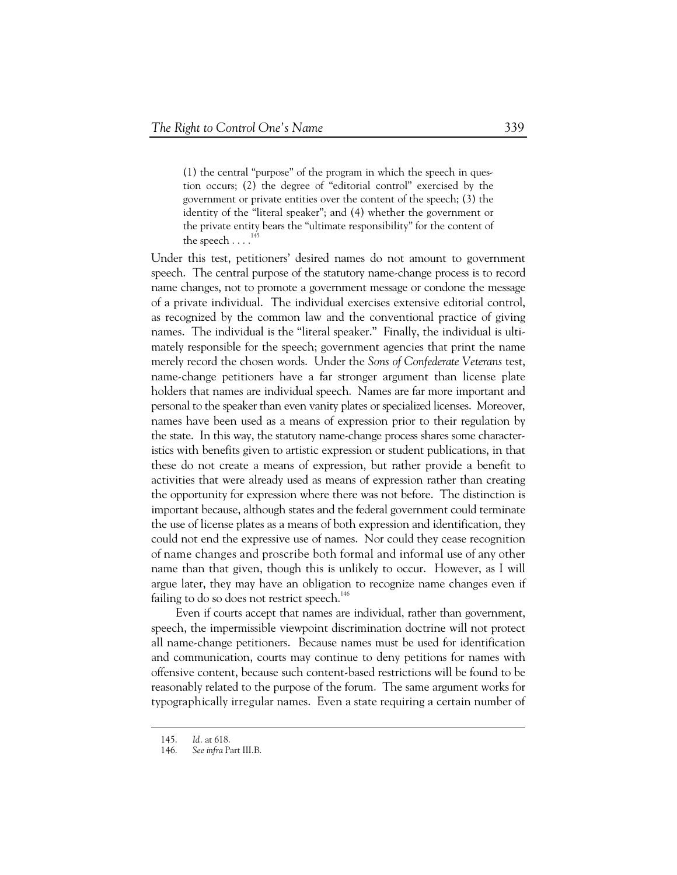(1) the central "purpose" of the program in which the speech in question occurs; (2) the degree of "editorial control" exercised by the government or private entities over the content of the speech; (3) the identity of the "literal speaker"; and (4) whether the government or the private entity bears the "ultimate responsibility" for the content of the speech  $\ldots$ .<sup>145</sup>

Under this test, petitioners' desired names do not amount to government speech. The central purpose of the statutory name-change process is to record name changes, not to promote a government message or condone the message of a private individual. The individual exercises extensive editorial control, as recognized by the common law and the conventional practice of giving names. The individual is the "literal speaker." Finally, the individual is ultimately responsible for the speech; government agencies that print the name merely record the chosen words. Under the *Sons of Confederate Veterans* test, name-change petitioners have a far stronger argument than license plate holders that names are individual speech. Names are far more important and personal to the speaker than even vanity plates or specialized licenses. Moreover, names have been used as a means of expression prior to their regulation by the state. In this way, the statutory name-change process shares some characteristics with benefits given to artistic expression or student publications, in that these do not create a means of expression, but rather provide a benefit to activities that were already used as means of expression rather than creating the opportunity for expression where there was not before. The distinction is important because, although states and the federal government could terminate the use of license plates as a means of both expression and identification, they could not end the expressive use of names. Nor could they cease recognition of name changes and proscribe both formal and informal use of any other name than that given, though this is unlikely to occur. However, as I will argue later, they may have an obligation to recognize name changes even if failing to do so does not restrict speech.<sup>146</sup>

Even if courts accept that names are individual, rather than government, speech, the impermissible viewpoint discrimination doctrine will not protect all name-change petitioners. Because names must be used for identification and communication, courts may continue to deny petitions for names with offensive content, because such content-based restrictions will be found to be reasonably related to the purpose of the forum. The same argument works for typographically irregular names. Even a state requiring a certain number of

 <sup>145.</sup> *Id.* at 618.

 <sup>146.</sup> *See infra* Part III.B.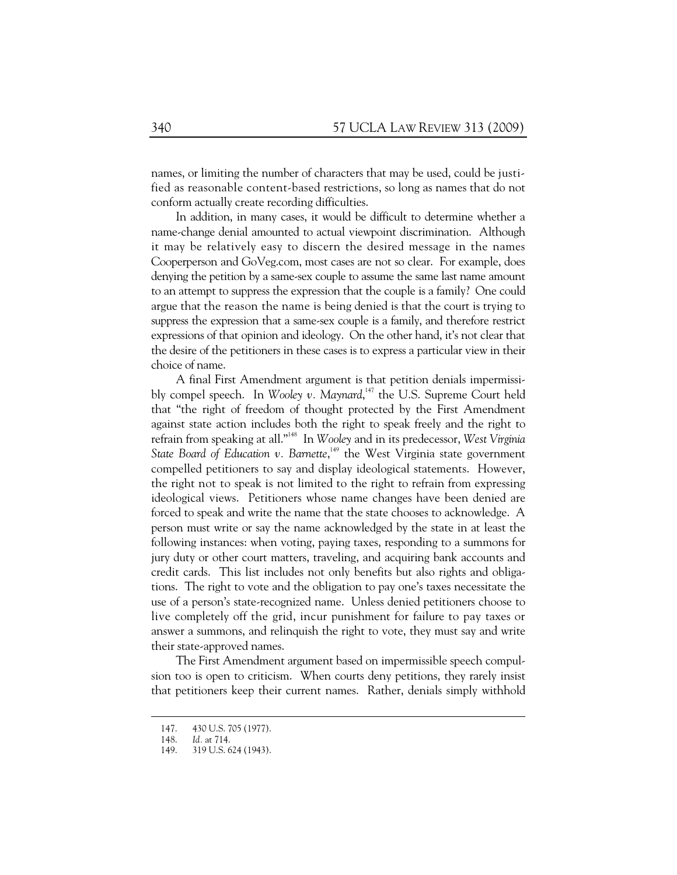names, or limiting the number of characters that may be used, could be justified as reasonable content-based restrictions, so long as names that do not conform actually create recording difficulties.

In addition, in many cases, it would be difficult to determine whether a name-change denial amounted to actual viewpoint discrimination. Although it may be relatively easy to discern the desired message in the names Cooperperson and GoVeg.com, most cases are not so clear. For example, does denying the petition by a same-sex couple to assume the same last name amount to an attempt to suppress the expression that the couple is a family? One could argue that the reason the name is being denied is that the court is trying to suppress the expression that a same-sex couple is a family, and therefore restrict expressions of that opinion and ideology. On the other hand, it's not clear that the desire of the petitioners in these cases is to express a particular view in their choice of name.

A final First Amendment argument is that petition denials impermissibly compel speech. In *Wooley v. Maynard*, 147 the U.S. Supreme Court held that "the right of freedom of thought protected by the First Amendment against state action includes both the right to speak freely and the right to refrain from speaking at all."148 In *Wooley* and in its predecessor, *West Virginia*  State Board of Education v. Barnette,<sup>149</sup> the West Virginia state government compelled petitioners to say and display ideological statements. However, the right not to speak is not limited to the right to refrain from expressing ideological views. Petitioners whose name changes have been denied are forced to speak and write the name that the state chooses to acknowledge. A person must write or say the name acknowledged by the state in at least the following instances: when voting, paying taxes, responding to a summons for jury duty or other court matters, traveling, and acquiring bank accounts and credit cards. This list includes not only benefits but also rights and obligations. The right to vote and the obligation to pay one's taxes necessitate the use of a person's state-recognized name. Unless denied petitioners choose to live completely off the grid, incur punishment for failure to pay taxes or answer a summons, and relinquish the right to vote, they must say and write their state-approved names.

The First Amendment argument based on impermissible speech compulsion too is open to criticism. When courts deny petitions, they rarely insist that petitioners keep their current names. Rather, denials simply withhold

 <sup>147. 430</sup> U.S. 705 (1977).

 <sup>148.</sup> *Id.* at 714.

 <sup>149. 319</sup> U.S. 624 (1943).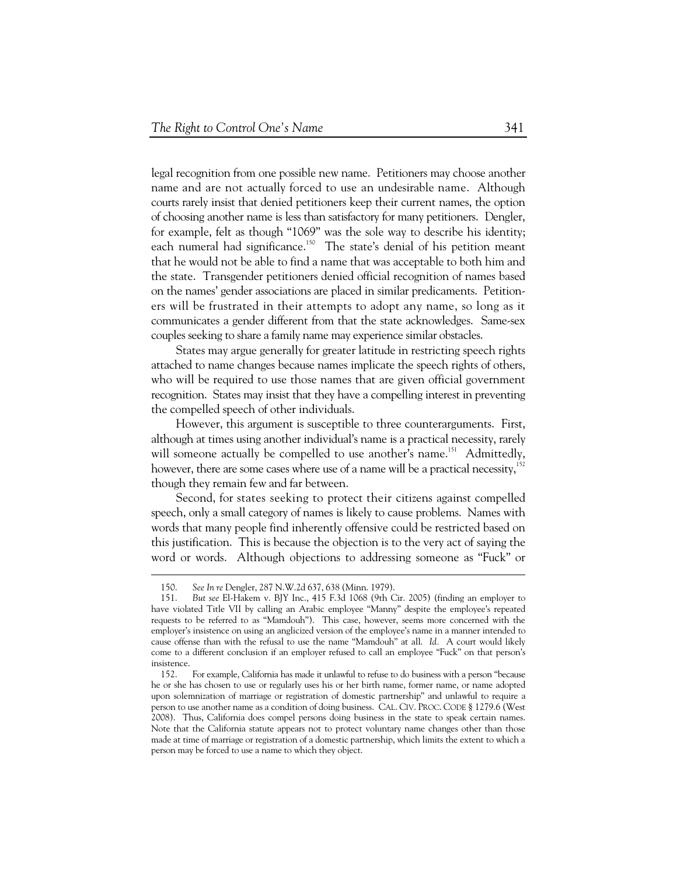legal recognition from one possible new name. Petitioners may choose another name and are not actually forced to use an undesirable name. Although courts rarely insist that denied petitioners keep their current names, the option of choosing another name is less than satisfactory for many petitioners. Dengler, for example, felt as though "1069" was the sole way to describe his identity; each numeral had significance.<sup>150</sup> The state's denial of his petition meant that he would not be able to find a name that was acceptable to both him and the state. Transgender petitioners denied official recognition of names based on the names' gender associations are placed in similar predicaments. Petitioners will be frustrated in their attempts to adopt any name, so long as it communicates a gender different from that the state acknowledges. Same-sex couples seeking to share a family name may experience similar obstacles.

States may argue generally for greater latitude in restricting speech rights attached to name changes because names implicate the speech rights of others, who will be required to use those names that are given official government recognition. States may insist that they have a compelling interest in preventing the compelled speech of other individuals.

However, this argument is susceptible to three counterarguments. First, although at times using another individual's name is a practical necessity, rarely will someone actually be compelled to use another's name.<sup>151</sup> Admittedly, however, there are some cases where use of a name will be a practical necessity, $152$ though they remain few and far between.

Second, for states seeking to protect their citizens against compelled speech, only a small category of names is likely to cause problems. Names with words that many people find inherently offensive could be restricted based on this justification. This is because the objection is to the very act of saying the word or words. Although objections to addressing someone as "Fuck" or

 <sup>150.</sup> *See In re* Dengler, 287 N.W.2d 637, 638 (Minn. 1979).

 <sup>151.</sup> *But see* El-Hakem v. BJY Inc., 415 F.3d 1068 (9th Cir. 2005) (finding an employer to have violated Title VII by calling an Arabic employee "Manny" despite the employee's repeated requests to be referred to as "Mamdouh"). This case, however, seems more concerned with the employer's insistence on using an anglicized version of the employee's name in a manner intended to cause offense than with the refusal to use the name "Mamdouh" at all. *Id.* A court would likely come to a different conclusion if an employer refused to call an employee "Fuck" on that person's insistence.

 <sup>152.</sup> For example, California has made it unlawful to refuse to do business with a person "because he or she has chosen to use or regularly uses his or her birth name, former name, or name adopted upon solemnization of marriage or registration of domestic partnership" and unlawful to require a person to use another name as a condition of doing business. CAL. CIV. PROC. CODE § 1279.6 (West 2008). Thus, California does compel persons doing business in the state to speak certain names. Note that the California statute appears not to protect voluntary name changes other than those made at time of marriage or registration of a domestic partnership, which limits the extent to which a person may be forced to use a name to which they object.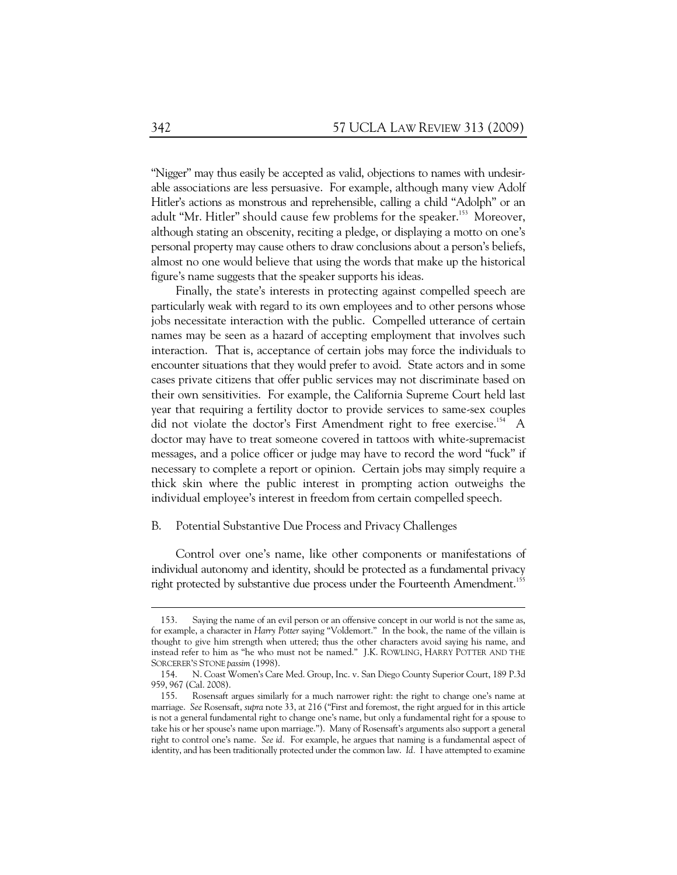"Nigger" may thus easily be accepted as valid, objections to names with undesirable associations are less persuasive. For example, although many view Adolf Hitler's actions as monstrous and reprehensible, calling a child "Adolph" or an adult "Mr. Hitler" should cause few problems for the speaker.<sup>153</sup> Moreover, although stating an obscenity, reciting a pledge, or displaying a motto on one's personal property may cause others to draw conclusions about a person's beliefs, almost no one would believe that using the words that make up the historical figure's name suggests that the speaker supports his ideas.

Finally, the state's interests in protecting against compelled speech are particularly weak with regard to its own employees and to other persons whose jobs necessitate interaction with the public. Compelled utterance of certain names may be seen as a hazard of accepting employment that involves such interaction. That is, acceptance of certain jobs may force the individuals to encounter situations that they would prefer to avoid. State actors and in some cases private citizens that offer public services may not discriminate based on their own sensitivities. For example, the California Supreme Court held last year that requiring a fertility doctor to provide services to same-sex couples did not violate the doctor's First Amendment right to free exercise.<sup>154</sup> A doctor may have to treat someone covered in tattoos with white-supremacist messages, and a police officer or judge may have to record the word "fuck" if necessary to complete a report or opinion. Certain jobs may simply require a thick skin where the public interest in prompting action outweighs the individual employee's interest in freedom from certain compelled speech.

#### B. Potential Substantive Due Process and Privacy Challenges

Control over one's name, like other components or manifestations of individual autonomy and identity, should be protected as a fundamental privacy right protected by substantive due process under the Fourteenth Amendment.<sup>155</sup>

 $\overline{a}$ 

 <sup>153.</sup> Saying the name of an evil person or an offensive concept in our world is not the same as, for example, a character in *Harry Potter* saying "Voldemort." In the book, the name of the villain is thought to give him strength when uttered; thus the other characters avoid saying his name, and instead refer to him as "he who must not be named." J.K. ROWLING, HARRY POTTER AND THE SORCERER'S STONE *passim* (1998).

 <sup>154.</sup> N. Coast Women's Care Med. Group, Inc. v. San Diego County Superior Court, 189 P.3d 959, 967 (Cal. 2008).

 <sup>155.</sup> Rosensaft argues similarly for a much narrower right: the right to change one's name at marriage. *See* Rosensaft, *supra* note 33, at 216 ("First and foremost, the right argued for in this article is not a general fundamental right to change one's name, but only a fundamental right for a spouse to take his or her spouse's name upon marriage."). Many of Rosensaft's arguments also support a general right to control one's name. *See id.* For example, he argues that naming is a fundamental aspect of identity, and has been traditionally protected under the common law. *Id.* I have attempted to examine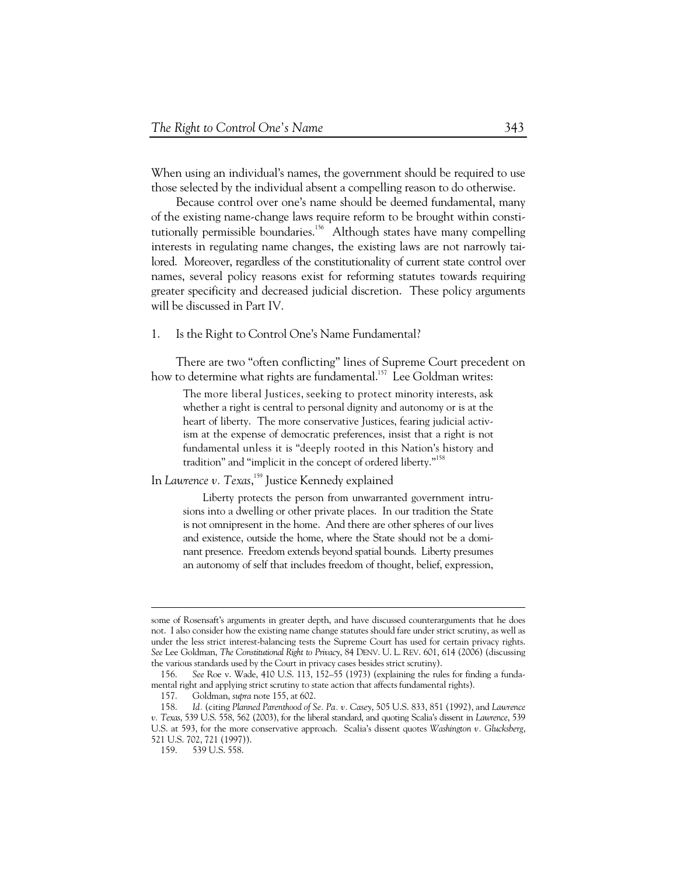When using an individual's names, the government should be required to use those selected by the individual absent a compelling reason to do otherwise.

Because control over one's name should be deemed fundamental, many of the existing name-change laws require reform to be brought within constitutionally permissible boundaries.<sup>156</sup> Although states have many compelling interests in regulating name changes, the existing laws are not narrowly tailored. Moreover, regardless of the constitutionality of current state control over names, several policy reasons exist for reforming statutes towards requiring greater specificity and decreased judicial discretion. These policy arguments will be discussed in Part IV.

1. Is the Right to Control One's Name Fundamental?

There are two "often conflicting" lines of Supreme Court precedent on how to determine what rights are fundamental.<sup>157</sup> Lee Goldman writes:

The more liberal Justices, seeking to protect minority interests, ask whether a right is central to personal dignity and autonomy or is at the heart of liberty. The more conservative Justices, fearing judicial activism at the expense of democratic preferences, insist that a right is not fundamental unless it is "deeply rooted in this Nation's history and tradition" and "implicit in the concept of ordered liberty."<sup>158</sup>

In *Lawrence v. Texas*, <sup>159</sup> Justice Kennedy explained

Liberty protects the person from unwarranted government intrusions into a dwelling or other private places. In our tradition the State is not omnipresent in the home. And there are other spheres of our lives and existence, outside the home, where the State should not be a dominant presence. Freedom extends beyond spatial bounds. Liberty presumes an autonomy of self that includes freedom of thought, belief, expression,

 $\overline{a}$ 

some of Rosensaft's arguments in greater depth, and have discussed counterarguments that he does not. I also consider how the existing name change statutes should fare under strict scrutiny, as well as under the less strict interest-balancing tests the Supreme Court has used for certain privacy rights. *See* Lee Goldman, *The Constitutional Right to Privacy*, 84 DENV. U. L. REV. 601, 614 (2006) (discussing the various standards used by the Court in privacy cases besides strict scrutiny).

 <sup>156.</sup> *See* Roe v. Wade, 410 U.S. 113, 152–55 (1973) (explaining the rules for finding a fundamental right and applying strict scrutiny to state action that affects fundamental rights).

 <sup>157.</sup> Goldman, *supra* note 155, at 602.

 <sup>158.</sup> *Id.* (citing *Planned Parenthood of Se. Pa. v. Casey*, 505 U.S. 833, 851 (1992), and *Lawrence v. Texas*, 539 U.S. 558, 562 (2003), for the liberal standard, and quoting Scalia's dissent in *Lawrence*, 539 U.S. at 593, for the more conservative approach. Scalia's dissent quotes *Washington v. Glucksberg*, 521 U.S. 702, 721 (1997)).

 <sup>159. 539</sup> U.S. 558.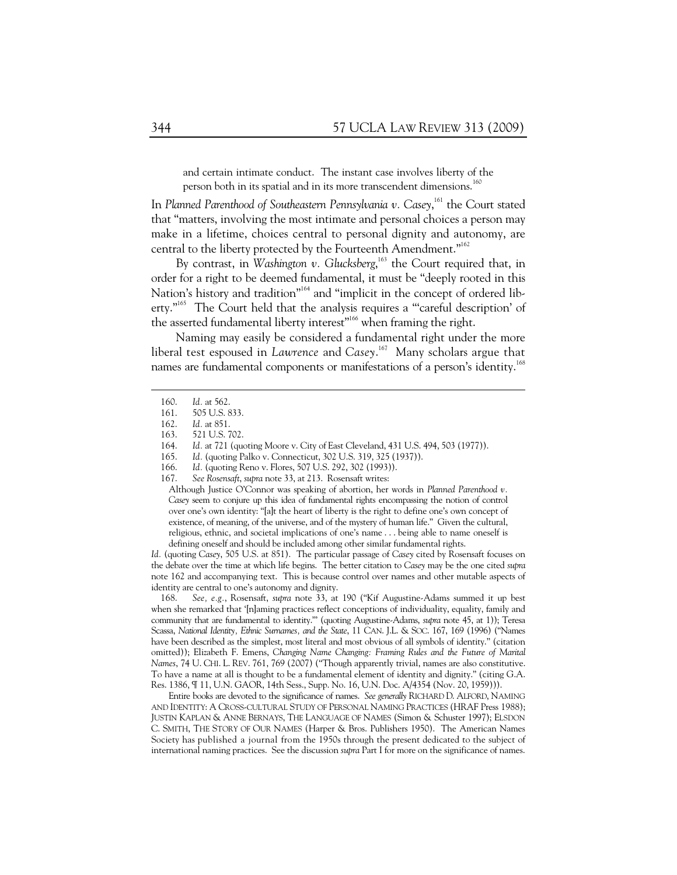and certain intimate conduct. The instant case involves liberty of the person both in its spatial and in its more transcendent dimensions.<sup>160</sup>

In Planned Parenthood of Southeastern Pennsylvania v. Casey,<sup>161</sup> the Court stated that "matters, involving the most intimate and personal choices a person may make in a lifetime, choices central to personal dignity and autonomy, are central to the liberty protected by the Fourteenth Amendment."<sup>162</sup>

By contrast, in *Washington v. Glucksberg*, 163 the Court required that, in order for a right to be deemed fundamental, it must be "deeply rooted in this Nation's history and tradition"<sup>164</sup> and "implicit in the concept of ordered liberty."<sup>165</sup> The Court held that the analysis requires a "careful description' of the asserted fundamental liberty interest"<sup>166</sup> when framing the right.

Naming may easily be considered a fundamental right under the more liberal test espoused in *Lawrence* and *Casey*. 167 Many scholars argue that names are fundamental components or manifestations of a person's identity.<sup>168</sup>

*Id.* (quoting *Casey*, 505 U.S. at 851). The particular passage of *Casey* cited by Rosensaft focuses on the debate over the time at which life begins. The better citation to *Casey* may be the one cited *supra* note 162 and accompanying text. This is because control over names and other mutable aspects of identity are central to one's autonomy and dignity.

 168. *See, e.g.*, Rosensaft, *supra* note 33, at 190 ("Kif Augustine-Adams summed it up best when she remarked that '[n]aming practices reflect conceptions of individuality, equality, family and community that are fundamental to identity."' (quoting Augustine-Adams, *supra* note 45, at 1)); Teresa Scassa, *National Identity, Ethnic Surnames, and the State*, 11 CAN. J.L. & SOC. 167, 169 (1996) ("Names have been described as the simplest, most literal and most obvious of all symbols of identity." (citation omitted)); Elizabeth F. Emens, *Changing Name Changing: Framing Rules and the Future of Marital Names*, 74 U. CHI. L. REV. 761, 769 (2007) ("Though apparently trivial, names are also constitutive. To have a name at all is thought to be a fundamental element of identity and dignity." (citing G.A. Res. 1386, ¶ 11, U.N. GAOR, 14th Sess., Supp. No. 16, U.N. Doc. A/4354 (Nov. 20, 1959))).

Entire books are devoted to the significance of names. *See generally* RICHARD D. ALFORD, NAMING AND IDENTITY: A CROSS-CULTURAL STUDY OF PERSONAL NAMING PRACTICES (HRAF Press 1988); JUSTIN KAPLAN & ANNE BERNAYS, THE LANGUAGE OF NAMES (Simon & Schuster 1997); ELSDON C. SMITH, THE STORY OF OUR NAMES (Harper & Bros. Publishers 1950). The American Names Society has published a journal from the 1950s through the present dedicated to the subject of international naming practices. See the discussion *supra* Part I for more on the significance of names.

 <sup>160.</sup> *Id.* at 562.

 <sup>161. 505</sup> U.S. 833.

 <sup>162.</sup> *Id.* at 851.

 <sup>163. 521</sup> U.S. 702.

 <sup>164.</sup> *Id.* at 721 (quoting Moore v. City of East Cleveland, 431 U.S. 494, 503 (1977)).

 <sup>165.</sup> *Id.* (quoting Palko v. Connecticut, 302 U.S. 319, 325 (1937)).

 <sup>166.</sup> *Id.* (quoting Reno v. Flores, 507 U.S. 292, 302 (1993)).

 <sup>167.</sup> *See Rosensaft*, *supra* note 33, at 213. Rosensaft writes:

Although Justice O'Connor was speaking of abortion, her words in *Planned Parenthood v. Casey* seem to conjure up this idea of fundamental rights encompassing the notion of control over one's own identity: "[a]t the heart of liberty is the right to define one's own concept of existence, of meaning, of the universe, and of the mystery of human life." Given the cultural, religious, ethnic, and societal implications of one's name . . . being able to name oneself is defining oneself and should be included among other similar fundamental rights.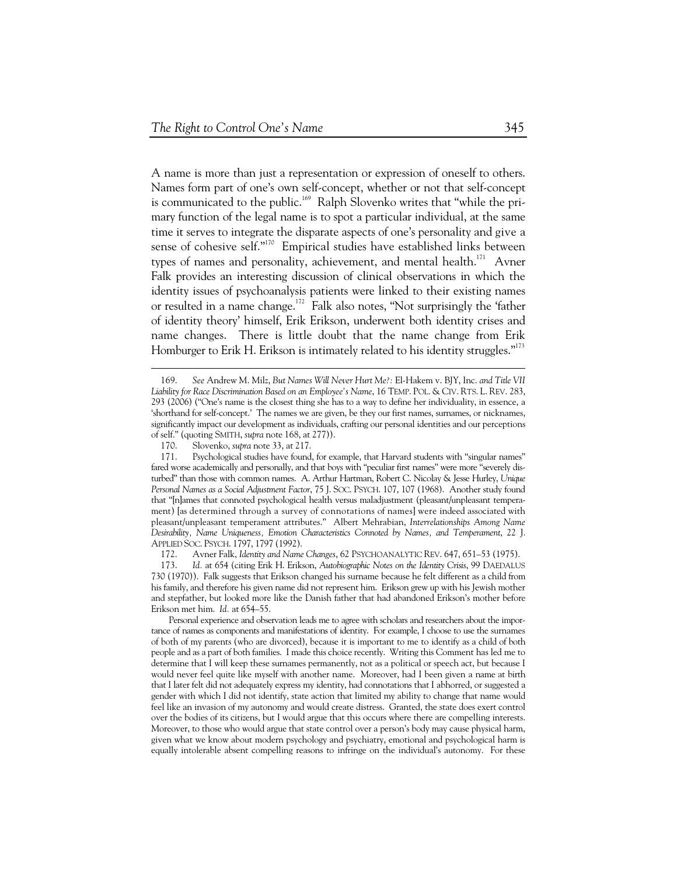A name is more than just a representation or expression of oneself to others. Names form part of one's own self-concept, whether or not that self-concept is communicated to the public.<sup>169</sup> Ralph Slovenko writes that "while the primary function of the legal name is to spot a particular individual, at the same time it serves to integrate the disparate aspects of one's personality and give a sense of cohesive self."<sup>170</sup> Empirical studies have established links between types of names and personality, achievement, and mental health. $171$  Avner Falk provides an interesting discussion of clinical observations in which the identity issues of psychoanalysis patients were linked to their existing names or resulted in a name change.172 Falk also notes, "Not surprisingly the 'father of identity theory' himself, Erik Erikson, underwent both identity crises and name changes. There is little doubt that the name change from Erik Homburger to Erik H. Erikson is intimately related to his identity struggles."<sup>173</sup>

 <sup>169.</sup> *See* Andrew M. Milz, *But Names Will Never Hurt Me?:* El-Hakem v. BJY, Inc. *and Title VII Liability for Race Discrimination Based on an Employee's Name*, 16 TEMP. POL. & CIV. RTS. L. REV. 283, 293 (2006) ("One's name is the closest thing she has to a way to define her individuality, in essence, a 'shorthand for self-concept.' The names we are given, be they our first names, surnames, or nicknames, significantly impact our development as individuals, crafting our personal identities and our perceptions of self." (quoting SMITH, *supra* note 168, at 277)).

 <sup>170.</sup> Slovenko, *supra* note 33, at 217.

 <sup>171.</sup> Psychological studies have found, for example, that Harvard students with "singular names" fared worse academically and personally, and that boys with "peculiar first names" were more "severely disturbed" than those with common names. A. Arthur Hartman, Robert C. Nicolay & Jesse Hurley, *Unique Personal Names as a Social Adjustment Factor*, 75 J. SOC. PSYCH. 107, 107 (1968). Another study found that "[n]ames that connoted psychological health versus maladjustment (pleasant/unpleasant temperament) [as determined through a survey of connotations of names] were indeed associated with pleasant/unpleasant temperament attributes." Albert Mehrabian, *Interrelationships Among Name Desirability, Name Uniqueness, Emotion Characteristics Connoted by Names, and Temperament*, 22 J. APPLIED SOC. PSYCH. 1797, 1797 (1992).

 <sup>172.</sup> Avner Falk, *Identity and Name Changes*, 62 PSYCHOANALYTIC REV. 647, 651–53 (1975).

 <sup>173.</sup> *Id.* at 654 (citing Erik H. Erikson, *Autobiographic Notes on the Identity Crisis*, 99 DAEDALUS 730 (1970)). Falk suggests that Erikson changed his surname because he felt different as a child from his family, and therefore his given name did not represent him. Erikson grew up with his Jewish mother and stepfather, but looked more like the Danish father that had abandoned Erikson's mother before Erikson met him. *Id.* at 654–55.

Personal experience and observation leads me to agree with scholars and researchers about the importance of names as components and manifestations of identity. For example, I choose to use the surnames of both of my parents (who are divorced), because it is important to me to identify as a child of both people and as a part of both families. I made this choice recently. Writing this Comment has led me to determine that I will keep these surnames permanently, not as a political or speech act, but because I would never feel quite like myself with another name. Moreover, had I been given a name at birth that I later felt did not adequately express my identity, had connotations that I abhorred, or suggested a gender with which I did not identify, state action that limited my ability to change that name would feel like an invasion of my autonomy and would create distress. Granted, the state does exert control over the bodies of its citizens, but I would argue that this occurs where there are compelling interests. Moreover, to those who would argue that state control over a person's body may cause physical harm, given what we know about modern psychology and psychiatry, emotional and psychological harm is equally intolerable absent compelling reasons to infringe on the individual's autonomy. For these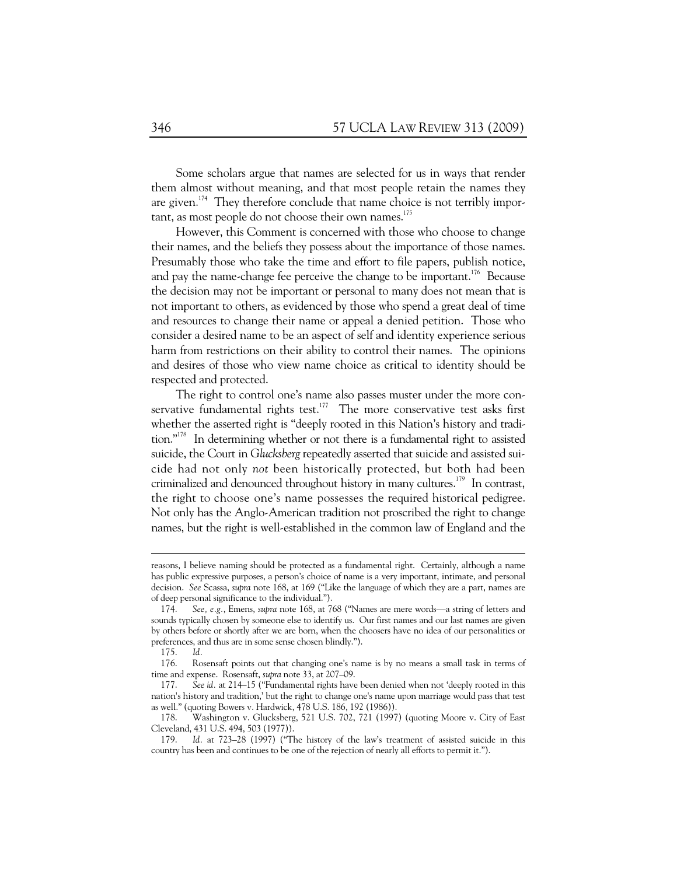Some scholars argue that names are selected for us in ways that render them almost without meaning, and that most people retain the names they are given.<sup>174</sup> They therefore conclude that name choice is not terribly important, as most people do not choose their own names.<sup>175</sup>

However, this Comment is concerned with those who choose to change their names, and the beliefs they possess about the importance of those names. Presumably those who take the time and effort to file papers, publish notice, and pay the name-change fee perceive the change to be important.<sup>176</sup> Because the decision may not be important or personal to many does not mean that is not important to others, as evidenced by those who spend a great deal of time and resources to change their name or appeal a denied petition. Those who consider a desired name to be an aspect of self and identity experience serious harm from restrictions on their ability to control their names. The opinions and desires of those who view name choice as critical to identity should be respected and protected.

The right to control one's name also passes muster under the more conservative fundamental rights test.<sup>177</sup> The more conservative test asks first whether the asserted right is "deeply rooted in this Nation's history and tradition."<sup>178</sup> In determining whether or not there is a fundamental right to assisted suicide, the Court in *Glucksberg* repeatedly asserted that suicide and assisted suicide had not only *not* been historically protected, but both had been criminalized and denounced throughout history in many cultures.<sup>179</sup> In contrast, the right to choose one's name possesses the required historical pedigree. Not only has the Anglo-American tradition not proscribed the right to change names, but the right is well-established in the common law of England and the

reasons, I believe naming should be protected as a fundamental right. Certainly, although a name has public expressive purposes, a person's choice of name is a very important, intimate, and personal decision. *See* Scassa, *supra* note 168, at 169 ("Like the language of which they are a part, names are of deep personal significance to the individual.").

 <sup>174.</sup> *See, e.g.*, Emens, *supra* note 168, at 768 ("Names are mere words—a string of letters and sounds typically chosen by someone else to identify us. Our first names and our last names are given by others before or shortly after we are born, when the choosers have no idea of our personalities or preferences, and thus are in some sense chosen blindly.").

 <sup>175.</sup> *Id.* 

 <sup>176.</sup> Rosensaft points out that changing one's name is by no means a small task in terms of time and expense. Rosensaft, *supra* note 33, at 207–09.

 <sup>177.</sup> *See id.* at 214–15 ("Fundamental rights have been denied when not 'deeply rooted in this nation's history and tradition,' but the right to change one's name upon marriage would pass that test as well." (quoting Bowers v. Hardwick, 478 U.S. 186, 192 (1986)).

 <sup>178.</sup> Washington v. Glucksberg, 521 U.S. 702, 721 (1997) (quoting Moore v. City of East Cleveland, 431 U.S. 494, 503 (1977)).

 <sup>179.</sup> *Id.* at 723–28 (1997) ("The history of the law's treatment of assisted suicide in this country has been and continues to be one of the rejection of nearly all efforts to permit it.").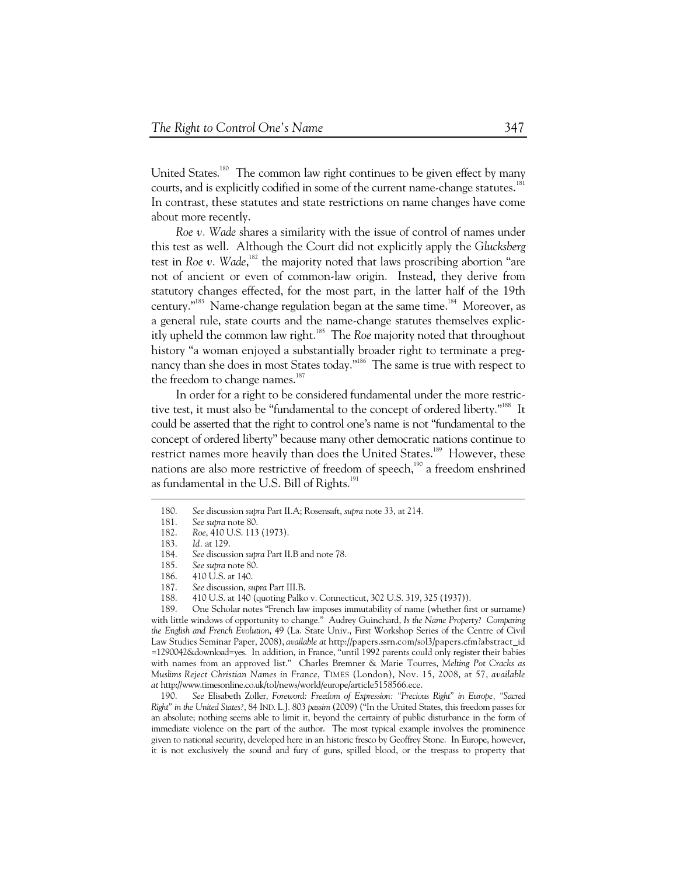United States.<sup>180</sup> The common law right continues to be given effect by many courts, and is explicitly codified in some of the current name-change statutes.<sup>181</sup> In contrast, these statutes and state restrictions on name changes have come about more recently.

*Roe v. Wade* shares a similarity with the issue of control of names under this test as well. Although the Court did not explicitly apply the *Glucksberg* test in *Roe v.* Wade,<sup>182</sup> the majority noted that laws proscribing abortion "are not of ancient or even of common-law origin. Instead, they derive from statutory changes effected, for the most part, in the latter half of the 19th century."<sup>183</sup> Name-change regulation began at the same time.<sup>184</sup> Moreover, as a general rule, state courts and the name-change statutes themselves explicitly upheld the common law right.185 The *Roe* majority noted that throughout history "a woman enjoyed a substantially broader right to terminate a pregnancy than she does in most States today."<sup>186</sup> The same is true with respect to the freedom to change names.<sup>187</sup>

In order for a right to be considered fundamental under the more restrictive test, it must also be "fundamental to the concept of ordered liberty."<sup>188</sup> It could be asserted that the right to control one's name is not "fundamental to the concept of ordered liberty" because many other democratic nations continue to restrict names more heavily than does the United States.<sup>189</sup> However, these nations are also more restrictive of freedom of speech,<sup>190</sup> a freedom enshrined as fundamental in the U.S. Bill of Rights.<sup>191</sup>

-

 190. *See* Elisabeth Zoller, *Foreword: Freedom of Expression: "Precious Right" in Europe, "Sacred Right" in the United States?*, 84 IND. L.J. 803 *passim* (2009) ("In the United States, this freedom passes for an absolute; nothing seems able to limit it, beyond the certainty of public disturbance in the form of immediate violence on the part of the author. The most typical example involves the prominence given to national security, developed here in an historic fresco by Geoffrey Stone. In Europe, however, it is not exclusively the sound and fury of guns, spilled blood, or the trespass to property that

 <sup>180.</sup> *See* discussion *supra* Part II.A; Rosensaft, *supra* note 33, at 214.

 <sup>181.</sup> *See supra* note 80.

 <sup>182.</sup> *Roe*, 410 U.S. 113 (1973).

 <sup>183.</sup> *Id.* at 129.

 <sup>184.</sup> *See* discussion *supra* Part II.B and note 78.

 <sup>185.</sup> *See supra* note 80.

 <sup>186. 410</sup> U.S. at 140.

 <sup>187.</sup> *See* discussion, *supra* Part III.B.

 <sup>188. 410</sup> U.S. at 140 (quoting Palko v. Connecticut, 302 U.S. 319, 325 (1937)).

 <sup>189.</sup> One Scholar notes "French law imposes immutability of name (whether first or surname) with little windows of opportunity to change." Audrey Guinchard, *Is the Name Property? Comparing the English and French Evolution*, 49 (La. State Univ., First Workshop Series of the Centre of Civil Law Studies Seminar Paper, 2008), *available at* http://papers.ssrn.com/sol3/papers.cfm?abstract\_id =1290042&download=yes. In addition, in France, "until 1992 parents could only register their babies with names from an approved list." Charles Bremner & Marie Tourres, *Melting Pot Cracks as Muslims Reject Christian Names in France*, TIMES (London), Nov. 15, 2008, at 57, *available at* http://www.timesonline.co.uk/tol/news/world/europe/article5158566.ece.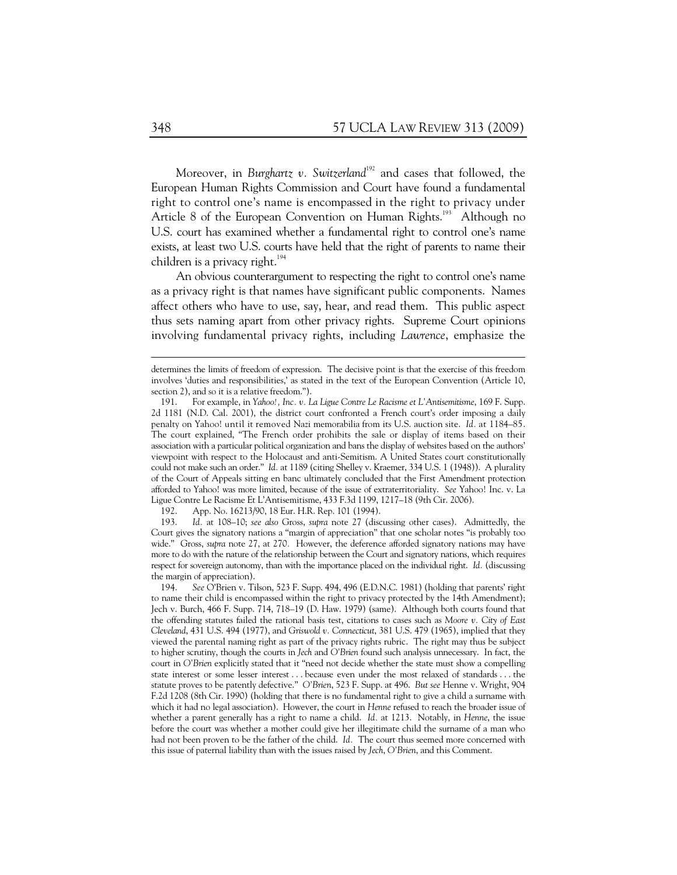Moreover, in *Burghartz v. Switzerland*<sup>192</sup> and cases that followed, the European Human Rights Commission and Court have found a fundamental right to control one's name is encompassed in the right to privacy under Article 8 of the European Convention on Human Rights.<sup>193</sup> Although no U.S. court has examined whether a fundamental right to control one's name exists, at least two U.S. courts have held that the right of parents to name their children is a privacy right. $194$ 

An obvious counterargument to respecting the right to control one's name as a privacy right is that names have significant public components. Names affect others who have to use, say, hear, and read them. This public aspect thus sets naming apart from other privacy rights. Supreme Court opinions involving fundamental privacy rights, including *Lawrence*, emphasize the

determines the limits of freedom of expression. The decisive point is that the exercise of this freedom involves 'duties and responsibilities,' as stated in the text of the European Convention (Article 10, section 2), and so it is a relative freedom.").

 <sup>191.</sup> For example, in *Yahoo!, Inc. v. La Ligue Contre Le Racisme et L'Antisemitisme*, 169 F. Supp. 2d 1181 (N.D. Cal. 2001), the district court confronted a French court's order imposing a daily penalty on Yahoo! until it removed Nazi memorabilia from its U.S. auction site. *Id.* at 1184–85. The court explained, "The French order prohibits the sale or display of items based on their association with a particular political organization and bans the display of websites based on the authors' viewpoint with respect to the Holocaust and anti-Semitism. A United States court constitutionally could not make such an order." *Id.* at 1189 (citing Shelley v. Kraemer, 334 U.S. 1 (1948)). A plurality of the Court of Appeals sitting en banc ultimately concluded that the First Amendment protection afforded to Yahoo! was more limited, because of the issue of extraterritoriality. *See* Yahoo! Inc. v. La Ligue Contre Le Racisme Et L'Antisemitisme, 433 F.3d 1199, 1217–18 (9th Cir. 2006).

 <sup>192.</sup> App. No. 16213/90, 18 Eur. H.R. Rep. 101 (1994).

 <sup>193.</sup> *Id.* at 108–10; *see also* Gross, *supra* note 27 (discussing other cases). Admittedly, the Court gives the signatory nations a "margin of appreciation" that one scholar notes "is probably too wide." Gross, *supra* note 27, at 270*.* However, the deference afforded signatory nations may have more to do with the nature of the relationship between the Court and signatory nations, which requires respect for sovereign autonomy, than with the importance placed on the individual right. *Id.* (discussing the margin of appreciation).

 <sup>194.</sup> *See* O'Brien v. Tilson, 523 F. Supp. 494, 496 (E.D.N.C. 1981) (holding that parents' right to name their child is encompassed within the right to privacy protected by the 14th Amendment); Jech v. Burch, 466 F. Supp. 714, 718–19 (D. Haw. 1979) (same). Although both courts found that the offending statutes failed the rational basis test, citations to cases such as *Moore v. City of East Cleveland*, 431 U.S. 494 (1977), and *Griswold v. Connecticut*, 381 U.S. 479 (1965), implied that they viewed the parental naming right as part of the privacy rights rubric. The right may thus be subject to higher scrutiny, though the courts in *Jech* and *O'Brien* found such analysis unnecessary. In fact, the court in *O'Brien* explicitly stated that it "need not decide whether the state must show a compelling state interest or some lesser interest . . . because even under the most relaxed of standards . . . the statute proves to be patently defective." *O'Brien*, 523 F. Supp. at 496. *But see* Henne v. Wright, 904 F.2d 1208 (8th Cir. 1990) (holding that there is no fundamental right to give a child a surname with which it had no legal association). However, the court in *Henne* refused to reach the broader issue of whether a parent generally has a right to name a child. *Id.* at 1213. Notably, in *Henne*, the issue before the court was whether a mother could give her illegitimate child the surname of a man who had not been proven to be the father of the child. *Id.* The court thus seemed more concerned with this issue of paternal liability than with the issues raised by *Jech*, *O'Brien*, and this Comment.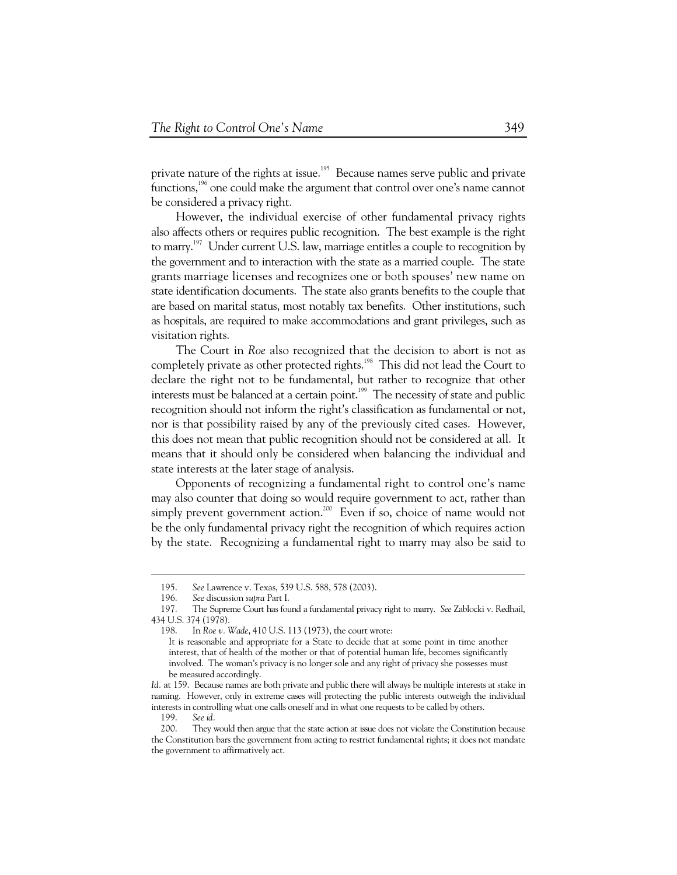private nature of the rights at issue.<sup>195</sup> Because names serve public and private functions,<sup>196</sup> one could make the argument that control over one's name cannot be considered a privacy right.

However, the individual exercise of other fundamental privacy rights also affects others or requires public recognition. The best example is the right to marry.<sup>197</sup> Under current U.S. law, marriage entitles a couple to recognition by the government and to interaction with the state as a married couple. The state grants marriage licenses and recognizes one or both spouses' new name on state identification documents. The state also grants benefits to the couple that are based on marital status, most notably tax benefits. Other institutions, such as hospitals, are required to make accommodations and grant privileges, such as visitation rights.

The Court in *Roe* also recognized that the decision to abort is not as completely private as other protected rights.<sup>198</sup> This did not lead the Court to declare the right not to be fundamental, but rather to recognize that other interests must be balanced at a certain point.<sup>199</sup> The necessity of state and public recognition should not inform the right's classification as fundamental or not, nor is that possibility raised by any of the previously cited cases. However, this does not mean that public recognition should not be considered at all. It means that it should only be considered when balancing the individual and state interests at the later stage of analysis.

Opponents of recognizing a fundamental right to control one's name may also counter that doing so would require government to act, rather than simply prevent government action.<sup>200</sup> Even if so, choice of name would not be the only fundamental privacy right the recognition of which requires action by the state. Recognizing a fundamental right to marry may also be said to

 <sup>195.</sup> *See* Lawrence v. Texas, 539 U.S. 588, 578 (2003).

 <sup>196.</sup> *See* discussion *supra* Part I.

 <sup>197.</sup> The Supreme Court has found a fundamental privacy right to marry. *See* Zablocki v. Redhail, 434 U.S. 374 (1978).

In *Roe v. Wade*, 410 U.S. 113 (1973), the court wrote:

It is reasonable and appropriate for a State to decide that at some point in time another interest, that of health of the mother or that of potential human life, becomes significantly involved. The woman's privacy is no longer sole and any right of privacy she possesses must be measured accordingly.

*Id.* at 159. Because names are both private and public there will always be multiple interests at stake in naming. However, only in extreme cases will protecting the public interests outweigh the individual interests in controlling what one calls oneself and in what one requests to be called by others.

 <sup>199.</sup> *See id.* 

 <sup>200.</sup> They would then argue that the state action at issue does not violate the Constitution because the Constitution bars the government from acting to restrict fundamental rights; it does not mandate the government to affirmatively act.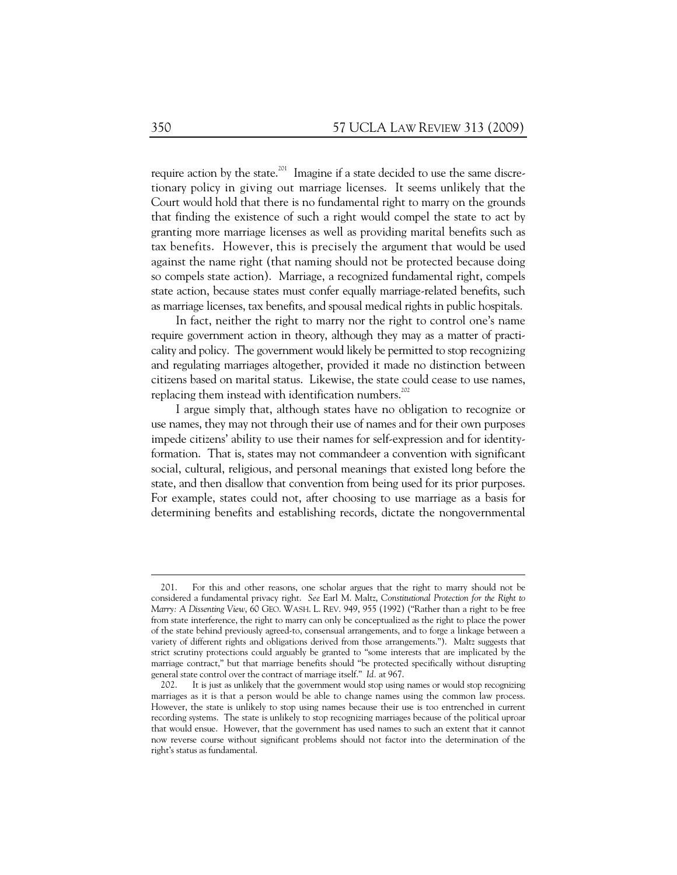require action by the state.<sup>201</sup> Imagine if a state decided to use the same discretionary policy in giving out marriage licenses. It seems unlikely that the Court would hold that there is no fundamental right to marry on the grounds that finding the existence of such a right would compel the state to act by granting more marriage licenses as well as providing marital benefits such as tax benefits. However, this is precisely the argument that would be used against the name right (that naming should not be protected because doing so compels state action). Marriage, a recognized fundamental right, compels state action, because states must confer equally marriage-related benefits, such as marriage licenses, tax benefits, and spousal medical rights in public hospitals.

In fact, neither the right to marry nor the right to control one's name require government action in theory, although they may as a matter of practicality and policy. The government would likely be permitted to stop recognizing and regulating marriages altogether, provided it made no distinction between citizens based on marital status. Likewise, the state could cease to use names, replacing them instead with identification numbers.<sup>202</sup>

I argue simply that, although states have no obligation to recognize or use names, they may not through their use of names and for their own purposes impede citizens' ability to use their names for self-expression and for identityformation. That is, states may not commandeer a convention with significant social, cultural, religious, and personal meanings that existed long before the state, and then disallow that convention from being used for its prior purposes. For example, states could not, after choosing to use marriage as a basis for determining benefits and establishing records, dictate the nongovernmental

 <sup>201.</sup> For this and other reasons, one scholar argues that the right to marry should not be considered a fundamental privacy right. *See* Earl M. Maltz, *Constitutional Protection for the Right to Marry: A Dissenting View*, 60 GEO. WASH. L. REV. 949, 955 (1992) ("Rather than a right to be free from state interference, the right to marry can only be conceptualized as the right to place the power of the state behind previously agreed-to, consensual arrangements, and to forge a linkage between a variety of different rights and obligations derived from those arrangements."). Maltz suggests that strict scrutiny protections could arguably be granted to "some interests that are implicated by the marriage contract," but that marriage benefits should "be protected specifically without disrupting general state control over the contract of marriage itself." *Id.* at 967.

 <sup>202.</sup> It is just as unlikely that the government would stop using names or would stop recognizing marriages as it is that a person would be able to change names using the common law process. However, the state is unlikely to stop using names because their use is too entrenched in current recording systems. The state is unlikely to stop recognizing marriages because of the political uproar that would ensue. However, that the government has used names to such an extent that it cannot now reverse course without significant problems should not factor into the determination of the right's status as fundamental.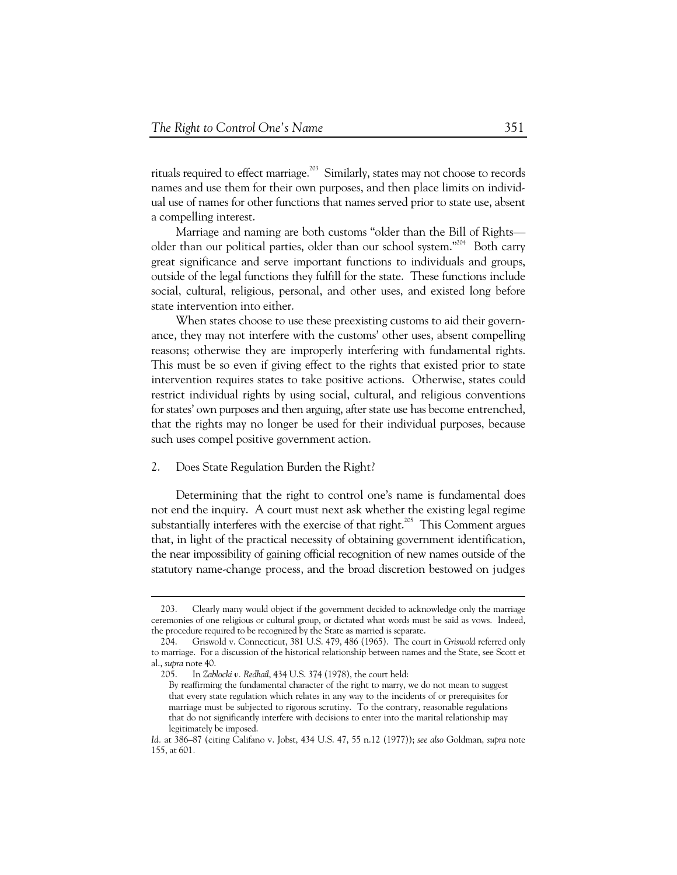rituals required to effect marriage.<sup>203</sup> Similarly, states may not choose to records names and use them for their own purposes, and then place limits on individual use of names for other functions that names served prior to state use, absent a compelling interest.

Marriage and naming are both customs "older than the Bill of Rights older than our political parties, older than our school system."<sup>204</sup> Both carry great significance and serve important functions to individuals and groups, outside of the legal functions they fulfill for the state. These functions include social, cultural, religious, personal, and other uses, and existed long before state intervention into either.

When states choose to use these preexisting customs to aid their governance, they may not interfere with the customs' other uses, absent compelling reasons; otherwise they are improperly interfering with fundamental rights. This must be so even if giving effect to the rights that existed prior to state intervention requires states to take positive actions. Otherwise, states could restrict individual rights by using social, cultural, and religious conventions for states' own purposes and then arguing, after state use has become entrenched, that the rights may no longer be used for their individual purposes, because such uses compel positive government action.

#### 2. Does State Regulation Burden the Right?

Determining that the right to control one's name is fundamental does not end the inquiry. A court must next ask whether the existing legal regime substantially interferes with the exercise of that right.<sup>205</sup> This Comment argues that, in light of the practical necessity of obtaining government identification, the near impossibility of gaining official recognition of new names outside of the statutory name-change process, and the broad discretion bestowed on judges

 <sup>203.</sup> Clearly many would object if the government decided to acknowledge only the marriage ceremonies of one religious or cultural group, or dictated what words must be said as vows. Indeed, the procedure required to be recognized by the State as married is separate.

 <sup>204.</sup> Griswold v. Connecticut, 381 U.S. 479, 486 (1965). The court in *Griswold* referred only to marriage. For a discussion of the historical relationship between names and the State, see Scott et al., *supra* note 40.

 <sup>205.</sup> In *Zablocki v. Redhail*, 434 U.S. 374 (1978), the court held:

By reaffirming the fundamental character of the right to marry, we do not mean to suggest that every state regulation which relates in any way to the incidents of or prerequisites for marriage must be subjected to rigorous scrutiny. To the contrary, reasonable regulations that do not significantly interfere with decisions to enter into the marital relationship may legitimately be imposed.

*Id.* at 386–87 (citing Califano v. Jobst, 434 U.S. 47, 55 n.12 (1977)); *see also* Goldman, *supra* note 155, at 601*.*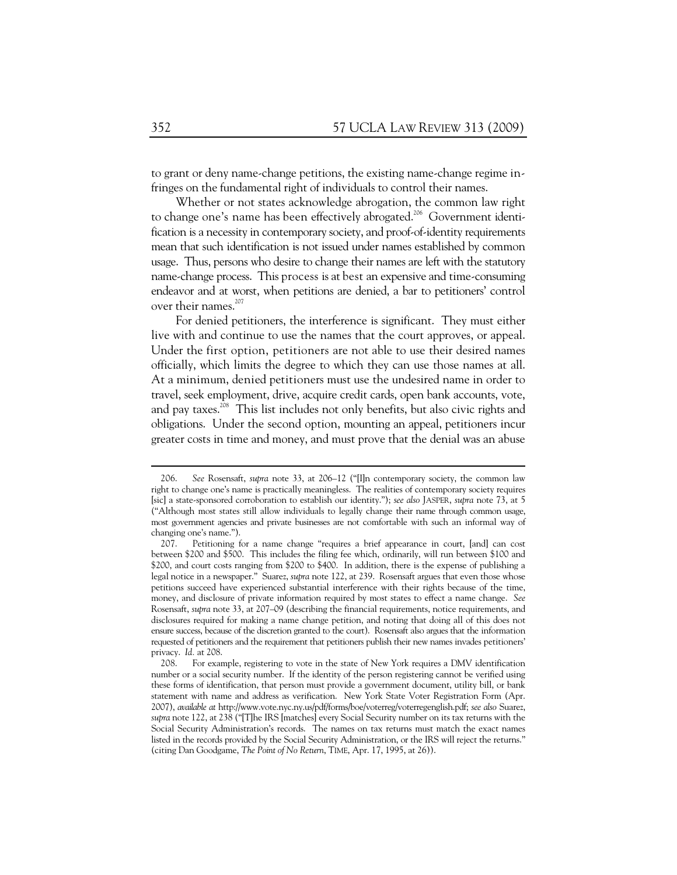to grant or deny name-change petitions, the existing name-change regime infringes on the fundamental right of individuals to control their names.

Whether or not states acknowledge abrogation, the common law right to change one's name has been effectively abrogated.<sup>206</sup> Government identification is a necessity in contemporary society, and proof-of-identity requirements mean that such identification is not issued under names established by common usage. Thus, persons who desire to change their names are left with the statutory name-change process. This process is at best an expensive and time-consuming endeavor and at worst, when petitions are denied, a bar to petitioners' control over their names.<sup>207</sup>

For denied petitioners, the interference is significant. They must either live with and continue to use the names that the court approves, or appeal. Under the first option, petitioners are not able to use their desired names officially, which limits the degree to which they can use those names at all. At a minimum, denied petitioners must use the undesired name in order to travel, seek employment, drive, acquire credit cards, open bank accounts, vote, and pay taxes.<sup>208</sup> This list includes not only benefits, but also civic rights and obligations. Under the second option, mounting an appeal, petitioners incur greater costs in time and money, and must prove that the denial was an abuse

 <sup>206.</sup> *See* Rosensaft, *supra* note 33, at 206–12 ("[I]n contemporary society, the common law right to change one's name is practically meaningless. The realities of contemporary society requires [sic] a state-sponsored corroboration to establish our identity."); *see also* JASPER, *supra* note 73, at 5 ("Although most states still allow individuals to legally change their name through common usage, most government agencies and private businesses are not comfortable with such an informal way of changing one's name.").

 <sup>207.</sup> Petitioning for a name change "requires a brief appearance in court, [and] can cost between \$200 and \$500. This includes the filing fee which, ordinarily, will run between \$100 and \$200, and court costs ranging from \$200 to \$400. In addition, there is the expense of publishing a legal notice in a newspaper." Suarez, *supra* note 122, at 239. Rosensaft argues that even those whose petitions succeed have experienced substantial interference with their rights because of the time, money, and disclosure of private information required by most states to effect a name change. *See*  Rosensaft, *supra* note 33, at 207–09 (describing the financial requirements, notice requirements, and disclosures required for making a name change petition, and noting that doing all of this does not ensure success, because of the discretion granted to the court). Rosensaft also argues that the information requested of petitioners and the requirement that petitioners publish their new names invades petitioners' privacy. *Id.* at 208.

 <sup>208.</sup> For example, registering to vote in the state of New York requires a DMV identification number or a social security number. If the identity of the person registering cannot be verified using these forms of identification, that person must provide a government document, utility bill, or bank statement with name and address as verification. New York State Voter Registration Form (Apr. 2007), *available at* http://www.vote.nyc.ny.us/pdf/forms/boe/voterreg/voterregenglish.pdf; *see also* Suarez, *supra* note 122, at 238 ("[T]he IRS [matches] every Social Security number on its tax returns with the Social Security Administration's records. The names on tax returns must match the exact names listed in the records provided by the Social Security Administration, or the IRS will reject the returns." (citing Dan Goodgame, *The Point of No Return*, TIME, Apr. 17, 1995, at 26)).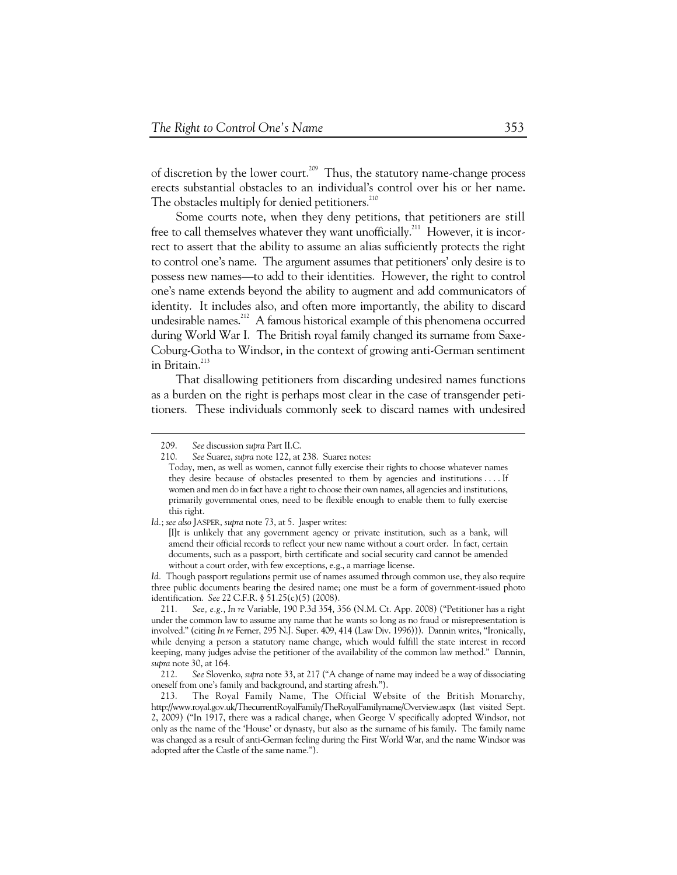of discretion by the lower court.<sup>209</sup> Thus, the statutory name-change process erects substantial obstacles to an individual's control over his or her name. The obstacles multiply for denied petitioners. $^{210}$ 

Some courts note, when they deny petitions, that petitioners are still free to call themselves whatever they want unofficially.<sup>211</sup> However, it is incorrect to assert that the ability to assume an alias sufficiently protects the right to control one's name. The argument assumes that petitioners' only desire is to possess new names—to add to their identities. However, the right to control one's name extends beyond the ability to augment and add communicators of identity. It includes also, and often more importantly, the ability to discard undesirable names.<sup>212</sup> A famous historical example of this phenomena occurred during World War I. The British royal family changed its surname from Saxe-Coburg-Gotha to Windsor, in the context of growing anti-German sentiment in Britain. $^{213}$ 

That disallowing petitioners from discarding undesired names functions as a burden on the right is perhaps most clear in the case of transgender petitioners. These individuals commonly seek to discard names with undesired

*Id.* Though passport regulations permit use of names assumed through common use, they also require three public documents bearing the desired name; one must be a form of government-issued photo identification. *See* 22 C.F.R. § 51.25(c)(5) (2008).

 211. *See, e.g.*, *In re* Variable, 190 P.3d 354, 356 (N.M. Ct. App. 2008) ("Petitioner has a right under the common law to assume any name that he wants so long as no fraud or misrepresentation is involved." (citing *In re* Ferner, 295 N.J. Super. 409, 414 (Law Div. 1996))). Dannin writes, "Ironically, while denying a person a statutory name change, which would fulfill the state interest in record keeping, many judges advise the petitioner of the availability of the common law method." Dannin, *supra* note 30, at 164.

 212. *See* Slovenko, *supra* note 33, at 217 ("A change of name may indeed be a way of dissociating oneself from one's family and background, and starting afresh.").

 213. The Royal Family Name, The Official Website of the British Monarchy, http://www.royal.gov.uk/ThecurrentRoyalFamily/TheRoyalFamilyname/Overview.aspx (last visited Sept. 2, 2009) ("In 1917, there was a radical change, when George V specifically adopted Windsor, not only as the name of the 'House' or dynasty, but also as the surname of his family. The family name was changed as a result of anti-German feeling during the First World War, and the name Windsor was adopted after the Castle of the same name.").

 <sup>209.</sup> *See* discussion *supra* Part II.C.

 <sup>210.</sup> *See* Suarez, *supra* note 122, at 238. Suarez notes:

Today, men, as well as women, cannot fully exercise their rights to choose whatever names they desire because of obstacles presented to them by agencies and institutions . . . . If women and men do in fact have a right to choose their own names, all agencies and institutions, primarily governmental ones, need to be flexible enough to enable them to fully exercise this right.

*Id.*; *see also* JASPER, *supra* note 73, at 5. Jasper writes:

<sup>[</sup>I]t is unlikely that any government agency or private institution, such as a bank, will amend their official records to reflect your new name without a court order. In fact, certain documents, such as a passport, birth certificate and social security card cannot be amended without a court order, with few exceptions, e.g., a marriage license.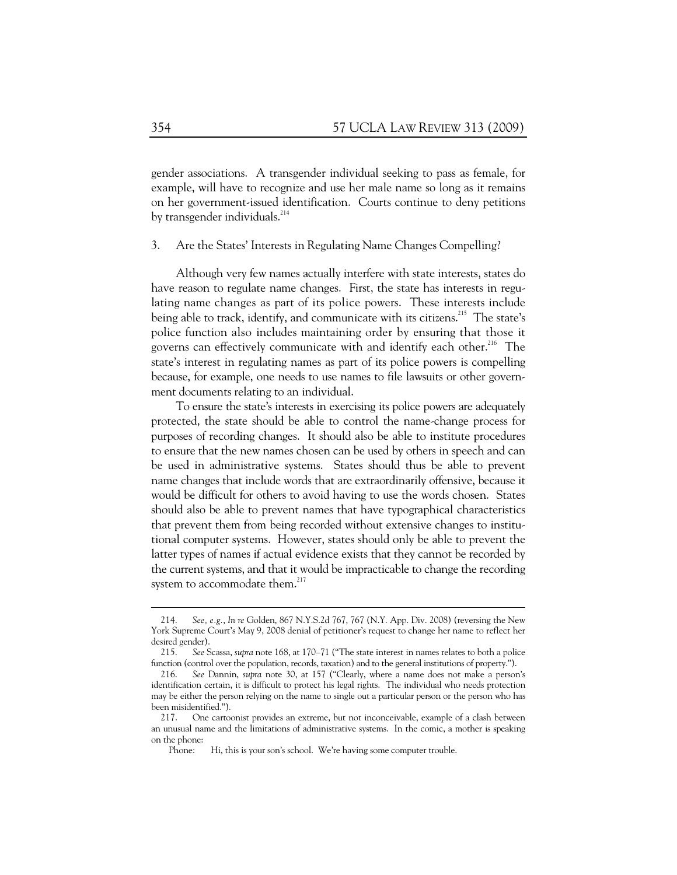gender associations. A transgender individual seeking to pass as female, for example, will have to recognize and use her male name so long as it remains on her government-issued identification. Courts continue to deny petitions by transgender individuals. $^{214}$ 

#### 3. Are the States' Interests in Regulating Name Changes Compelling?

Although very few names actually interfere with state interests, states do have reason to regulate name changes. First, the state has interests in regulating name changes as part of its police powers. These interests include being able to track, identify, and communicate with its citizens.<sup>215</sup> The state's police function also includes maintaining order by ensuring that those it governs can effectively communicate with and identify each other.<sup>216</sup> The state's interest in regulating names as part of its police powers is compelling because, for example, one needs to use names to file lawsuits or other government documents relating to an individual.

To ensure the state's interests in exercising its police powers are adequately protected, the state should be able to control the name-change process for purposes of recording changes. It should also be able to institute procedures to ensure that the new names chosen can be used by others in speech and can be used in administrative systems. States should thus be able to prevent name changes that include words that are extraordinarily offensive, because it would be difficult for others to avoid having to use the words chosen. States should also be able to prevent names that have typographical characteristics that prevent them from being recorded without extensive changes to institutional computer systems. However, states should only be able to prevent the latter types of names if actual evidence exists that they cannot be recorded by the current systems, and that it would be impracticable to change the recording system to accommodate them. $^{217}$ 

 $\overline{a}$ 

 <sup>214.</sup> *See, e.g.*, *In re* Golden, 867 N.Y.S.2d 767, 767 (N.Y. App. Div. 2008) (reversing the New York Supreme Court's May 9, 2008 denial of petitioner's request to change her name to reflect her desired gender).

 <sup>215.</sup> *See* Scassa, *supra* note 168, at 170–71 ("The state interest in names relates to both a police function (control over the population, records, taxation) and to the general institutions of property.").

 <sup>216.</sup> *See* Dannin, *supra* note 30, at 157 ("Clearly, where a name does not make a person's identification certain, it is difficult to protect his legal rights. The individual who needs protection may be either the person relying on the name to single out a particular person or the person who has been misidentified.").

 <sup>217.</sup> One cartoonist provides an extreme, but not inconceivable, example of a clash between an unusual name and the limitations of administrative systems. In the comic, a mother is speaking on the phone:

Phone: Hi, this is your son's school. We're having some computer trouble.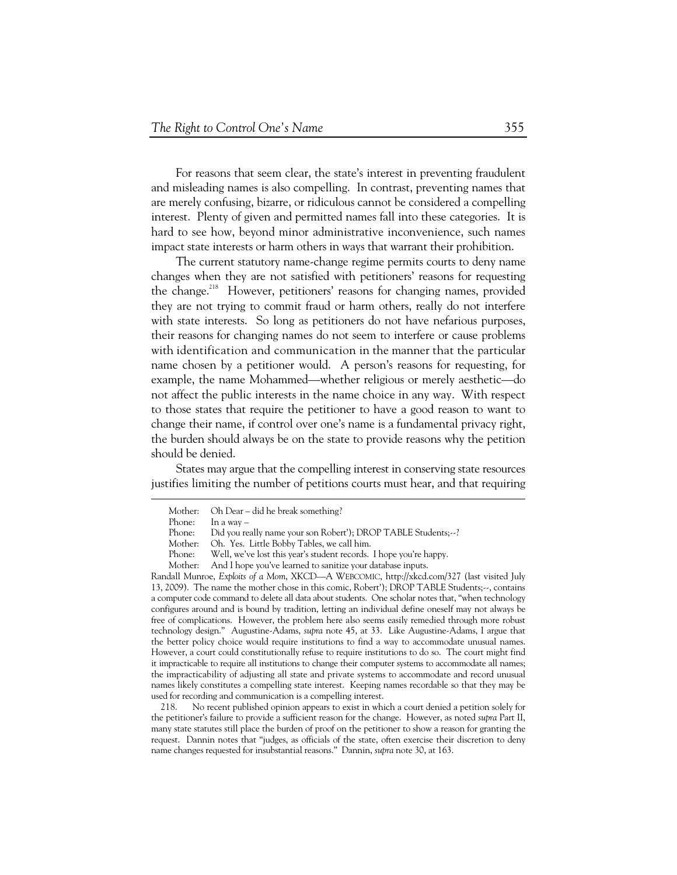For reasons that seem clear, the state's interest in preventing fraudulent and misleading names is also compelling. In contrast, preventing names that are merely confusing, bizarre, or ridiculous cannot be considered a compelling interest. Plenty of given and permitted names fall into these categories. It is hard to see how, beyond minor administrative inconvenience, such names impact state interests or harm others in ways that warrant their prohibition.

The current statutory name-change regime permits courts to deny name changes when they are not satisfied with petitioners' reasons for requesting the change.<sup>218</sup> However, petitioners' reasons for changing names, provided they are not trying to commit fraud or harm others, really do not interfere with state interests. So long as petitioners do not have nefarious purposes, their reasons for changing names do not seem to interfere or cause problems with identification and communication in the manner that the particular name chosen by a petitioner would. A person's reasons for requesting, for example, the name Mohammed—whether religious or merely aesthetic—do not affect the public interests in the name choice in any way. With respect to those states that require the petitioner to have a good reason to want to change their name, if control over one's name is a fundamental privacy right, the burden should always be on the state to provide reasons why the petition should be denied.

States may argue that the compelling interest in conserving state resources justifies limiting the number of petitions courts must hear, and that requiring

Randall Munroe, *Exploits of a Mom*, XKCD—A WEBCOMIC, http://xkcd.com/327 (last visited July 13, 2009). The name the mother chose in this comic, Robert'); DROP TABLE Students;--, contains a computer code command to delete all data about students. One scholar notes that, "when technology configures around and is bound by tradition, letting an individual define oneself may not always be free of complications. However, the problem here also seems easily remedied through more robust technology design." Augustine-Adams, *supra* note 45, at 33. Like Augustine-Adams, I argue that the better policy choice would require institutions to find a way to accommodate unusual names. However, a court could constitutionally refuse to require institutions to do so. The court might find it impracticable to require all institutions to change their computer systems to accommodate all names; the impracticability of adjusting all state and private systems to accommodate and record unusual names likely constitutes a compelling state interest. Keeping names recordable so that they may be used for recording and communication is a compelling interest.

 218. No recent published opinion appears to exist in which a court denied a petition solely for the petitioner's failure to provide a sufficient reason for the change. However, as noted *supra* Part II, many state statutes still place the burden of proof on the petitioner to show a reason for granting the request. Dannin notes that "judges, as officials of the state, often exercise their discretion to deny name changes requested for insubstantial reasons." Dannin, *supra* note 30, at 163.

Mother: Oh Dear – did he break something?

Phone: In a way –

Phone: Did you really name your son Robert'); DROP TABLE Students;--?

Mother: Oh. Yes. Little Bobby Tables, we call him.

Phone: Well, we've lost this year's student records. I hope you're happy.

Mother: And I hope you've learned to sanitize your database inputs.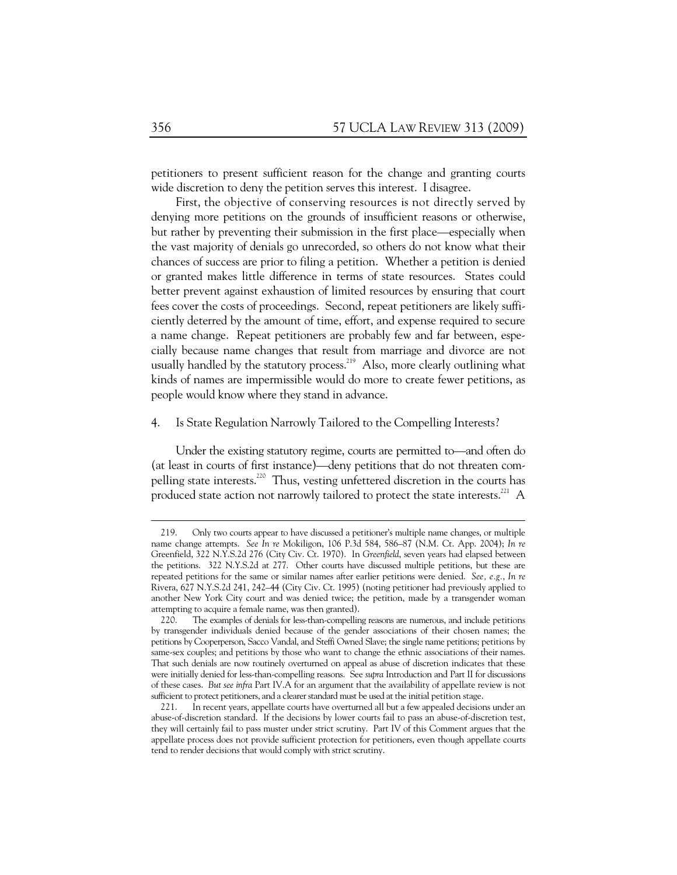petitioners to present sufficient reason for the change and granting courts wide discretion to deny the petition serves this interest. I disagree.

First, the objective of conserving resources is not directly served by denying more petitions on the grounds of insufficient reasons or otherwise, but rather by preventing their submission in the first place—especially when the vast majority of denials go unrecorded, so others do not know what their chances of success are prior to filing a petition. Whether a petition is denied or granted makes little difference in terms of state resources. States could better prevent against exhaustion of limited resources by ensuring that court fees cover the costs of proceedings. Second, repeat petitioners are likely sufficiently deterred by the amount of time, effort, and expense required to secure a name change. Repeat petitioners are probably few and far between, especially because name changes that result from marriage and divorce are not usually handled by the statutory process.<sup>219</sup> Also, more clearly outlining what kinds of names are impermissible would do more to create fewer petitions, as people would know where they stand in advance.

#### 4. Is State Regulation Narrowly Tailored to the Compelling Interests?

Under the existing statutory regime, courts are permitted to—and often do (at least in courts of first instance)—deny petitions that do not threaten compelling state interests.<sup>220</sup> Thus, vesting unfettered discretion in the courts has produced state action not narrowly tailored to protect the state interests.<sup>221</sup> A

 <sup>219.</sup> Only two courts appear to have discussed a petitioner's multiple name changes, or multiple name change attempts. *See In re* Mokiligon, 106 P.3d 584, 586–87 (N.M. Ct. App. 2004); *In re*  Greenfield, 322 N.Y.S.2d 276 (City Civ. Ct. 1970). In *Greenfield*, seven years had elapsed between the petitions. 322 N.Y.S.2d at 277. Other courts have discussed multiple petitions, but these are repeated petitions for the same or similar names after earlier petitions were denied. *See, e.g.*, *In re*  Rivera, 627 N.Y.S.2d 241, 242–44 (City Civ. Ct. 1995) (noting petitioner had previously applied to another New York City court and was denied twice; the petition, made by a transgender woman attempting to acquire a female name, was then granted).

 <sup>220.</sup> The examples of denials for less-than-compelling reasons are numerous, and include petitions by transgender individuals denied because of the gender associations of their chosen names; the petitions by Cooperperson, Sacco Vandal, and Steffi Owned Slave; the single name petitions; petitions by same-sex couples; and petitions by those who want to change the ethnic associations of their names. That such denials are now routinely overturned on appeal as abuse of discretion indicates that these were initially denied for less-than-compelling reasons. See *supra* Introduction and Part II for discussions of these cases. *But see infra* Part IV.A for an argument that the availability of appellate review is not sufficient to protect petitioners, and a clearer standard must be used at the initial petition stage.

 <sup>221.</sup> In recent years, appellate courts have overturned all but a few appealed decisions under an abuse-of-discretion standard. If the decisions by lower courts fail to pass an abuse-of-discretion test, they will certainly fail to pass muster under strict scrutiny. Part IV of this Comment argues that the appellate process does not provide sufficient protection for petitioners, even though appellate courts tend to render decisions that would comply with strict scrutiny.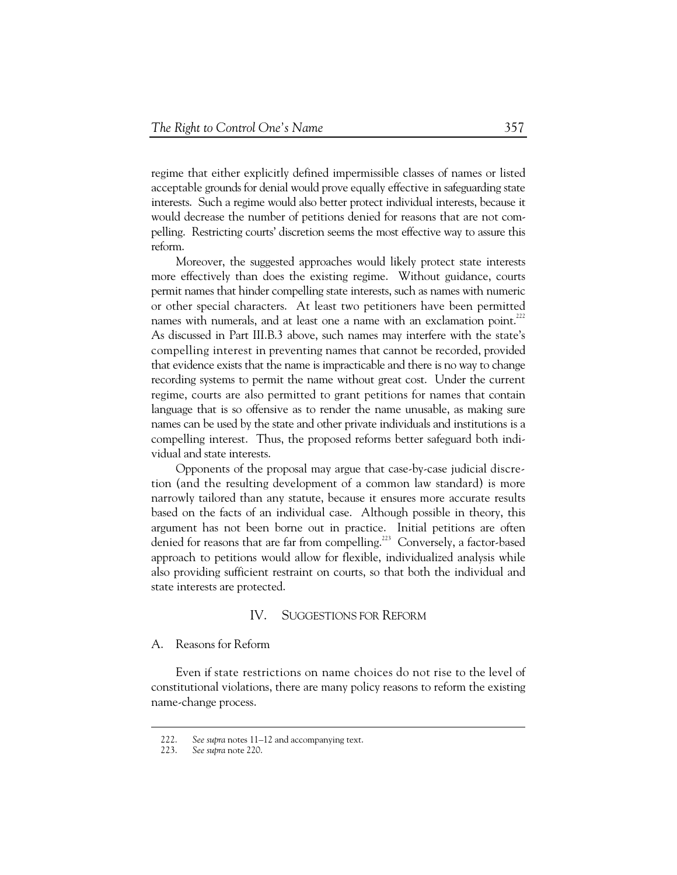regime that either explicitly defined impermissible classes of names or listed acceptable grounds for denial would prove equally effective in safeguarding state interests. Such a regime would also better protect individual interests, because it would decrease the number of petitions denied for reasons that are not compelling. Restricting courts' discretion seems the most effective way to assure this reform.

Moreover, the suggested approaches would likely protect state interests more effectively than does the existing regime. Without guidance, courts permit names that hinder compelling state interests, such as names with numeric or other special characters. At least two petitioners have been permitted names with numerals, and at least one a name with an exclamation point.<sup>222</sup> As discussed in Part III.B.3 above, such names may interfere with the state's compelling interest in preventing names that cannot be recorded, provided that evidence exists that the name is impracticable and there is no way to change recording systems to permit the name without great cost. Under the current regime, courts are also permitted to grant petitions for names that contain language that is so offensive as to render the name unusable, as making sure names can be used by the state and other private individuals and institutions is a compelling interest. Thus, the proposed reforms better safeguard both individual and state interests.

Opponents of the proposal may argue that case-by-case judicial discretion (and the resulting development of a common law standard) is more narrowly tailored than any statute, because it ensures more accurate results based on the facts of an individual case. Although possible in theory, this argument has not been borne out in practice. Initial petitions are often denied for reasons that are far from compelling.<sup>223</sup> Conversely, a factor-based approach to petitions would allow for flexible, individualized analysis while also providing sufficient restraint on courts, so that both the individual and state interests are protected.

#### IV. SUGGESTIONS FOR REFORM

### A. Reasons for Reform

Even if state restrictions on name choices do not rise to the level of constitutional violations, there are many policy reasons to reform the existing name-change process.

 <sup>222.</sup> *See supra* notes 11–12 and accompanying text.

 <sup>223.</sup> *See supra* note 220.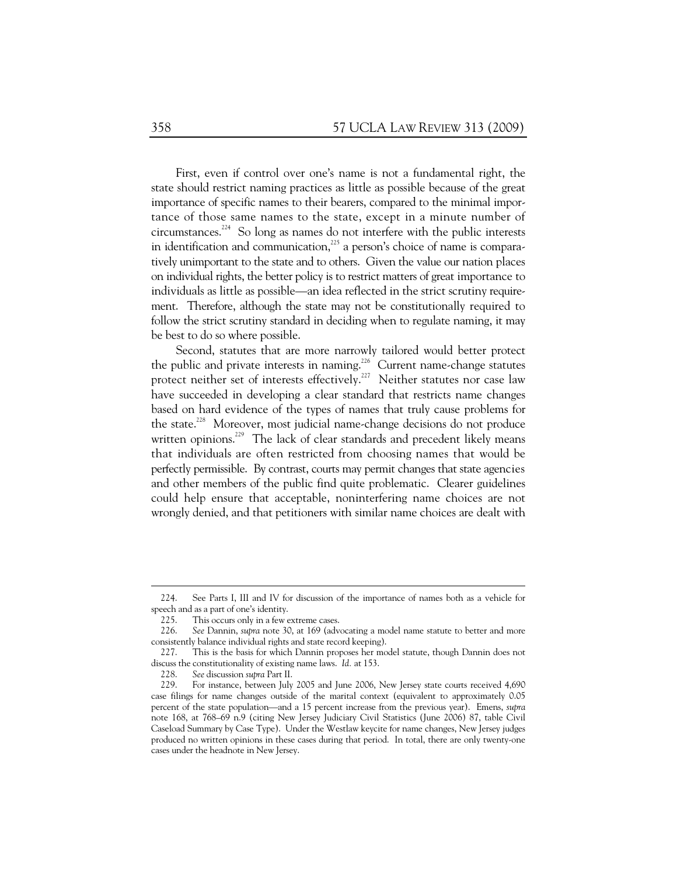First, even if control over one's name is not a fundamental right, the state should restrict naming practices as little as possible because of the great importance of specific names to their bearers, compared to the minimal importance of those same names to the state, except in a minute number of circumstances.<sup>224</sup> So long as names do not interfere with the public interests in identification and communication, $^{225}$  a person's choice of name is comparatively unimportant to the state and to others. Given the value our nation places on individual rights, the better policy is to restrict matters of great importance to individuals as little as possible—an idea reflected in the strict scrutiny requirement. Therefore, although the state may not be constitutionally required to follow the strict scrutiny standard in deciding when to regulate naming, it may be best to do so where possible.

Second, statutes that are more narrowly tailored would better protect the public and private interests in naming.<sup>226</sup> Current name-change statutes protect neither set of interests effectively.<sup>227</sup> Neither statutes nor case law have succeeded in developing a clear standard that restricts name changes based on hard evidence of the types of names that truly cause problems for the state.<sup>228</sup> Moreover, most judicial name-change decisions do not produce written opinions.<sup>229</sup> The lack of clear standards and precedent likely means that individuals are often restricted from choosing names that would be perfectly permissible. By contrast, courts may permit changes that state agencies and other members of the public find quite problematic. Clearer guidelines could help ensure that acceptable, noninterfering name choices are not wrongly denied, and that petitioners with similar name choices are dealt with

 <sup>224.</sup> See Parts I, III and IV for discussion of the importance of names both as a vehicle for speech and as a part of one's identity.

 <sup>225.</sup> This occurs only in a few extreme cases.

 <sup>226.</sup> *See* Dannin, *supra* note 30, at 169 (advocating a model name statute to better and more consistently balance individual rights and state record keeping).

 <sup>227.</sup> This is the basis for which Dannin proposes her model statute, though Dannin does not discuss the constitutionality of existing name laws. *Id.* at 153.

 <sup>228.</sup> *See* discussion *supra* Part II.

 <sup>229.</sup> For instance, between July 2005 and June 2006, New Jersey state courts received 4,690 case filings for name changes outside of the marital context (equivalent to approximately 0.05 percent of the state population—and a 15 percent increase from the previous year). Emens, *supra*  note 168, at 768–69 n.9 (citing New Jersey Judiciary Civil Statistics (June 2006) 87, table Civil Caseload Summary by Case Type). Under the Westlaw keycite for name changes, New Jersey judges produced no written opinions in these cases during that period. In total, there are only twenty-one cases under the headnote in New Jersey.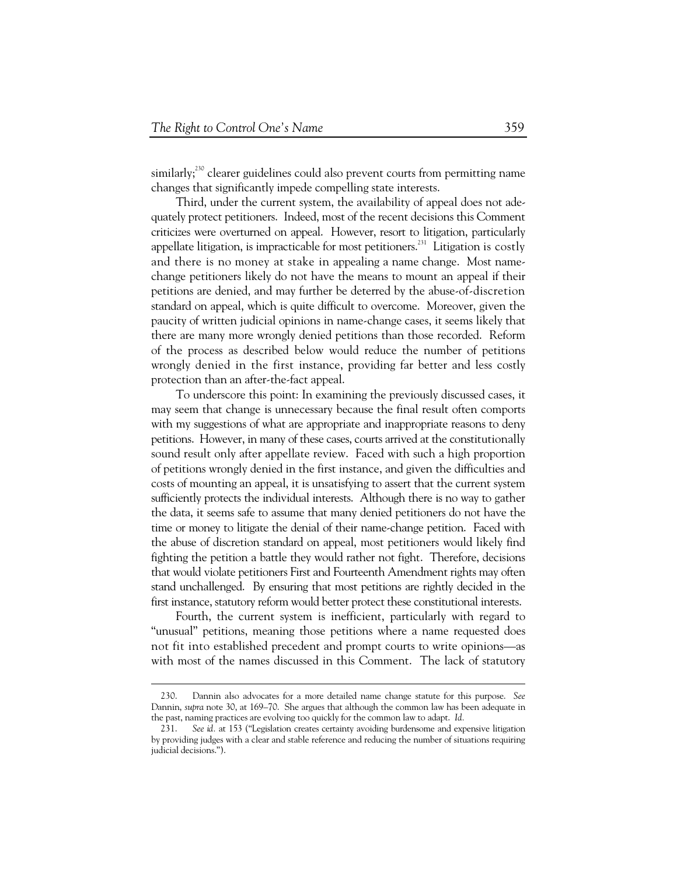similarly;<sup>230</sup> clearer guidelines could also prevent courts from permitting name changes that significantly impede compelling state interests.

Third, under the current system, the availability of appeal does not adequately protect petitioners. Indeed, most of the recent decisions this Comment criticizes were overturned on appeal. However, resort to litigation, particularly appellate litigation, is impracticable for most petitioners.<sup>231</sup> Litigation is costly and there is no money at stake in appealing a name change. Most namechange petitioners likely do not have the means to mount an appeal if their petitions are denied, and may further be deterred by the abuse-of-discretion standard on appeal, which is quite difficult to overcome. Moreover, given the paucity of written judicial opinions in name-change cases, it seems likely that there are many more wrongly denied petitions than those recorded. Reform of the process as described below would reduce the number of petitions wrongly denied in the first instance, providing far better and less costly protection than an after-the-fact appeal.

To underscore this point: In examining the previously discussed cases, it may seem that change is unnecessary because the final result often comports with my suggestions of what are appropriate and inappropriate reasons to deny petitions. However, in many of these cases, courts arrived at the constitutionally sound result only after appellate review. Faced with such a high proportion of petitions wrongly denied in the first instance, and given the difficulties and costs of mounting an appeal, it is unsatisfying to assert that the current system sufficiently protects the individual interests. Although there is no way to gather the data, it seems safe to assume that many denied petitioners do not have the time or money to litigate the denial of their name-change petition. Faced with the abuse of discretion standard on appeal, most petitioners would likely find fighting the petition a battle they would rather not fight. Therefore, decisions that would violate petitioners First and Fourteenth Amendment rights may often stand unchallenged. By ensuring that most petitions are rightly decided in the first instance, statutory reform would better protect these constitutional interests.

Fourth, the current system is inefficient, particularly with regard to "unusual" petitions, meaning those petitions where a name requested does not fit into established precedent and prompt courts to write opinions—as with most of the names discussed in this Comment. The lack of statutory

 $\overline{a}$ 

 <sup>230.</sup> Dannin also advocates for a more detailed name change statute for this purpose. *See*  Dannin, *supra* note 30, at 169–70. She argues that although the common law has been adequate in the past, naming practices are evolving too quickly for the common law to adapt. *Id.*

 <sup>231.</sup> *See id.* at 153 ("Legislation creates certainty avoiding burdensome and expensive litigation by providing judges with a clear and stable reference and reducing the number of situations requiring judicial decisions.").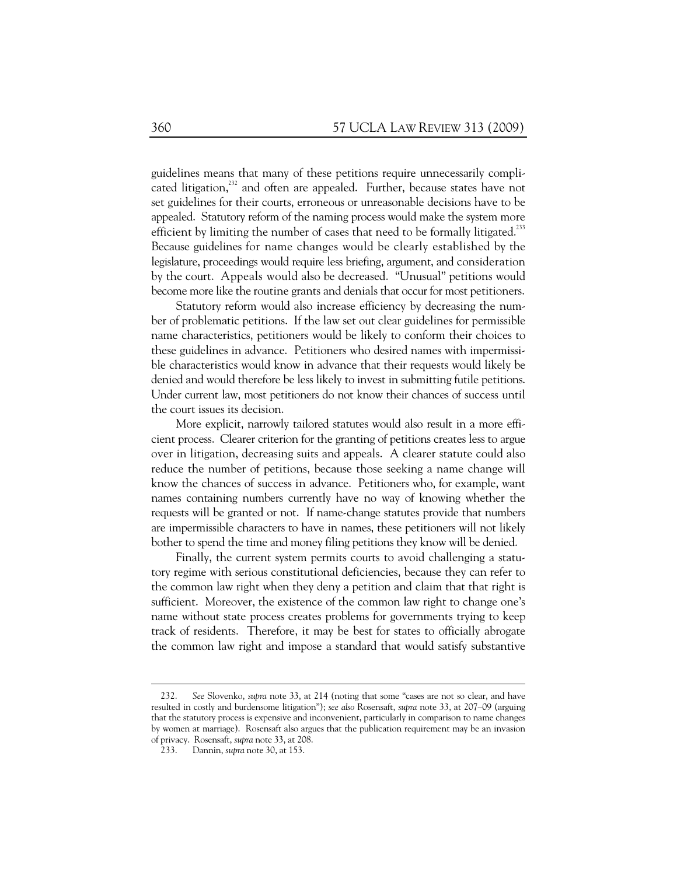guidelines means that many of these petitions require unnecessarily complicated litigation, $^{232}$  and often are appealed. Further, because states have not set guidelines for their courts, erroneous or unreasonable decisions have to be appealed. Statutory reform of the naming process would make the system more efficient by limiting the number of cases that need to be formally litigated.<sup>233</sup> Because guidelines for name changes would be clearly established by the legislature, proceedings would require less briefing, argument, and consideration by the court. Appeals would also be decreased. "Unusual" petitions would become more like the routine grants and denials that occur for most petitioners.

Statutory reform would also increase efficiency by decreasing the number of problematic petitions. If the law set out clear guidelines for permissible name characteristics, petitioners would be likely to conform their choices to these guidelines in advance. Petitioners who desired names with impermissible characteristics would know in advance that their requests would likely be denied and would therefore be less likely to invest in submitting futile petitions. Under current law, most petitioners do not know their chances of success until the court issues its decision.

More explicit, narrowly tailored statutes would also result in a more efficient process. Clearer criterion for the granting of petitions creates less to argue over in litigation, decreasing suits and appeals. A clearer statute could also reduce the number of petitions, because those seeking a name change will know the chances of success in advance. Petitioners who, for example, want names containing numbers currently have no way of knowing whether the requests will be granted or not. If name-change statutes provide that numbers are impermissible characters to have in names, these petitioners will not likely bother to spend the time and money filing petitions they know will be denied.

Finally, the current system permits courts to avoid challenging a statutory regime with serious constitutional deficiencies, because they can refer to the common law right when they deny a petition and claim that that right is sufficient. Moreover, the existence of the common law right to change one's name without state process creates problems for governments trying to keep track of residents. Therefore, it may be best for states to officially abrogate the common law right and impose a standard that would satisfy substantive

 $\overline{a}$ 

 <sup>232.</sup> *See* Slovenko, *supra* note 33, at 214 (noting that some "cases are not so clear, and have resulted in costly and burdensome litigation"); *see also* Rosensaft, *supra* note 33, at 207–09 (arguing that the statutory process is expensive and inconvenient, particularly in comparison to name changes by women at marriage). Rosensaft also argues that the publication requirement may be an invasion of privacy. Rosensaft, *supra* note 33, at 208.

 <sup>233.</sup> Dannin, *supra* note 30, at 153.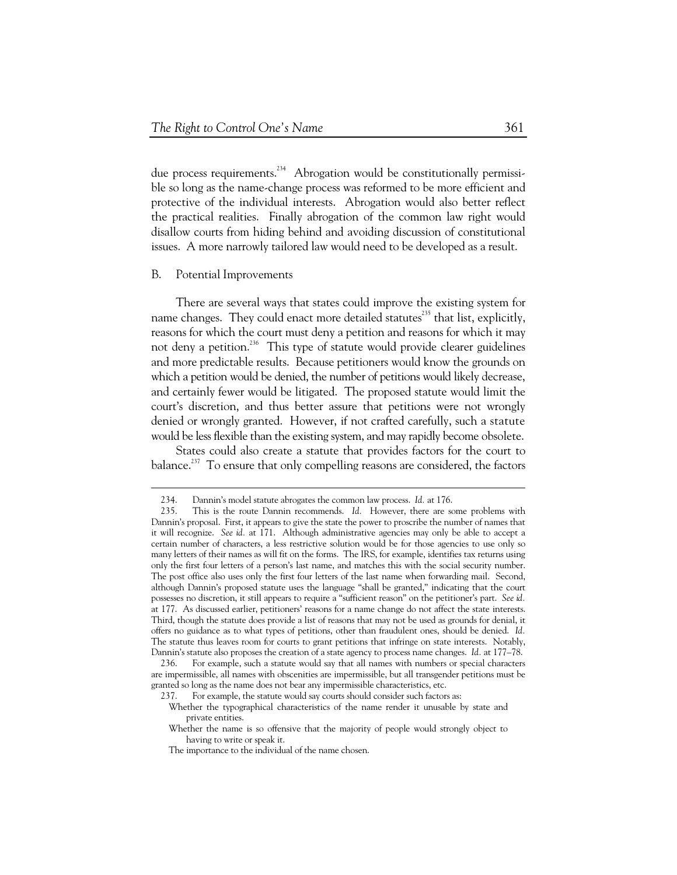due process requirements.<sup>234</sup> Abrogation would be constitutionally permissible so long as the name-change process was reformed to be more efficient and protective of the individual interests. Abrogation would also better reflect the practical realities. Finally abrogation of the common law right would disallow courts from hiding behind and avoiding discussion of constitutional issues. A more narrowly tailored law would need to be developed as a result.

#### B. Potential Improvements

 $\overline{a}$ 

There are several ways that states could improve the existing system for name changes. They could enact more detailed statutes $^{235}$  that list, explicitly, reasons for which the court must deny a petition and reasons for which it may not deny a petition.<sup>236</sup> This type of statute would provide clearer guidelines and more predictable results. Because petitioners would know the grounds on which a petition would be denied, the number of petitions would likely decrease, and certainly fewer would be litigated. The proposed statute would limit the court's discretion, and thus better assure that petitions were not wrongly denied or wrongly granted. However, if not crafted carefully, such a statute would be less flexible than the existing system, and may rapidly become obsolete.

States could also create a statute that provides factors for the court to balance.<sup>237</sup> To ensure that only compelling reasons are considered, the factors

 <sup>234.</sup> Dannin's model statute abrogates the common law process. *Id.* at 176.

 <sup>235.</sup> This is the route Dannin recommends. *Id.* However, there are some problems with Dannin's proposal. First, it appears to give the state the power to proscribe the number of names that it will recognize. *See id.* at 171. Although administrative agencies may only be able to accept a certain number of characters, a less restrictive solution would be for those agencies to use only so many letters of their names as will fit on the forms. The IRS, for example, identifies tax returns using only the first four letters of a person's last name, and matches this with the social security number. The post office also uses only the first four letters of the last name when forwarding mail. Second, although Dannin's proposed statute uses the language "shall be granted," indicating that the court possesses no discretion, it still appears to require a "sufficient reason" on the petitioner's part. *See id.*  at 177. As discussed earlier, petitioners' reasons for a name change do not affect the state interests. Third, though the statute does provide a list of reasons that may not be used as grounds for denial, it offers no guidance as to what types of petitions, other than fraudulent ones, should be denied. *Id.* The statute thus leaves room for courts to grant petitions that infringe on state interests. Notably, Dannin's statute also proposes the creation of a state agency to process name changes. *Id.* at 177–78.

 <sup>236.</sup> For example, such a statute would say that all names with numbers or special characters are impermissible, all names with obscenities are impermissible, but all transgender petitions must be granted so long as the name does not bear any impermissible characteristics, etc.

 <sup>237.</sup> For example, the statute would say courts should consider such factors as:

Whether the typographical characteristics of the name render it unusable by state and private entities.

Whether the name is so offensive that the majority of people would strongly object to having to write or speak it.

The importance to the individual of the name chosen.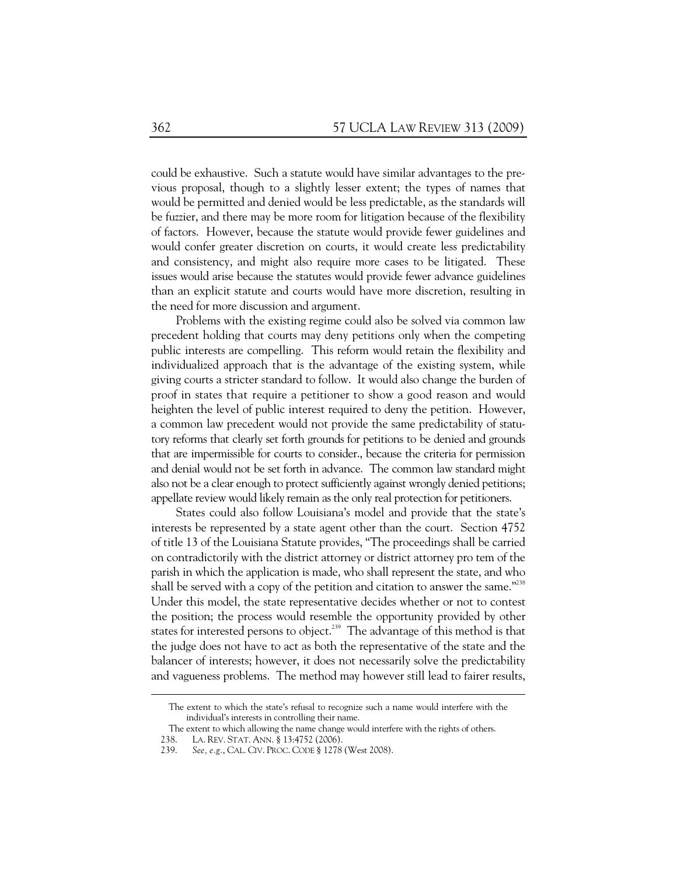could be exhaustive. Such a statute would have similar advantages to the previous proposal, though to a slightly lesser extent; the types of names that would be permitted and denied would be less predictable, as the standards will be fuzzier, and there may be more room for litigation because of the flexibility of factors. However, because the statute would provide fewer guidelines and would confer greater discretion on courts, it would create less predictability and consistency, and might also require more cases to be litigated. These issues would arise because the statutes would provide fewer advance guidelines than an explicit statute and courts would have more discretion, resulting in the need for more discussion and argument.

Problems with the existing regime could also be solved via common law precedent holding that courts may deny petitions only when the competing public interests are compelling. This reform would retain the flexibility and individualized approach that is the advantage of the existing system, while giving courts a stricter standard to follow. It would also change the burden of proof in states that require a petitioner to show a good reason and would heighten the level of public interest required to deny the petition. However, a common law precedent would not provide the same predictability of statutory reforms that clearly set forth grounds for petitions to be denied and grounds that are impermissible for courts to consider., because the criteria for permission and denial would not be set forth in advance. The common law standard might also not be a clear enough to protect sufficiently against wrongly denied petitions; appellate review would likely remain as the only real protection for petitioners.

States could also follow Louisiana's model and provide that the state's interests be represented by a state agent other than the court. Section 4752 of title 13 of the Louisiana Statute provides, "The proceedings shall be carried on contradictorily with the district attorney or district attorney pro tem of the parish in which the application is made, who shall represent the state, and who shall be served with a copy of the petition and citation to answer the same." $238$ Under this model, the state representative decides whether or not to contest the position; the process would resemble the opportunity provided by other states for interested persons to object.<sup>239</sup> The advantage of this method is that the judge does not have to act as both the representative of the state and the balancer of interests; however, it does not necessarily solve the predictability and vagueness problems. The method may however still lead to fairer results,

The extent to which the state's refusal to recognize such a name would interfere with the individual's interests in controlling their name.

The extent to which allowing the name change would interfere with the rights of others.

 <sup>238.</sup> LA. REV. STAT. ANN. § 13:4752 (2006).

 <sup>239.</sup> *See, e.g.*, CAL. CIV. PROC. CODE § 1278 (West 2008).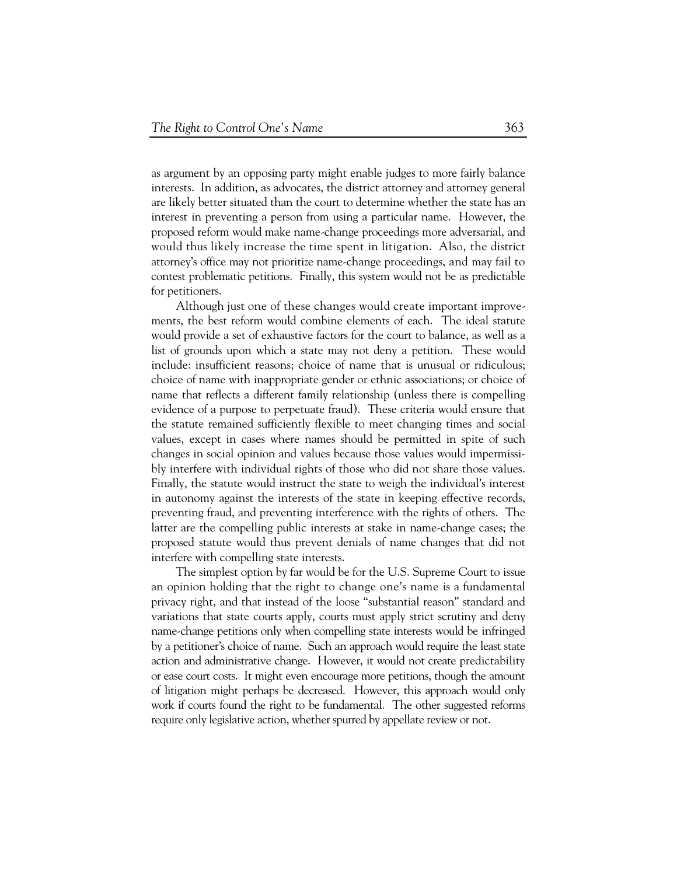as argument by an opposing party might enable judges to more fairly balance interests. In addition, as advocates, the district attorney and attorney general are likely better situated than the court to determine whether the state has an interest in preventing a person from using a particular name. However, the proposed reform would make name-change proceedings more adversarial, and would thus likely increase the time spent in litigation. Also, the district attorney's office may not prioritize name-change proceedings, and may fail to contest problematic petitions. Finally, this system would not be as predictable for petitioners.

Although just one of these changes would create important improvements, the best reform would combine elements of each. The ideal statute would provide a set of exhaustive factors for the court to balance, as well as a list of grounds upon which a state may not deny a petition. These would include: insufficient reasons; choice of name that is unusual or ridiculous; choice of name with inappropriate gender or ethnic associations; or choice of name that reflects a different family relationship (unless there is compelling evidence of a purpose to perpetuate fraud). These criteria would ensure that the statute remained sufficiently flexible to meet changing times and social values, except in cases where names should be permitted in spite of such changes in social opinion and values because those values would impermissibly interfere with individual rights of those who did not share those values. Finally, the statute would instruct the state to weigh the individual's interest in autonomy against the interests of the state in keeping effective records, preventing fraud, and preventing interference with the rights of others. The latter are the compelling public interests at stake in name-change cases; the proposed statute would thus prevent denials of name changes that did not interfere with compelling state interests.

The simplest option by far would be for the U.S. Supreme Court to issue an opinion holding that the right to change one's name is a fundamental privacy right, and that instead of the loose "substantial reason" standard and variations that state courts apply, courts must apply strict scrutiny and deny name-change petitions only when compelling state interests would be infringed by a petitioner's choice of name. Such an approach would require the least state action and administrative change. However, it would not create predictability or ease court costs. It might even encourage more petitions, though the amount of litigation might perhaps be decreased. However, this approach would only work if courts found the right to be fundamental. The other suggested reforms require only legislative action, whether spurred by appellate review or not.